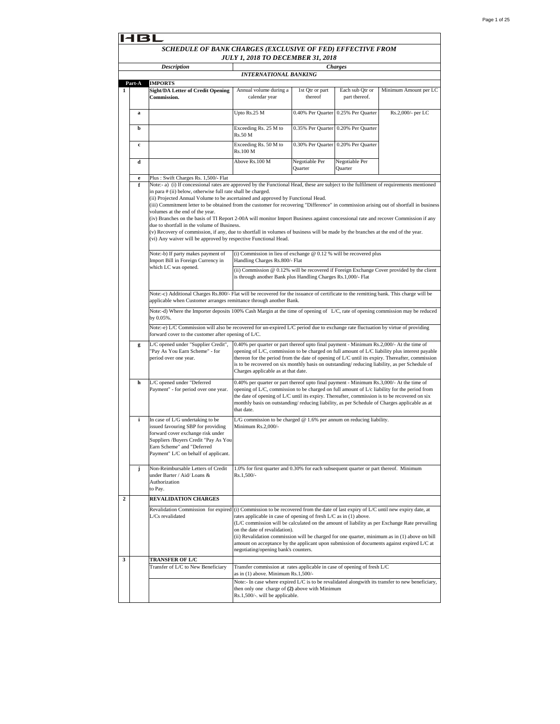|              |             | 14 B L                                                                                                                                                                                                                                                                                                                                                                                                                                                                                                                                                                                                                                                                                                                                                                                                                                                                                                                                                                                                                               |                                                                                                                                                                                                                                                                                                                                                                                                         |                            |                                     |                                                                                                                                                                                                   |
|--------------|-------------|--------------------------------------------------------------------------------------------------------------------------------------------------------------------------------------------------------------------------------------------------------------------------------------------------------------------------------------------------------------------------------------------------------------------------------------------------------------------------------------------------------------------------------------------------------------------------------------------------------------------------------------------------------------------------------------------------------------------------------------------------------------------------------------------------------------------------------------------------------------------------------------------------------------------------------------------------------------------------------------------------------------------------------------|---------------------------------------------------------------------------------------------------------------------------------------------------------------------------------------------------------------------------------------------------------------------------------------------------------------------------------------------------------------------------------------------------------|----------------------------|-------------------------------------|---------------------------------------------------------------------------------------------------------------------------------------------------------------------------------------------------|
|              |             | SCHEDULE OF BANK CHARGES (EXCLUSIVE OF FED) EFFECTIVE FROM<br><b>JULY 1, 2018 TO DECEMBER 31, 2018</b>                                                                                                                                                                                                                                                                                                                                                                                                                                                                                                                                                                                                                                                                                                                                                                                                                                                                                                                               |                                                                                                                                                                                                                                                                                                                                                                                                         |                            |                                     |                                                                                                                                                                                                   |
|              |             | <b>Description</b>                                                                                                                                                                                                                                                                                                                                                                                                                                                                                                                                                                                                                                                                                                                                                                                                                                                                                                                                                                                                                   | <b>INTERNATIONAL BANKING</b>                                                                                                                                                                                                                                                                                                                                                                            |                            | <b>Charges</b>                      |                                                                                                                                                                                                   |
|              | Part-A      | <b>IMPORTS</b>                                                                                                                                                                                                                                                                                                                                                                                                                                                                                                                                                                                                                                                                                                                                                                                                                                                                                                                                                                                                                       |                                                                                                                                                                                                                                                                                                                                                                                                         |                            |                                     |                                                                                                                                                                                                   |
| 1            |             | <b>Sight/DA Letter of Credit Opening</b><br>Commission.                                                                                                                                                                                                                                                                                                                                                                                                                                                                                                                                                                                                                                                                                                                                                                                                                                                                                                                                                                              | Annual volume during a<br>calendar year                                                                                                                                                                                                                                                                                                                                                                 | 1st Qtr or part<br>thereof | Each sub Qtr or<br>part thereof.    | Minimum Amount per LC                                                                                                                                                                             |
|              | a           |                                                                                                                                                                                                                                                                                                                                                                                                                                                                                                                                                                                                                                                                                                                                                                                                                                                                                                                                                                                                                                      | Upto Rs.25 M                                                                                                                                                                                                                                                                                                                                                                                            | 0.40% Per Quarter          | 0.25% Per Quarter                   | Rs.2,000/- per LC                                                                                                                                                                                 |
|              | b           |                                                                                                                                                                                                                                                                                                                                                                                                                                                                                                                                                                                                                                                                                                                                                                                                                                                                                                                                                                                                                                      | Exceeding Rs. 25 M to<br>Rs.50 M                                                                                                                                                                                                                                                                                                                                                                        | 0.35% Per Quarter          | 0.20% Per Quarter                   |                                                                                                                                                                                                   |
|              | $\mathbf c$ |                                                                                                                                                                                                                                                                                                                                                                                                                                                                                                                                                                                                                                                                                                                                                                                                                                                                                                                                                                                                                                      | Exceeding Rs. 50 M to<br>Rs.100 M                                                                                                                                                                                                                                                                                                                                                                       |                            | 0.30% Per Quarter 0.20% Per Quarter |                                                                                                                                                                                                   |
|              | d           |                                                                                                                                                                                                                                                                                                                                                                                                                                                                                                                                                                                                                                                                                                                                                                                                                                                                                                                                                                                                                                      | Above Rs.100 M                                                                                                                                                                                                                                                                                                                                                                                          | Negotiable Per<br>Quarter  | Negotiable Per<br>Quarter           |                                                                                                                                                                                                   |
|              | e           | Plus: Swift Charges Rs. 1,500/- Flat                                                                                                                                                                                                                                                                                                                                                                                                                                                                                                                                                                                                                                                                                                                                                                                                                                                                                                                                                                                                 |                                                                                                                                                                                                                                                                                                                                                                                                         |                            |                                     |                                                                                                                                                                                                   |
|              |             | in para # (ii) below, otherwise full rate shall be charged.<br>(ii) Projected Annual Volume to be ascertained and approved by Functional Head.<br>(iii) Commitment letter to be obtained from the customer for recovering "Difference" in commission arising out of shortfall in business<br>volumes at the end of the year.<br>(iv) Branches on the basis of TI Report 2-00A will monitor Import Business against concessional rate and recover Commission if any<br>due to shortfall in the volume of Business.<br>(v) Recovery of commission, if any, due to shortfall in volumes of business will be made by the branches at the end of the year.<br>(vi) Any waiver will be approved by respective Functional Head.<br>(i) Commission in lieu of exchange $@$ 0.12 % will be recovered plus<br>Note:-b) If party makes payment of<br>Import Bill in Foreign Currency in<br>Handling Charges Rs.800/- Flat<br>which LC was opened.<br>(ii) Commission @ 0.12% will be recovered if Foreign Exchange Cover provided by the client |                                                                                                                                                                                                                                                                                                                                                                                                         |                            |                                     |                                                                                                                                                                                                   |
|              |             | Note:-c) Additional Charges Rs.800/- Flat will be recovered for the issuance of certificate to the remitting bank. This charge will be<br>applicable when Customer arranges remittance through another Bank.<br>Note:-d) Where the Importer deposits 100% Cash Margin at the time of opening of L/C, rate of opening commission may be reduced<br>by 0.05%.                                                                                                                                                                                                                                                                                                                                                                                                                                                                                                                                                                                                                                                                          |                                                                                                                                                                                                                                                                                                                                                                                                         |                            |                                     |                                                                                                                                                                                                   |
|              |             | Note:-e) L/C Commission will also be recovered for un-expired L/C period due to exchange rate fluctuation by virtue of providing<br>forward cover to the customer after opening of L/C.                                                                                                                                                                                                                                                                                                                                                                                                                                                                                                                                                                                                                                                                                                                                                                                                                                              |                                                                                                                                                                                                                                                                                                                                                                                                         |                            |                                     |                                                                                                                                                                                                   |
|              | g           | L/C opened under "Supplier Credit",<br>'Pay As You Earn Scheme" - for<br>period over one year.                                                                                                                                                                                                                                                                                                                                                                                                                                                                                                                                                                                                                                                                                                                                                                                                                                                                                                                                       | 0.40% per quarter or part thereof upto final payment - Minimum Rs.2,000/- At the time of<br>is to be recovered on six monthly basis on outstanding/reducing liability, as per Schedule of<br>Charges applicable as at that date.                                                                                                                                                                        |                            |                                     | opening of L/C, commission to be charged on full amount of L/C liability plus interest payable<br>thereon for the period from the date of opening of L/C until its expiry. Thereafter, commission |
|              | h           | L/C opened under "Deferred<br>Payment" - for period over one year.                                                                                                                                                                                                                                                                                                                                                                                                                                                                                                                                                                                                                                                                                                                                                                                                                                                                                                                                                                   | 0.40% per quarter or part thereof upto final payment - Minimum Rs.3,000/- At the time of<br>opening of L/C, commission to be charged on full amount of L/c liability for the period from<br>the date of opening of L/C until its expiry. Thereafter, commission is to be recovered on six<br>monthly basis on outstanding/reducing liability, as per Schedule of Charges applicable as at<br>that date. |                            |                                     |                                                                                                                                                                                                   |
|              | i           | In case of L/G undertaking to be<br>issued favouring SBP for providing<br>forward cover exchange risk under<br>Suppliers /Buyers Credit "Pay As You<br>Earn Scheme" and "Deferred<br>Payment" L/C on behalf of applicant.                                                                                                                                                                                                                                                                                                                                                                                                                                                                                                                                                                                                                                                                                                                                                                                                            | L/G commission to be charged $@$ 1.6% per annum on reducing liability.<br>Minimum Rs.2.000/-                                                                                                                                                                                                                                                                                                            |                            |                                     |                                                                                                                                                                                                   |
|              | j           | Non-Reimbursable Letters of Credit<br>under Barter / Aid/ Loans &<br>Authorization<br>to Pay.                                                                                                                                                                                                                                                                                                                                                                                                                                                                                                                                                                                                                                                                                                                                                                                                                                                                                                                                        | 1.0% for first quarter and 0.30% for each subsequent quarter or part thereof. Minimum<br>$Rs.1,500/-$                                                                                                                                                                                                                                                                                                   |                            |                                     |                                                                                                                                                                                                   |
| $\mathbf{2}$ |             | <b>REVALIDATION CHARGES</b>                                                                                                                                                                                                                                                                                                                                                                                                                                                                                                                                                                                                                                                                                                                                                                                                                                                                                                                                                                                                          |                                                                                                                                                                                                                                                                                                                                                                                                         |                            |                                     |                                                                                                                                                                                                   |
|              |             | Revalidation Commission for expired<br>L/Cs revalidated                                                                                                                                                                                                                                                                                                                                                                                                                                                                                                                                                                                                                                                                                                                                                                                                                                                                                                                                                                              | (i) Commission to be recovered from the date of last expiry of L/C until new expiry date, at<br>rates applicable in case of opening of fresh L/C as in (1) above.<br>on the date of revalidation).<br>amount on acceptance by the applicant upon submission of documents against expired L/C at<br>negotiating/opening bank's counters.                                                                 |                            |                                     | (L/C commission will be calculated on the amount of liability as per Exchange Rate prevailing<br>(ii) Revalidation commission will be charged for one quarter, minimum as in (1) above on bill    |
| 3            |             | <b>TRANSFER OF L/C</b><br>Transfer of L/C to New Beneficiary                                                                                                                                                                                                                                                                                                                                                                                                                                                                                                                                                                                                                                                                                                                                                                                                                                                                                                                                                                         | Transfer commission at rates applicable in case of opening of fresh L/C<br>as in $(1)$ above. Minimum Rs.1,500/-                                                                                                                                                                                                                                                                                        |                            |                                     |                                                                                                                                                                                                   |
|              |             |                                                                                                                                                                                                                                                                                                                                                                                                                                                                                                                                                                                                                                                                                                                                                                                                                                                                                                                                                                                                                                      | then only one charge of (2) above with Minimum<br>Rs.1,500/-. will be applicable.                                                                                                                                                                                                                                                                                                                       |                            |                                     | Note:- In case where expired L/C is to be revalidated alongwith its transfer to new beneficiary,                                                                                                  |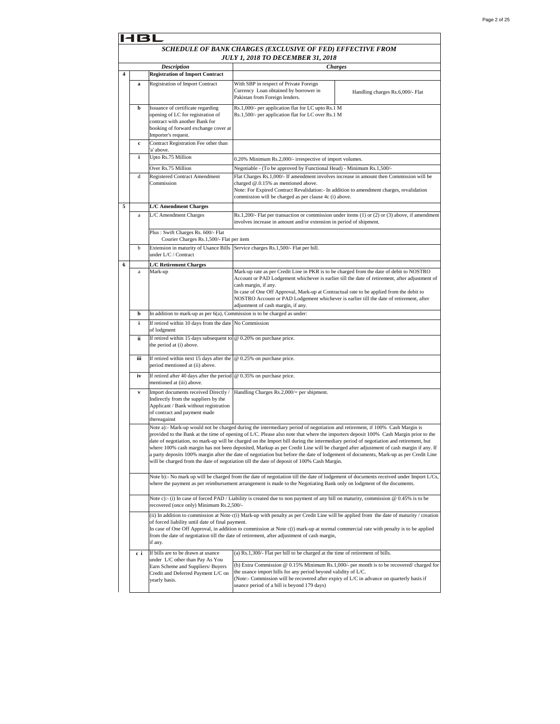|   | 14 B L   |                                                                                                                                                                         |                                                                                                                                                                                                                                                                                                                                                                   |                                                                                                                                                                                                                                                                                                                                                                                                                    |
|---|----------|-------------------------------------------------------------------------------------------------------------------------------------------------------------------------|-------------------------------------------------------------------------------------------------------------------------------------------------------------------------------------------------------------------------------------------------------------------------------------------------------------------------------------------------------------------|--------------------------------------------------------------------------------------------------------------------------------------------------------------------------------------------------------------------------------------------------------------------------------------------------------------------------------------------------------------------------------------------------------------------|
|   |          |                                                                                                                                                                         | SCHEDULE OF BANK CHARGES (EXCLUSIVE OF FED) EFFECTIVE FROM<br><b>JULY 1, 2018 TO DECEMBER 31, 2018</b>                                                                                                                                                                                                                                                            |                                                                                                                                                                                                                                                                                                                                                                                                                    |
|   |          | <b>Description</b>                                                                                                                                                      |                                                                                                                                                                                                                                                                                                                                                                   | <b>Charges</b>                                                                                                                                                                                                                                                                                                                                                                                                     |
| 4 |          | <b>Registration of Import Contract</b>                                                                                                                                  |                                                                                                                                                                                                                                                                                                                                                                   |                                                                                                                                                                                                                                                                                                                                                                                                                    |
|   | a        | Registration of Import Contract                                                                                                                                         | With SBP in respect of Private Foreign<br>Currency Loan obtained by borrower in<br>Pakistan from Foreign lenders.                                                                                                                                                                                                                                                 | Handling charges Rs.6,000/- Flat                                                                                                                                                                                                                                                                                                                                                                                   |
|   | b        | Issuance of certificate regarding<br>opening of LC for registration of<br>contract with another Bank for<br>booking of forward exchange cover at<br>Importer's request. | Rs.1,000/- per application flat for LC upto Rs.1 M<br>Rs.1,500/- per application flat for LC over Rs.1 M                                                                                                                                                                                                                                                          |                                                                                                                                                                                                                                                                                                                                                                                                                    |
|   | c        | Contract Registration Fee other than<br>'a' above.                                                                                                                      |                                                                                                                                                                                                                                                                                                                                                                   |                                                                                                                                                                                                                                                                                                                                                                                                                    |
|   | i        | Upto Rs.75 Million                                                                                                                                                      | 0.20% Minimum Rs.2,000/- irrespective of import volumes.                                                                                                                                                                                                                                                                                                          |                                                                                                                                                                                                                                                                                                                                                                                                                    |
|   | d        | Over Rs.75 Million<br>Registered Contract Amendment<br>Commission                                                                                                       | Negotiable - (To be approved by Functional Head) - Minimum Rs.1,500/-<br>Flat Charges Rs.1,000/- If amendment involves increase in amount then Commission will be<br>charged @.0.15% as mentioned above.<br>Note: For Expired Contract Revalidation: - In addition to amendment charges, revalidation<br>commission will be charged as per clause 4c (i) above.   |                                                                                                                                                                                                                                                                                                                                                                                                                    |
| 5 |          | <b>L/C Amendment Charges</b>                                                                                                                                            |                                                                                                                                                                                                                                                                                                                                                                   |                                                                                                                                                                                                                                                                                                                                                                                                                    |
|   | $\rm{a}$ | L/C Amendment Charges                                                                                                                                                   | involves increase in amount and/or extension in period of shipment.                                                                                                                                                                                                                                                                                               | Rs.1,200/- Flat per transaction or commission under items (1) or (2) or (3) above, if amendment                                                                                                                                                                                                                                                                                                                    |
|   |          | Plus: Swift Charges Rs. 600/- Flat<br>Courier Charges Rs.1,500/- Flat per item                                                                                          |                                                                                                                                                                                                                                                                                                                                                                   |                                                                                                                                                                                                                                                                                                                                                                                                                    |
|   | b        | under L/C / Contract                                                                                                                                                    | Extension in maturity of Usance Bills Service charges Rs.1,500/- Flat per bill.                                                                                                                                                                                                                                                                                   |                                                                                                                                                                                                                                                                                                                                                                                                                    |
| 6 |          | <b>L/C Retirement Charges</b>                                                                                                                                           |                                                                                                                                                                                                                                                                                                                                                                   |                                                                                                                                                                                                                                                                                                                                                                                                                    |
|   | a        | Mark-up                                                                                                                                                                 | Mark-up rate as per Credit Line in PKR is to be charged from the date of debit to NOSTRO<br>cash margin, if any.<br>In case of One Off Approval, Mark-up at Contractual rate to be applied from the debit to<br>NOSTRO Account or PAD Lodgement whichever is earlier till the date of retirement, after<br>adjustment of cash margin, if any.                     | Account or PAD Lodgement whichever is earlier till the date of retirement, after adjustment of                                                                                                                                                                                                                                                                                                                     |
|   | b        | In addition to mark-up as per $6(a)$ , Commission is to be charged as under:                                                                                            |                                                                                                                                                                                                                                                                                                                                                                   |                                                                                                                                                                                                                                                                                                                                                                                                                    |
|   | i        | If retired within 10 days from the date No Commission<br>of lodgment                                                                                                    |                                                                                                                                                                                                                                                                                                                                                                   |                                                                                                                                                                                                                                                                                                                                                                                                                    |
|   | ii       | If retired within 15 days subsequent to<br>the period at (i) above.                                                                                                     | @ 0.20% on purchase price.                                                                                                                                                                                                                                                                                                                                        |                                                                                                                                                                                                                                                                                                                                                                                                                    |
|   | iii      | If retired within next 15 days after the<br>period mentioned at (ii) above.                                                                                             | @ 0.25% on purchase price.                                                                                                                                                                                                                                                                                                                                        |                                                                                                                                                                                                                                                                                                                                                                                                                    |
|   | iv       | If retired after 40 days after the period<br>mentioned at (iii) above.                                                                                                  | @ 0.35% on purchase price.                                                                                                                                                                                                                                                                                                                                        |                                                                                                                                                                                                                                                                                                                                                                                                                    |
|   | V        | Import documents received Directly /<br>Indirectly from the suppliers by the<br>Applicant / Bank without registration<br>of contract and payment made<br>thereagainst   | Handling Charges Rs.2,000/= per shipment.                                                                                                                                                                                                                                                                                                                         |                                                                                                                                                                                                                                                                                                                                                                                                                    |
|   |          |                                                                                                                                                                         | Note a):- Mark-up would not be charged during the intermediary period of negotiation and retirement, if 100% Cash Margin is<br>date of negotiation, no mark-up will be charged on the Import bill during the intermediary period of negotiation and retirement, but<br>will be charged from the date of negotiation till the date of deposit of 100% Cash Margin. | provided to the Bank at the time of opening of L/C. Please also note that where the importers deposit 100% Cash Margin prior to the<br>where 100% cash margin has not been deposited, Markup as per Credit Line will be charged after adjustment of cash margin if any. If<br>a party deposits 100% margin after the date of negotiation but before the date of lodgement of documents, Mark-up as per Credit Line |
|   |          |                                                                                                                                                                         | where the payment as per reimbursement arrangement is made to the Negotiating Bank only on lodgment of the documents.                                                                                                                                                                                                                                             | Note b):- No mark up will be charged from the date of negotiation till the date of lodgement of documents received under Import L/Cs,                                                                                                                                                                                                                                                                              |
|   |          | recovered (once only) Minimum Rs.2,500/-                                                                                                                                | Note c):- (i) In case of forced PAD / Liability is created due to non payment of any bill on maturity, commission $@0.45\%$ is to be                                                                                                                                                                                                                              |                                                                                                                                                                                                                                                                                                                                                                                                                    |
|   |          | of forced liability until date of final payment.<br>if any.                                                                                                             | from the date of negotiation till the date of retirement, after adjustment of cash margin,                                                                                                                                                                                                                                                                        | (ii) In addition to commission at Note c(i) Mark-up with penalty as per Credit Line will be applied from the date of maturity / creation<br>In case of One Off Approval, in addition to commission at Note c(i) mark-up at normal commercial rate with penalty is to be applied                                                                                                                                    |
|   | сi       | If bills are to be drawn at usance                                                                                                                                      | (a) Rs.1,300/- Flat per bill to be charged at the time of retirement of bills.                                                                                                                                                                                                                                                                                    |                                                                                                                                                                                                                                                                                                                                                                                                                    |
|   |          | under L/C other than Pay As You<br>Earn Scheme and Suppliers/ Buyers<br>Credit and Deferred Payment L/C on<br>yearly basis.                                             | the usance import bills for any period beyond validity of L/C.<br>(Note:- Commission will be recovered after expiry of L/C in advance on quarterly basis if<br>usance period of a bill is beyond 179 days)                                                                                                                                                        | (b) Extra Commission $@0.15\%$ Minimum Rs.1,000/- per month is to be recovered/ charged for                                                                                                                                                                                                                                                                                                                        |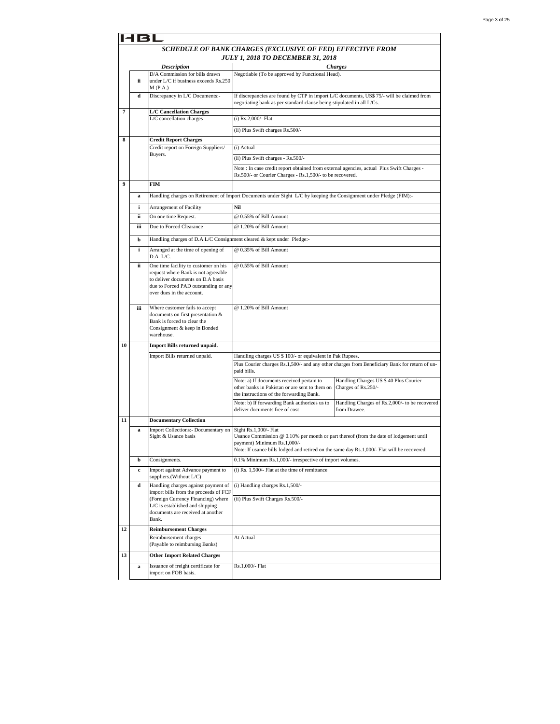|    | 131         |                                                                                                                                                                                       |                                                                                                                                                                                                                                              |                                                                                               |  |
|----|-------------|---------------------------------------------------------------------------------------------------------------------------------------------------------------------------------------|----------------------------------------------------------------------------------------------------------------------------------------------------------------------------------------------------------------------------------------------|-----------------------------------------------------------------------------------------------|--|
|    |             |                                                                                                                                                                                       | SCHEDULE OF BANK CHARGES (EXCLUSIVE OF FED) EFFECTIVE FROM<br><b>JULY 1, 2018 TO DECEMBER 31, 2018</b>                                                                                                                                       |                                                                                               |  |
|    |             | <b>Description</b>                                                                                                                                                                    |                                                                                                                                                                                                                                              | <b>Charges</b>                                                                                |  |
|    | ii          | D/A Commission for bills drawn<br>under L/C if business exceeds Rs.250<br>M(P.A.)                                                                                                     | Negotiable (To be approved by Functional Head).                                                                                                                                                                                              |                                                                                               |  |
|    | d           | Discrepancy in L/C Documents:-                                                                                                                                                        | If discrepancies are found by CTP in import L/C documents, US\$ 75/- will be claimed from<br>negotiating bank as per standard clause being stipulated in all L/Cs.                                                                           |                                                                                               |  |
| 7  |             | <b>L/C Cancellation Charges</b>                                                                                                                                                       |                                                                                                                                                                                                                                              |                                                                                               |  |
|    |             | L/C cancellation charges                                                                                                                                                              | (i) Rs.2,000/- Flat                                                                                                                                                                                                                          |                                                                                               |  |
|    |             |                                                                                                                                                                                       | (ii) Plus Swift charges Rs.500/-                                                                                                                                                                                                             |                                                                                               |  |
| 8  |             | <b>Credit Report Charges</b>                                                                                                                                                          |                                                                                                                                                                                                                                              |                                                                                               |  |
|    |             | Credit report on Foreign Suppliers/                                                                                                                                                   | (i) Actual                                                                                                                                                                                                                                   |                                                                                               |  |
|    |             | Buyers.                                                                                                                                                                               | (ii) Plus Swift charges - Rs.500/-                                                                                                                                                                                                           |                                                                                               |  |
|    |             |                                                                                                                                                                                       | Note : In case credit report obtained from external agencies, actual Plus Swift Charges -                                                                                                                                                    |                                                                                               |  |
|    |             |                                                                                                                                                                                       | Rs.500/- or Courier Charges - Rs.1,500/- to be recovered.                                                                                                                                                                                    |                                                                                               |  |
| 9  |             | <b>FIM</b>                                                                                                                                                                            |                                                                                                                                                                                                                                              |                                                                                               |  |
|    | a           |                                                                                                                                                                                       | Handling charges on Retirement of Import Documents under Sight L/C by keeping the Consignment under Pledge (FIM):-                                                                                                                           |                                                                                               |  |
|    | i           | Arrangement of Facility                                                                                                                                                               | Nil                                                                                                                                                                                                                                          |                                                                                               |  |
|    | ii          | On one time Request.                                                                                                                                                                  | @ 0.55% of Bill Amount                                                                                                                                                                                                                       |                                                                                               |  |
|    | iii         | Due to Forced Clearance                                                                                                                                                               | @ 1.20% of Bill Amount                                                                                                                                                                                                                       |                                                                                               |  |
|    | b           | Handling charges of D.A L/C Consignment cleared & kept under Pledge:-                                                                                                                 |                                                                                                                                                                                                                                              |                                                                                               |  |
|    | i           | Arranged at the time of opening of<br>D.A L/C.                                                                                                                                        | @ 0.35% of Bill Amount                                                                                                                                                                                                                       |                                                                                               |  |
|    | ii          | One time facility to customer on his<br>request where Bank is not agreeable<br>to deliver documents on D.A basis<br>due to Forced PAD outstanding or any<br>over dues in the account. | @ 0.55% of Bill Amount                                                                                                                                                                                                                       |                                                                                               |  |
|    | iii         | Where customer fails to accept<br>documents on first presentation &<br>Bank is forced to clear the<br>Consignment & keep in Bonded<br>warehouse.                                      | @ 1.20% of Bill Amount                                                                                                                                                                                                                       |                                                                                               |  |
| 10 |             | Import Bills returned unpaid.                                                                                                                                                         |                                                                                                                                                                                                                                              |                                                                                               |  |
|    |             | Import Bills returned unpaid.                                                                                                                                                         | Handling charges US \$ 100/- or equivalent in Pak Rupees.                                                                                                                                                                                    |                                                                                               |  |
|    |             |                                                                                                                                                                                       | paid bills.                                                                                                                                                                                                                                  | Plus Courier charges Rs.1,500/- and any other charges from Beneficiary Bank for return of un- |  |
|    |             |                                                                                                                                                                                       | Note: a) If documents received pertain to<br>other banks in Pakistan or are sent to them on<br>the instructions of the forwarding Bank.                                                                                                      | Handling Charges US \$ 40 Plus Courier<br>Charges of Rs.250/-                                 |  |
|    |             |                                                                                                                                                                                       | Note: b) If forwarding Bank authorizes us to<br>deliver documents free of cost                                                                                                                                                               | Handling Charges of Rs.2,000/- to be recovered<br>from Drawee.                                |  |
| 11 |             | <b>Documentary Collection</b>                                                                                                                                                         |                                                                                                                                                                                                                                              |                                                                                               |  |
|    | a           | Import Collections:- Documentary on<br>Sight & Usance basis                                                                                                                           | Sight Rs.1,000/- Flat<br>Usance Commission @ 0.10% per month or part thereof (from the date of lodgement until<br>payment) Minimum Rs.1,000/-<br>Note: If usance bills lodged and retired on the same day Rs.1,000/- Flat will be recovered. |                                                                                               |  |
|    | b           | Consignments.                                                                                                                                                                         | 0.1% Minimum Rs.1,000/- irrespective of import volumes.                                                                                                                                                                                      |                                                                                               |  |
|    | $\mathbf c$ | Import against Advance payment to<br>suppliers.(Without L/C)                                                                                                                          | (i) Rs. 1,500/- Flat at the time of remittance                                                                                                                                                                                               |                                                                                               |  |
|    | d           | Handling charges against payment of<br>import bills from the proceeds of FCF                                                                                                          | (i) Handling charges Rs.1,500/-                                                                                                                                                                                                              |                                                                                               |  |
|    |             | (Foreign Currency Financing) where<br>L/C is established and shipping<br>documents are received at another<br>Bank.                                                                   | (ii) Plus Swift Charges Rs.500/-                                                                                                                                                                                                             |                                                                                               |  |
| 12 |             | <b>Reimbursement Charges</b>                                                                                                                                                          |                                                                                                                                                                                                                                              |                                                                                               |  |
|    |             | Reimbursement charges<br>(Payable to reimbursing Banks)                                                                                                                               | At Actual                                                                                                                                                                                                                                    |                                                                                               |  |
| 13 |             | <b>Other Import Related Charges</b>                                                                                                                                                   |                                                                                                                                                                                                                                              |                                                                                               |  |
|    | a           | Issuance of freight certificate for<br>import on FOB basis.                                                                                                                           | Rs.1,000/- Flat                                                                                                                                                                                                                              |                                                                                               |  |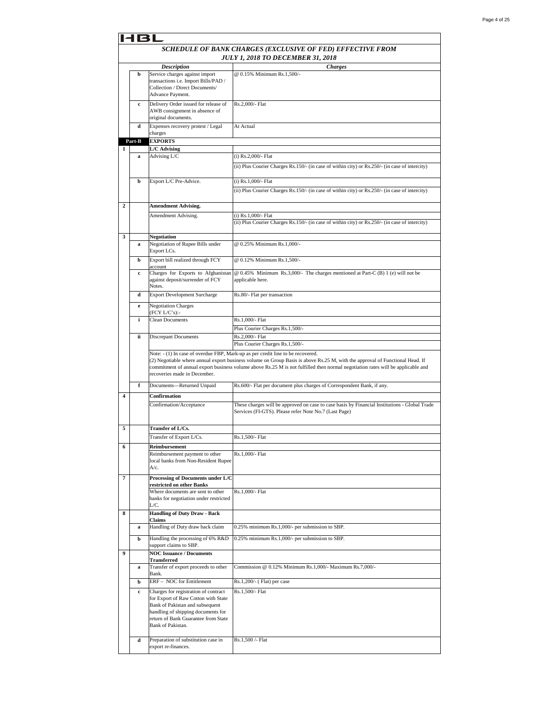|   | 4 6 L  |                                                                                                                                                                                                                         |                                                                                                                                                                                                                                                                                                                                                    |
|---|--------|-------------------------------------------------------------------------------------------------------------------------------------------------------------------------------------------------------------------------|----------------------------------------------------------------------------------------------------------------------------------------------------------------------------------------------------------------------------------------------------------------------------------------------------------------------------------------------------|
|   |        |                                                                                                                                                                                                                         | SCHEDULE OF BANK CHARGES (EXCLUSIVE OF FED) EFFECTIVE FROM                                                                                                                                                                                                                                                                                         |
|   |        |                                                                                                                                                                                                                         | JULY 1, 2018 TO DECEMBER 31, 2018                                                                                                                                                                                                                                                                                                                  |
|   |        | <b>Description</b>                                                                                                                                                                                                      | <b>Charges</b>                                                                                                                                                                                                                                                                                                                                     |
|   | b      | Service charges against import<br>transactions i.e. Import Bills/PAD /<br>Collection / Direct Documents/<br>Advance Payment.                                                                                            | @ 0.15% Minimum Rs.1,500/-                                                                                                                                                                                                                                                                                                                         |
|   | c      | Delivery Order issued for release of<br>AWB consignment in absence of<br>original documents.                                                                                                                            | Rs.2,000/- Flat                                                                                                                                                                                                                                                                                                                                    |
|   | d      | Expenses recovery protest / Legal<br>charges                                                                                                                                                                            | At Actual                                                                                                                                                                                                                                                                                                                                          |
|   | Part-B | <b>EXPORTS</b>                                                                                                                                                                                                          |                                                                                                                                                                                                                                                                                                                                                    |
| 1 |        | L/C Advising<br>Advising L/C                                                                                                                                                                                            |                                                                                                                                                                                                                                                                                                                                                    |
|   | a      |                                                                                                                                                                                                                         | (i) Rs.2,000/- Flat<br>(ii) Plus Courier Charges Rs.150/- (in case of within city) or Rs.250/- (in case of intercity)                                                                                                                                                                                                                              |
|   | b      | Export L/C Pre-Advice.                                                                                                                                                                                                  | (i) Rs.1,000/- Flat<br>(ii) Plus Courier Charges Rs.150/- (in case of within city) or Rs.250/- (in case of intercity)                                                                                                                                                                                                                              |
| 2 |        | <b>Amendment Advising.</b>                                                                                                                                                                                              |                                                                                                                                                                                                                                                                                                                                                    |
|   |        | Amendment Advising.                                                                                                                                                                                                     | (i) Rs.1,000/- Flat<br>(ii) Plus Courier Charges Rs.150/- (in case of within city) or Rs.250/- (in case of intercity)                                                                                                                                                                                                                              |
| 3 | a      | <b>Negotiation</b><br>Negotiation of Rupee Bills under<br>Export LCs.                                                                                                                                                   | @ 0.25% Minimum Rs.1,000/-                                                                                                                                                                                                                                                                                                                         |
|   | b      | Export bill realized through FCY<br>account                                                                                                                                                                             | @ 0.12% Minimum Rs.1,500/-                                                                                                                                                                                                                                                                                                                         |
|   | c      | Charges for Exports to Afghanistan<br>against deposit/surrender of FCY<br>Notes.                                                                                                                                        | @ 0.45% Minimum Rs.3,000/- The charges mentioned at Part-C (B) 1 (e) will not be<br>applicable here.                                                                                                                                                                                                                                               |
|   | d      | <b>Export Development Surcharge</b>                                                                                                                                                                                     | Rs.80/- Flat per transaction                                                                                                                                                                                                                                                                                                                       |
|   | e      | <b>Negotiation Charges</b><br>(FCY L/C's):                                                                                                                                                                              |                                                                                                                                                                                                                                                                                                                                                    |
|   | i      | <b>Clean Documents</b>                                                                                                                                                                                                  | Rs.1,000/- Flat<br>Plus Courier Charges Rs.1,500/-                                                                                                                                                                                                                                                                                                 |
|   | ii     | <b>Discrepant Documents</b>                                                                                                                                                                                             | Rs.2,000/- Flat<br>Plus Courier Charges Rs.1,500/-                                                                                                                                                                                                                                                                                                 |
|   |        | recoveries made in December.                                                                                                                                                                                            | Note: - (1) In case of overdue FBP, Mark-up as per credit line to be recovered.<br>(2) Negotiable where annual export business volume on Group Basis is above Rs.25 M, with the approval of Functional Head. If<br>commitment of annual export business volume above Rs.25 M is not fulfilled then normal negotiation rates will be applicable and |
|   | f      | Documents-Returned Unpaid                                                                                                                                                                                               | Rs.600/- Flat per document plus charges of Correspondent Bank, if any.                                                                                                                                                                                                                                                                             |
| 4 |        | Confirmation<br>Confirmation/Acceptance                                                                                                                                                                                 | These charges will be approved on case to case basis by Financial Institutions - Global Trade<br>Services (FI-GTS). Please refer Note No.7 (Last Page)                                                                                                                                                                                             |
| 5 |        | Transfer of L/Cs.<br>Transfer of Export L/Cs.                                                                                                                                                                           | Rs.1,500/- Flat                                                                                                                                                                                                                                                                                                                                    |
|   |        | Reimbursement                                                                                                                                                                                                           |                                                                                                                                                                                                                                                                                                                                                    |
| 6 |        | Reimbursement payment to other<br>local banks from Non-Resident Rupee<br>A/c.                                                                                                                                           | Rs.1,000/- Flat                                                                                                                                                                                                                                                                                                                                    |
| 7 |        | Processing of Documents under L/C<br>restricted on other Banks<br>Where documents are sent to other                                                                                                                     | Rs.1,000/- Flat                                                                                                                                                                                                                                                                                                                                    |
|   |        | banks for negotiation under restricted<br>L/C.                                                                                                                                                                          |                                                                                                                                                                                                                                                                                                                                                    |
| 8 |        | <b>Handling of Duty Draw - Back</b><br>Claims                                                                                                                                                                           |                                                                                                                                                                                                                                                                                                                                                    |
|   | a<br>b | Handling of Duty draw back claim<br>Handling the processing of 6% R&D                                                                                                                                                   | 0.25% minimum Rs.1,000/- per submission to SBP.<br>0.25% minimum Rs.1,000/- per submission to SBP.                                                                                                                                                                                                                                                 |
| 9 |        | support claims to SBP.<br><b>NOC Issuance / Documents</b>                                                                                                                                                               |                                                                                                                                                                                                                                                                                                                                                    |
|   | a      | <b>Transferred</b><br>Transfer of export proceeds to other                                                                                                                                                              | Commission @ 0.12% Minimum Rs.1,000/- Maximum Rs.7,000/-                                                                                                                                                                                                                                                                                           |
|   |        | Bank.                                                                                                                                                                                                                   |                                                                                                                                                                                                                                                                                                                                                    |
|   | b      | ERF - NOC for Entitlement                                                                                                                                                                                               | Rs.1,200/- (Flat) per case                                                                                                                                                                                                                                                                                                                         |
|   | c      | Charges for registration of contract<br>for Export of Raw Cotton with State<br>Bank of Pakistan and subsequent<br>handling of shipping documents for<br>return of Bank Guarantee from State<br><b>Bank of Pakistan.</b> | Rs.1,500/- Flat                                                                                                                                                                                                                                                                                                                                    |
|   | d      | Preparation of substitution case in<br>export re-finances.                                                                                                                                                              | Rs.1,500 /- Flat                                                                                                                                                                                                                                                                                                                                   |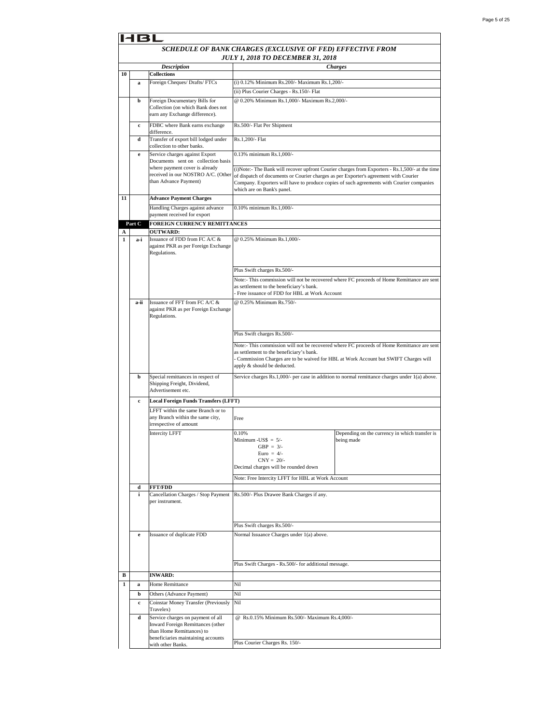|    |              |                                                                      | SCHEDULE OF BANK CHARGES (EXCLUSIVE OF FED) EFFECTIVE FROM                                                             |                                                                                                 |  |
|----|--------------|----------------------------------------------------------------------|------------------------------------------------------------------------------------------------------------------------|-------------------------------------------------------------------------------------------------|--|
|    |              |                                                                      | <b>JULY 1, 2018 TO DECEMBER 31, 2018</b>                                                                               |                                                                                                 |  |
|    |              | <b>Description</b>                                                   |                                                                                                                        | <b>Charges</b>                                                                                  |  |
| 10 |              | <b>Collections</b>                                                   |                                                                                                                        |                                                                                                 |  |
|    | a            | Foreign Cheques/ Drafts/ FTCs                                        | (i) 0.12% Minimum Rs.200/- Maximum Rs.1,200/-                                                                          |                                                                                                 |  |
|    |              |                                                                      | (ii) Plus Courier Charges - Rs.150/- Flat                                                                              |                                                                                                 |  |
|    | b            | Foreign Documentary Bills for                                        | @ 0.20% Minimum Rs.1,000/- Maximum Rs.2,000/-                                                                          |                                                                                                 |  |
|    |              | Collection (on which Bank does not<br>earn any Exchange difference). |                                                                                                                        |                                                                                                 |  |
|    | $\mathbf c$  | FDBC where Bank earns exchange                                       | Rs.500/- Flat Per Shipment                                                                                             |                                                                                                 |  |
|    |              | difference.                                                          |                                                                                                                        |                                                                                                 |  |
|    | d            | Transfer of export bill lodged under                                 | Rs.1,200/- Flat                                                                                                        |                                                                                                 |  |
|    |              | collection to other banks.                                           |                                                                                                                        |                                                                                                 |  |
|    | e            | Service charges against Export<br>Documents sent on collection basis | 0.13% minimum Rs.1,000/-                                                                                               |                                                                                                 |  |
|    |              | where payment cover is already                                       |                                                                                                                        | (i)Note:- The Bank will recover upfront Courier charges from Exporters - Rs.1,500/- at the time |  |
|    |              | received in our NOSTRO A/C. (Other                                   | of dispatch of documents or Courier charges as per Exporter's agreement with Courier                                   |                                                                                                 |  |
|    |              | than Advance Payment)                                                | Company. Exporters will have to produce copies of such agreements with Courier companies<br>which are on Bank's panel. |                                                                                                 |  |
| 11 |              | <b>Advance Payment Charges</b>                                       |                                                                                                                        |                                                                                                 |  |
|    |              | Handling Charges against advance                                     | 0.10% minimum Rs.1,000/-                                                                                               |                                                                                                 |  |
|    |              | payment received for export                                          |                                                                                                                        |                                                                                                 |  |
|    | Part C       | <b>FOREIGN CURRENCY REMITTANCES</b>                                  |                                                                                                                        |                                                                                                 |  |
| A  |              | <b>OUTWARD:</b>                                                      |                                                                                                                        |                                                                                                 |  |
| 1  | a-i          | Issuance of FDD from FC A/C &                                        | @ 0.25% Minimum Rs.1.000/-                                                                                             |                                                                                                 |  |
|    |              | against PKR as per Foreign Exchange<br>Regulations.                  |                                                                                                                        |                                                                                                 |  |
|    |              |                                                                      |                                                                                                                        |                                                                                                 |  |
|    |              |                                                                      | Plus Swift charges Rs.500/-                                                                                            |                                                                                                 |  |
|    |              |                                                                      |                                                                                                                        | Note:- This commission will not be recovered where FC proceeds of Home Remittance are sent      |  |
|    |              |                                                                      | as settlement to the beneficiary's bank.                                                                               |                                                                                                 |  |
|    |              |                                                                      | Free issuance of FDD for HBL at Work Account                                                                           |                                                                                                 |  |
|    | a-ii         | Issuance of FFT from FC A/C &                                        | @ 0.25% Minimum Rs.750/-                                                                                               |                                                                                                 |  |
|    |              | against PKR as per Foreign Exchange<br>Regulations.                  |                                                                                                                        |                                                                                                 |  |
|    |              |                                                                      |                                                                                                                        |                                                                                                 |  |
|    |              |                                                                      | Plus Swift charges Rs.500/-                                                                                            |                                                                                                 |  |
|    |              |                                                                      |                                                                                                                        | Note:- This commission will not be recovered where FC proceeds of Home Remittance are sent      |  |
|    |              |                                                                      | as settlement to the beneficiary's bank.                                                                               |                                                                                                 |  |
|    |              |                                                                      | Commission Charges are to be waived for HBL at Work Account but SWIFT Charges will                                     |                                                                                                 |  |
|    |              |                                                                      | apply & should be deducted.                                                                                            |                                                                                                 |  |
|    | b            | Special remittances in respect of<br>Shipping Freight, Dividend,     |                                                                                                                        | Service charges Rs.1,000/- per case in addition to normal remittance charges under 1(a) above.  |  |
|    |              | Advertisement etc.                                                   |                                                                                                                        |                                                                                                 |  |
|    | $\mathbf c$  | <b>Local Foreign Funds Transfers (LFFT)</b>                          |                                                                                                                        |                                                                                                 |  |
|    |              | LFFT within the same Branch or to                                    |                                                                                                                        |                                                                                                 |  |
|    |              | any Branch within the same city,                                     | Free                                                                                                                   |                                                                                                 |  |
|    |              | irrespective of amount                                               |                                                                                                                        |                                                                                                 |  |
|    |              | <b>Intercity LFFT</b>                                                | 0.10%<br>Minimum - $\text{USS} = 5$ /-                                                                                 | Depending on the currency in which transfer is<br>being made                                    |  |
|    |              |                                                                      | $GBP = 3/-$                                                                                                            |                                                                                                 |  |
|    |              |                                                                      | Euro = $4/-$<br>$CNY = 20/$                                                                                            |                                                                                                 |  |
|    |              |                                                                      | Decimal charges will be rounded down                                                                                   |                                                                                                 |  |
|    |              |                                                                      | Note: Free Intercity LFFT for HBL at Work Account                                                                      |                                                                                                 |  |
|    | d            | <b>FFT/FDD</b>                                                       |                                                                                                                        |                                                                                                 |  |
|    | i.           | Cancellation Charges / Stop Payment                                  | Rs.500/- Plus Drawee Bank Charges if any.                                                                              |                                                                                                 |  |
|    |              | per instrument.                                                      |                                                                                                                        |                                                                                                 |  |
|    |              |                                                                      |                                                                                                                        |                                                                                                 |  |
|    |              |                                                                      | Plus Swift charges Rs.500/-                                                                                            |                                                                                                 |  |
|    | e            | Issuance of duplicate FDD                                            | Normal Issuance Charges under 1(a) above.                                                                              |                                                                                                 |  |
|    |              |                                                                      |                                                                                                                        |                                                                                                 |  |
|    |              |                                                                      |                                                                                                                        |                                                                                                 |  |
|    |              |                                                                      | Plus Swift Charges - Rs.500/- for additional message.                                                                  |                                                                                                 |  |
|    |              |                                                                      |                                                                                                                        |                                                                                                 |  |
| в  |              | <b>INWARD:</b>                                                       |                                                                                                                        |                                                                                                 |  |
| 1  | a            | Home Remittance                                                      | Nil                                                                                                                    |                                                                                                 |  |
|    | b            | Others (Advance Payment)                                             | Nil                                                                                                                    |                                                                                                 |  |
|    | $\mathbf{c}$ | Coinstar Money Transfer (Previously<br>Travelex)                     | Nil                                                                                                                    |                                                                                                 |  |
|    | d            | Service charges on payment of all                                    | @ Rs.0.15% Minimum Rs.500/- Maximum Rs.4,000/-                                                                         |                                                                                                 |  |
|    |              | Inward Foreign Remittances (other<br>than Home Remittances) to       |                                                                                                                        |                                                                                                 |  |
|    |              | beneficiaries maintaining accounts                                   |                                                                                                                        |                                                                                                 |  |
|    |              | with other Banks.                                                    | Plus Courier Charges Rs. 150/-                                                                                         |                                                                                                 |  |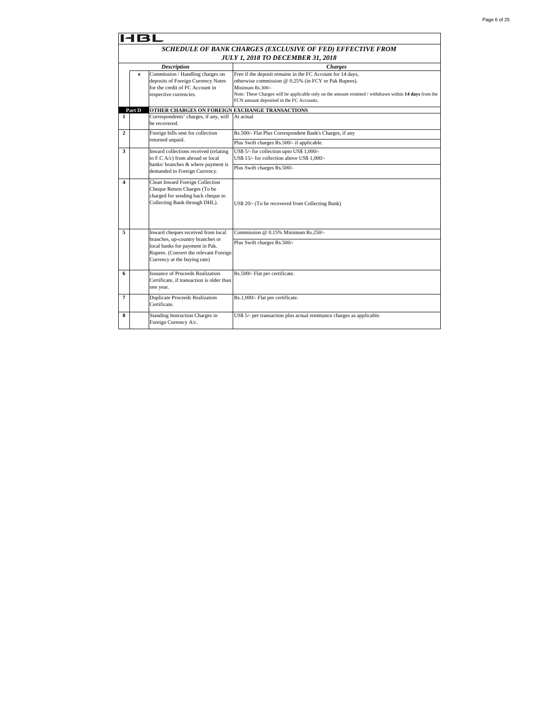|                         | 18L                                                        |                                                                                                                                              |                                                                                                                                                                                                                                                                                              |  |  |  |
|-------------------------|------------------------------------------------------------|----------------------------------------------------------------------------------------------------------------------------------------------|----------------------------------------------------------------------------------------------------------------------------------------------------------------------------------------------------------------------------------------------------------------------------------------------|--|--|--|
|                         | SCHEDULE OF BANK CHARGES (EXCLUSIVE OF FED) EFFECTIVE FROM |                                                                                                                                              |                                                                                                                                                                                                                                                                                              |  |  |  |
|                         | <b>JULY 1, 2018 TO DECEMBER 31, 2018</b>                   |                                                                                                                                              |                                                                                                                                                                                                                                                                                              |  |  |  |
|                         |                                                            | <b>Description</b>                                                                                                                           | <b>Charges</b>                                                                                                                                                                                                                                                                               |  |  |  |
|                         | e                                                          | Commission / Handling charges on<br>deposits of Foreign Currency Notes<br>for the credit of FC Account in<br>respective currencies.          | Free if the deposit remains in the FC Account for 14 days,<br>otherwise commission @ 0.25% (in FCY or Pak Rupees).<br>Minimum Rs.300/-<br>Note: These Charges will be applicable only on the amount remitted / withdrawn within 14 days from the<br>FCN amount deposited in the FC Accounts. |  |  |  |
|                         | Part D                                                     | OTHER CHARGES ON FOREIGN EXCHANGE TRANSACTIONS                                                                                               |                                                                                                                                                                                                                                                                                              |  |  |  |
| 1                       |                                                            | Correspondents' charges, if any, will<br>be recovered.                                                                                       | At actual                                                                                                                                                                                                                                                                                    |  |  |  |
| $\mathbf{2}$            |                                                            | Foreign bills sent for collection<br>returned unpaid.                                                                                        | Rs.500/- Flat Plus Correspondent Bank's Charges, if any                                                                                                                                                                                                                                      |  |  |  |
|                         |                                                            |                                                                                                                                              | Plus Swift charges Rs.500/- if applicable.                                                                                                                                                                                                                                                   |  |  |  |
| 3                       |                                                            | Inward collections received (relating<br>to F.C A/c) from abroad or local                                                                    | US\$ 5/- for collection upto US\$ 1,000/-<br>US\$ 15/- for collection above US\$ 1.000/-                                                                                                                                                                                                     |  |  |  |
|                         |                                                            | banks/ branches & where payment is<br>demanded in Foreign Currency.                                                                          | Plus Swift charges Rs.500/-                                                                                                                                                                                                                                                                  |  |  |  |
| $\overline{\mathbf{4}}$ |                                                            | Clean Inward Foreign Collection<br>Cheque Return Charges (To be<br>charged for sending back cheque to<br>Collecting Bank through DHL).       | US\$ 20/- (To be recovered from Collecting Bank)                                                                                                                                                                                                                                             |  |  |  |
| 5                       |                                                            | Inward cheques received from local                                                                                                           | Commission @ 0.15% Minimum Rs.250/-                                                                                                                                                                                                                                                          |  |  |  |
|                         |                                                            | branches, up-country branches or<br>local banks for payment in Pak.<br>Rupees. (Convert the relevant Foreign<br>Currency at the buying rate) | Plus Swift charges Rs.500/-                                                                                                                                                                                                                                                                  |  |  |  |
| 6                       |                                                            | <b>Issuance of Proceeds Realization</b><br>Certificate, if transaction is older than<br>one year.                                            | Rs.500/- Flat per certificate.                                                                                                                                                                                                                                                               |  |  |  |
| 7                       |                                                            | <b>Duplicate Proceeds Realization</b><br>Certificate.                                                                                        | Rs.1,000/- Flat per certificate.                                                                                                                                                                                                                                                             |  |  |  |
| 8                       |                                                            | Standing Instruction Charges in<br>Foreign Currency A/c.                                                                                     | US\$ 5/- per transaction plus actual remittance charges as applicable.                                                                                                                                                                                                                       |  |  |  |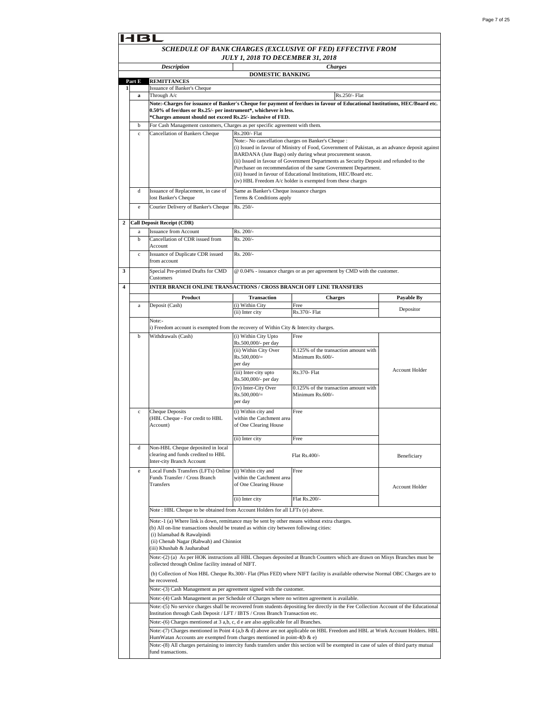|   |             |                                                                                                       | <b>JULY 1, 2018 TO DECEMBER 31, 2018</b>                                                                                                                                                |                                                                                                                                                                                                                                                                                                                                                                                                                                                               |                       |  |
|---|-------------|-------------------------------------------------------------------------------------------------------|-----------------------------------------------------------------------------------------------------------------------------------------------------------------------------------------|---------------------------------------------------------------------------------------------------------------------------------------------------------------------------------------------------------------------------------------------------------------------------------------------------------------------------------------------------------------------------------------------------------------------------------------------------------------|-----------------------|--|
|   |             | <b>Description</b>                                                                                    |                                                                                                                                                                                         | <b>Charges</b>                                                                                                                                                                                                                                                                                                                                                                                                                                                |                       |  |
|   | Part E      | <b>REMITTANCES</b>                                                                                    | <b>DOMESTIC BANKING</b>                                                                                                                                                                 |                                                                                                                                                                                                                                                                                                                                                                                                                                                               |                       |  |
| 1 |             | Issuance of Banker's Cheque                                                                           |                                                                                                                                                                                         |                                                                                                                                                                                                                                                                                                                                                                                                                                                               |                       |  |
|   | a           | Through A/c                                                                                           |                                                                                                                                                                                         | Rs.250/- Flat<br>Note:-Charges for issuance of Banker's Cheque for payment of fee/dues in favour of Educational Institutions, HEC/Board etc.                                                                                                                                                                                                                                                                                                                  |                       |  |
|   |             | 0.50% of fee/dues or Rs.25/- per instrument*, whichever is less.                                      |                                                                                                                                                                                         |                                                                                                                                                                                                                                                                                                                                                                                                                                                               |                       |  |
|   |             | *Charges amount should not exceed Rs.25/- inclusive of FED.                                           |                                                                                                                                                                                         |                                                                                                                                                                                                                                                                                                                                                                                                                                                               |                       |  |
|   | b           | For Cash Management customers, Charges as per specific agreement with them.                           |                                                                                                                                                                                         |                                                                                                                                                                                                                                                                                                                                                                                                                                                               |                       |  |
|   | $\mathbf c$ | Cancellation of Bankers Cheque                                                                        | Rs.200/- Flat<br>Note:- No cancellation charges on Banker's Cheque :                                                                                                                    | (i) Issued in favour of Ministry of Food, Government of Pakistan, as an advance deposit against<br>BARDANA (Jute Bags) only during wheat procurement season.<br>(ii) Issued in favour of Government Departments as Security Deposit and refunded to the<br>Purchaser on recommendation of the same Government Department.<br>(iii) Issued in favour of Educational Institutions, HEC/Board etc.<br>(iv) HBL Freedom A/c holder is exempted from these charges |                       |  |
|   | d           | Issuance of Replacement, in case of                                                                   | Same as Banker's Cheque issuance charges                                                                                                                                                |                                                                                                                                                                                                                                                                                                                                                                                                                                                               |                       |  |
|   |             | lost Banker's Cheque                                                                                  | Terms & Conditions apply                                                                                                                                                                |                                                                                                                                                                                                                                                                                                                                                                                                                                                               |                       |  |
|   | $\rm e$     | Courier Delivery of Banker's Cheque                                                                   | Rs. 250/-                                                                                                                                                                               |                                                                                                                                                                                                                                                                                                                                                                                                                                                               |                       |  |
|   |             | <b>Call Deposit Receipt (CDR)</b>                                                                     |                                                                                                                                                                                         |                                                                                                                                                                                                                                                                                                                                                                                                                                                               |                       |  |
|   | a           | <b>Issuance from Account</b>                                                                          | Rs. 200/-                                                                                                                                                                               |                                                                                                                                                                                                                                                                                                                                                                                                                                                               |                       |  |
|   | $\mathbf b$ | Cancellation of CDR issued from                                                                       | $Rs. 200/-$                                                                                                                                                                             |                                                                                                                                                                                                                                                                                                                                                                                                                                                               |                       |  |
|   | $\mathbf c$ | Account<br>Issuance of Duplicate CDR issued                                                           | Rs. 200/-                                                                                                                                                                               |                                                                                                                                                                                                                                                                                                                                                                                                                                                               |                       |  |
|   |             | from account                                                                                          |                                                                                                                                                                                         |                                                                                                                                                                                                                                                                                                                                                                                                                                                               |                       |  |
|   |             | Special Pre-printed Drafts for CMD                                                                    |                                                                                                                                                                                         | @ 0.04% - issuance charges or as per agreement by CMD with the customer.                                                                                                                                                                                                                                                                                                                                                                                      |                       |  |
|   |             | Customers                                                                                             |                                                                                                                                                                                         |                                                                                                                                                                                                                                                                                                                                                                                                                                                               |                       |  |
|   |             | INTER BRANCH ONLINE TRANSACTIONS / CROSS BRANCH OFF LINE TRANSFERS                                    |                                                                                                                                                                                         |                                                                                                                                                                                                                                                                                                                                                                                                                                                               |                       |  |
|   |             | Product                                                                                               | <b>Transaction</b>                                                                                                                                                                      | <b>Charges</b>                                                                                                                                                                                                                                                                                                                                                                                                                                                | <b>Payable By</b>     |  |
|   | $\mathbf a$ | Deposit (Cash)                                                                                        | (i) Within City<br>(ii) Inter city                                                                                                                                                      | Free<br>Rs.370/- Flat                                                                                                                                                                                                                                                                                                                                                                                                                                         | Depositor             |  |
|   |             | Note:-                                                                                                |                                                                                                                                                                                         |                                                                                                                                                                                                                                                                                                                                                                                                                                                               |                       |  |
|   |             | i) Freedom account is exempted from the recovery of Within City & Intercity charges.                  |                                                                                                                                                                                         |                                                                                                                                                                                                                                                                                                                                                                                                                                                               |                       |  |
|   | b           | Withdrawals (Cash)                                                                                    | (i) Within City Upto                                                                                                                                                                    | Free                                                                                                                                                                                                                                                                                                                                                                                                                                                          |                       |  |
|   |             |                                                                                                       | Rs.500,000/- per day<br>(ii) Within City Over<br>$Rs.500,000/=$<br>per day                                                                                                              | 0.125% of the transaction amount with<br>Minimum Rs.600/-                                                                                                                                                                                                                                                                                                                                                                                                     | <b>Account Holder</b> |  |
|   |             |                                                                                                       | (iii) Inter-city upto<br>Rs.500,000/- per day<br>(iv) Inter-City Over                                                                                                                   | Rs.370- Flat<br>0.125% of the transaction amount with                                                                                                                                                                                                                                                                                                                                                                                                         |                       |  |
|   |             |                                                                                                       | $Rs.500,000/=$<br>per day                                                                                                                                                               | Minimum Rs.600/-                                                                                                                                                                                                                                                                                                                                                                                                                                              |                       |  |
|   | $\mathbf c$ | <b>Cheque Deposits</b><br>(HBL Cheque - For credit to HBL<br>Account)                                 | (i) Within city and<br>within the Catchment area<br>of One Clearing House                                                                                                               | Free                                                                                                                                                                                                                                                                                                                                                                                                                                                          |                       |  |
|   |             |                                                                                                       | (ii) Inter city                                                                                                                                                                         | Free                                                                                                                                                                                                                                                                                                                                                                                                                                                          |                       |  |
|   | d           | Non-HBL Cheque deposited in local<br>clearing and funds credited to HBL<br>Inter-city Branch Account  |                                                                                                                                                                                         | Flat Rs.400/-                                                                                                                                                                                                                                                                                                                                                                                                                                                 | Beneficiary           |  |
|   | e           | Local Funds Transfers (LFTs) Online (i) Within city and<br>Funds Transfer / Cross Branch<br>Transfers | within the Catchment area<br>of One Clearing House                                                                                                                                      | Free                                                                                                                                                                                                                                                                                                                                                                                                                                                          | <b>Account Holder</b> |  |
|   |             |                                                                                                       | (ii) Inter city                                                                                                                                                                         | Flat Rs.200/-                                                                                                                                                                                                                                                                                                                                                                                                                                                 |                       |  |
|   |             | Note: HBL Cheque to be obtained from Account Holders for all LFTs (e) above.                          |                                                                                                                                                                                         |                                                                                                                                                                                                                                                                                                                                                                                                                                                               |                       |  |
|   |             | (i) Islamabad & Rawalpindi<br>(ii) Chenab Nagar (Rabwah) and Chinniot<br>(iii) Khushab & Jauharabad   | Note:-1 (a) Where link is down, remittance may be sent by other means without extra charges.<br>(b) All on-line transactions should be treated as within city between following cities: |                                                                                                                                                                                                                                                                                                                                                                                                                                                               |                       |  |
|   |             | collected through Online facility instead of NIFT.                                                    |                                                                                                                                                                                         | Note:-(2) (a) As per HOK instructions all HBL Cheques deposited at Branch Counters which are drawn on Misys Branches must be                                                                                                                                                                                                                                                                                                                                  |                       |  |
|   |             | be recovered.                                                                                         |                                                                                                                                                                                         | (b) Collection of Non HBL Cheque Rs.300/- Flat (Plus FED) where NIFT facility is available otherwise Normal OBC Charges are to                                                                                                                                                                                                                                                                                                                                |                       |  |
|   |             | Note:-(3) Cash Management as per agreement signed with the customer.                                  |                                                                                                                                                                                         |                                                                                                                                                                                                                                                                                                                                                                                                                                                               |                       |  |
|   |             | Note:-(4) Cash Management as per Schedule of Charges where no written agreement is available.         |                                                                                                                                                                                         | Note:-(5) No service charges shall be recovered from students depositing fee directly in the Fee Collection Account of the Educational                                                                                                                                                                                                                                                                                                                        |                       |  |
|   |             | Institution through Cash Deposit / LFT / IBTS / Cross Branch Transaction etc.                         |                                                                                                                                                                                         |                                                                                                                                                                                                                                                                                                                                                                                                                                                               |                       |  |
|   |             | Note:-(6) Charges mentioned at 3 a,b, c, d e are also applicable for all Branches.                    |                                                                                                                                                                                         |                                                                                                                                                                                                                                                                                                                                                                                                                                                               |                       |  |
|   |             |                                                                                                       |                                                                                                                                                                                         | Note:-(7) Charges mentioned in Point 4 (a,b & d) above are not applicable on HBL Freedom and HBL at Work Account Holders. HBL                                                                                                                                                                                                                                                                                                                                 |                       |  |
|   |             | HumWatan Accounts are exempted from charges mentioned in point-4(b & e)                               |                                                                                                                                                                                         | Note:-(8) All charges pertaining to intercity funds transfers under this section will be exempted in case of sales of third party mutual                                                                                                                                                                                                                                                                                                                      |                       |  |
|   |             |                                                                                                       |                                                                                                                                                                                         |                                                                                                                                                                                                                                                                                                                                                                                                                                                               |                       |  |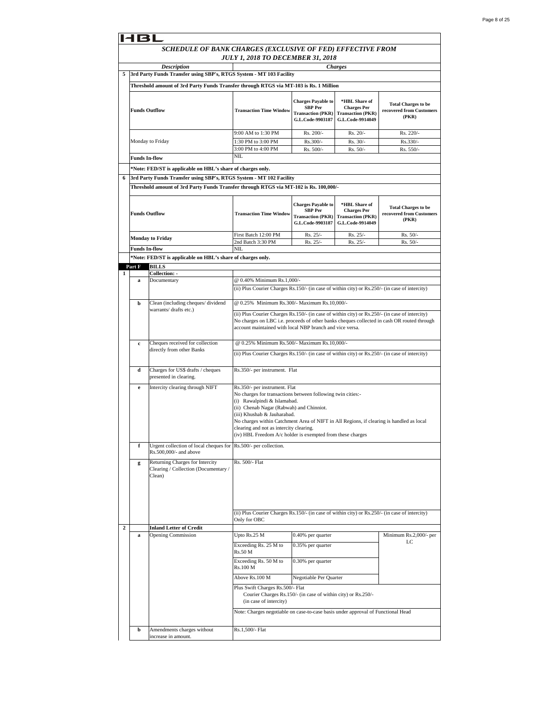|                | 14BL                   |                                                                                       |                                                                                                                                                                                                                                                                                                                                                                                                             |                                                                                             |                                                                                     |                                                                 |
|----------------|------------------------|---------------------------------------------------------------------------------------|-------------------------------------------------------------------------------------------------------------------------------------------------------------------------------------------------------------------------------------------------------------------------------------------------------------------------------------------------------------------------------------------------------------|---------------------------------------------------------------------------------------------|-------------------------------------------------------------------------------------|-----------------------------------------------------------------|
|                |                        | SCHEDULE OF BANK CHARGES (EXCLUSIVE OF FED) EFFECTIVE FROM                            | JULY 1, 2018 TO DECEMBER 31, 2018                                                                                                                                                                                                                                                                                                                                                                           |                                                                                             |                                                                                     |                                                                 |
|                |                        | <b>Description</b>                                                                    |                                                                                                                                                                                                                                                                                                                                                                                                             |                                                                                             | <b>Charges</b>                                                                      |                                                                 |
| 5              |                        | 3rd Party Funds Transfer using SBP's, RTGS System - MT 103 Facility                   |                                                                                                                                                                                                                                                                                                                                                                                                             |                                                                                             |                                                                                     |                                                                 |
|                |                        | Threshold amount of 3rd Party Funds Transfer through RTGS via MT-103 is Rs. 1 Million |                                                                                                                                                                                                                                                                                                                                                                                                             |                                                                                             |                                                                                     |                                                                 |
|                |                        |                                                                                       |                                                                                                                                                                                                                                                                                                                                                                                                             |                                                                                             |                                                                                     |                                                                 |
|                | <b>Funds Outflow</b>   |                                                                                       | <b>Transaction Time Window</b>                                                                                                                                                                                                                                                                                                                                                                              | <b>Charges Payable to</b><br><b>SBP</b> Per<br><b>Transaction (PKR)</b><br>G.L.Code-9903187 | *HBL Share of<br><b>Charges Per</b><br><b>Transaction (PKR)</b><br>G.L.Code-9914049 | <b>Total Charges to be</b><br>recovered from Customers<br>(PKR) |
|                |                        |                                                                                       | 9:00 AM to 1:30 PM                                                                                                                                                                                                                                                                                                                                                                                          | Rs. 200/-                                                                                   | Rs. 20/-                                                                            | Rs. 220/-                                                       |
|                |                        | Monday to Friday                                                                      | 1:30 PM to 3:00 PM                                                                                                                                                                                                                                                                                                                                                                                          | Rs.300/-                                                                                    | $Rs. 30/-$                                                                          | Rs.330/-                                                        |
|                |                        |                                                                                       | 3:00 PM to 4:00 PM                                                                                                                                                                                                                                                                                                                                                                                          | Rs. 500/-                                                                                   | Rs. 50/-                                                                            | Rs. 550/-                                                       |
|                | <b>Funds In-flow</b>   |                                                                                       | NΙL                                                                                                                                                                                                                                                                                                                                                                                                         |                                                                                             |                                                                                     |                                                                 |
|                |                        | *Note: FED/ST is applicable on HBL's share of charges only.                           |                                                                                                                                                                                                                                                                                                                                                                                                             |                                                                                             |                                                                                     |                                                                 |
| 6              |                        | 3rd Party Funds Transfer using SBP's, RTGS System - MT 102 Facility                   |                                                                                                                                                                                                                                                                                                                                                                                                             |                                                                                             |                                                                                     |                                                                 |
|                |                        | Threshold amount of 3rd Party Funds Transfer through RTGS via MT-102 is Rs. 100,000/- |                                                                                                                                                                                                                                                                                                                                                                                                             |                                                                                             |                                                                                     |                                                                 |
|                | <b>Funds Outflow</b>   |                                                                                       | <b>Transaction Time Window</b>                                                                                                                                                                                                                                                                                                                                                                              | <b>Charges Payable to</b><br><b>SBP</b> Per<br><b>Transaction (PKR)</b><br>G.L.Code-9903187 | *HBL Share of<br><b>Charges Per</b><br><b>Transaction (PKR)</b><br>G.L.Code-9914049 | <b>Total Charges to be</b><br>recovered from Customers<br>(PKR) |
|                |                        |                                                                                       | First Batch 12:00 PM                                                                                                                                                                                                                                                                                                                                                                                        | Rs. 25/-                                                                                    | Rs. 25/-                                                                            | $Rs. 50/-$                                                      |
|                |                        | <b>Monday to Friday</b>                                                               | 2nd Batch 3:30 PM                                                                                                                                                                                                                                                                                                                                                                                           | Rs. 25/-                                                                                    | Rs. 25/-                                                                            | $Rs. 50/-$                                                      |
|                | <b>Funds In-flow</b>   |                                                                                       | NII                                                                                                                                                                                                                                                                                                                                                                                                         |                                                                                             |                                                                                     |                                                                 |
|                |                        | *Note: FED/ST is applicable on HBL's share of charges only.                           |                                                                                                                                                                                                                                                                                                                                                                                                             |                                                                                             |                                                                                     |                                                                 |
| 1              | Part F                 | <b>BILLS</b><br>Collection: -                                                         |                                                                                                                                                                                                                                                                                                                                                                                                             |                                                                                             |                                                                                     |                                                                 |
|                | a                      | Documentary                                                                           | @ 0.40% Minimum Rs.1,000/-                                                                                                                                                                                                                                                                                                                                                                                  |                                                                                             |                                                                                     |                                                                 |
|                |                        |                                                                                       | (ii) Plus Courier Charges Rs.150/- (in case of within city) or Rs.250/- (in case of intercity)                                                                                                                                                                                                                                                                                                              |                                                                                             |                                                                                     |                                                                 |
|                | b                      | Clean (including cheques/dividend                                                     | @ 0.25% Minimum Rs.300/- Maximum Rs.10,000/-                                                                                                                                                                                                                                                                                                                                                                |                                                                                             |                                                                                     |                                                                 |
|                | warrants/ drafts etc.) |                                                                                       | (ii) Plus Courier Charges Rs.150/- (in case of within city) or Rs.250/- (in case of intercity)<br>No charges on LBC i.e. proceeds of other banks cheques collected in cash OR routed through<br>account maintained with local NBP branch and vice versa.                                                                                                                                                    |                                                                                             |                                                                                     |                                                                 |
|                | c                      | Cheques received for collection                                                       | @ 0.25% Minimum Rs.500/- Maximum Rs.10,000/-                                                                                                                                                                                                                                                                                                                                                                |                                                                                             |                                                                                     |                                                                 |
|                |                        | directly from other Banks                                                             | (ii) Plus Courier Charges Rs.150/- (in case of within city) or Rs.250/- (in case of intercity)                                                                                                                                                                                                                                                                                                              |                                                                                             |                                                                                     |                                                                 |
|                | d                      | Charges for US\$ drafts / cheques<br>presented in clearing.                           | Rs.350/- per instrument. Flat                                                                                                                                                                                                                                                                                                                                                                               |                                                                                             |                                                                                     |                                                                 |
|                | e                      | Intercity clearing through NIFT                                                       | Rs.350/- per instrument. Flat<br>No charges for transactions between following twin cities:-<br>(i) Rawalpindi & Islamabad.<br>(ii) Chenab Nagar (Rabwah) and Chinniot.<br>(iii) Khushab & Jauharabad.<br>No charges within Catchment Area of NIFT in All Regions, if clearing is handled as local<br>clearing and not as intercity clearing.<br>(iv) HBL Freedom A/c holder is exempted from these charges |                                                                                             |                                                                                     |                                                                 |
|                |                        | Urgent collection of local cheques for [Rs.500/- per collection.                      |                                                                                                                                                                                                                                                                                                                                                                                                             |                                                                                             |                                                                                     |                                                                 |
|                | g                      | Rs.500,000/- and above<br>Returning Charges for Intercity                             | Rs. 500/- Flat                                                                                                                                                                                                                                                                                                                                                                                              |                                                                                             |                                                                                     |                                                                 |
|                |                        | Clearing / Collection (Documentary /<br>Clean)                                        |                                                                                                                                                                                                                                                                                                                                                                                                             |                                                                                             |                                                                                     |                                                                 |
|                |                        |                                                                                       | (ii) Plus Courier Charges Rs.150/- (in case of within city) or Rs.250/- (in case of intercity)<br>Only for OBC                                                                                                                                                                                                                                                                                              |                                                                                             |                                                                                     |                                                                 |
| $\overline{2}$ |                        | <b>Inland Letter of Credit</b>                                                        |                                                                                                                                                                                                                                                                                                                                                                                                             |                                                                                             |                                                                                     |                                                                 |
|                | a                      | <b>Opening Commission</b>                                                             | Upto Rs.25 M                                                                                                                                                                                                                                                                                                                                                                                                | 0.40% per quarter                                                                           |                                                                                     | Minimum Rs.2,000/- per<br>LC                                    |
|                |                        |                                                                                       | Exceeding Rs. 25 M to<br>Rs.50 M                                                                                                                                                                                                                                                                                                                                                                            | 0.35% per quarter                                                                           |                                                                                     |                                                                 |
|                |                        |                                                                                       | Exceeding Rs. 50 M to<br>Rs.100 M                                                                                                                                                                                                                                                                                                                                                                           | 0.30% per quarter                                                                           |                                                                                     |                                                                 |
|                |                        |                                                                                       | Above Rs.100 M                                                                                                                                                                                                                                                                                                                                                                                              | Negotiable Per Quarter                                                                      |                                                                                     |                                                                 |
|                |                        |                                                                                       | Plus Swift Charges Rs.500/- Flat<br>Courier Charges Rs.150/- (in case of within city) or Rs.250/-<br>(in case of intercity)                                                                                                                                                                                                                                                                                 |                                                                                             |                                                                                     |                                                                 |
|                |                        |                                                                                       | Note: Charges negotiable on case-to-case basis under approval of Functional Head                                                                                                                                                                                                                                                                                                                            |                                                                                             |                                                                                     |                                                                 |
|                | b                      | Amendments charges without<br>increase in amount.                                     | Rs.1,500/- Flat                                                                                                                                                                                                                                                                                                                                                                                             |                                                                                             |                                                                                     |                                                                 |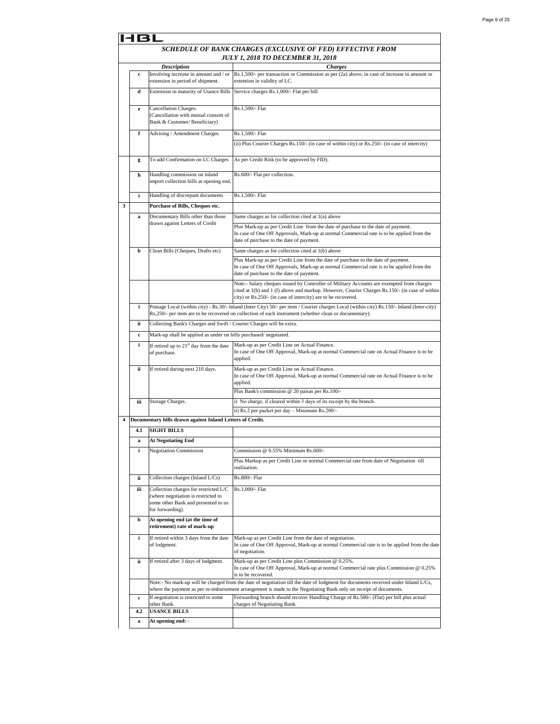|   | 61          |                                                                                                                                         |                                                                                                                                                                                                                                                              |  |
|---|-------------|-----------------------------------------------------------------------------------------------------------------------------------------|--------------------------------------------------------------------------------------------------------------------------------------------------------------------------------------------------------------------------------------------------------------|--|
|   |             |                                                                                                                                         | SCHEDULE OF BANK CHARGES (EXCLUSIVE OF FED) EFFECTIVE FROM                                                                                                                                                                                                   |  |
|   |             |                                                                                                                                         | <b>JULY 1, 2018 TO DECEMBER 31, 2018</b>                                                                                                                                                                                                                     |  |
|   |             | <b>Description</b>                                                                                                                      | <b>Charges</b>                                                                                                                                                                                                                                               |  |
|   | $\mathbf c$ | Involving increase in amount and / or<br>extension in period of shipment.                                                               | Rs.1,500/- per transaction or Commission as per (2a) above, in case of increase in amount or<br>extention in validity of LC.                                                                                                                                 |  |
|   | d           | Extension in maturity of Usance Bills                                                                                                   | Service charges Rs.1,000/- Flat per bill                                                                                                                                                                                                                     |  |
|   | e           | Cancellation Charges.<br>(Cancellation with mutual consent of<br>Bank & Customer/ Beneficiary)                                          | Rs.1,500/- Flat                                                                                                                                                                                                                                              |  |
|   | f           | Advising / Amendment Charges.                                                                                                           | Rs.1,500/- Flat                                                                                                                                                                                                                                              |  |
|   |             |                                                                                                                                         | (ii) Plus Courier Charges Rs.150/- (in case of within city) or Rs.250/- (in case of intercity)                                                                                                                                                               |  |
|   | g           | To add Confirmation on LC Charges                                                                                                       | As per Credit Risk (to be approved by FID).                                                                                                                                                                                                                  |  |
|   | h           | Handling commission on inland<br>import collection bills at opening end.                                                                | Rs.600/- Flat per collection.                                                                                                                                                                                                                                |  |
|   | i           | Handling of discrepant documents                                                                                                        | Rs.1,500/- Flat                                                                                                                                                                                                                                              |  |
| 3 |             |                                                                                                                                         |                                                                                                                                                                                                                                                              |  |
|   |             | Purchase of Bills, Cheques etc.                                                                                                         |                                                                                                                                                                                                                                                              |  |
|   | a           | Documentary Bills other than those<br>drawn against Letters of Credit                                                                   | Same charges as for collection cited at 1(a) above                                                                                                                                                                                                           |  |
|   |             |                                                                                                                                         | Plus Mark-up as per Credit Line from the date of purchase to the date of payment.<br>In case of One Off Approvals, Mark-up at normal Commercial rate is to be applied from the<br>date of purchase to the date of payment.                                   |  |
|   | b           | Clean Bills (Cheques, Drafts etc)                                                                                                       | Same charges as for collection cited at 1(b) above                                                                                                                                                                                                           |  |
|   |             |                                                                                                                                         | Plus Mark-up as per Credit Line from the date of purchase to the date of payment.<br>In case of One Off Approvals, Mark-up at normal Commercial rate is to be applied from the<br>date of purchase to the date of payment.                                   |  |
|   |             |                                                                                                                                         | Note:- Salary cheques issued by Controller of Military Accounts are exempted from charges<br>cited at 1(b) and 1 (f) above and markup. However, Courier Charges Rs.150/- (in case of within<br>city) or Rs.250/- (in case of intercity) are to be recovered. |  |
|   | i           |                                                                                                                                         | Postage Local (within city) - Rs.30/- Inland (Inter City) 50/- per item / Courier charges Local (within city) Rs.150/- Inland (Inter-city)<br>Rs.250/- per item are to be recovered on collection of each instrument (whether clean or documentary).         |  |
|   | ii          | Collecting Bank's Charges and Swift / Courier Charges will be extra.                                                                    |                                                                                                                                                                                                                                                              |  |
|   | $\mathbf c$ | Mark-up shall be applied as under on bills purchased/negotiated.                                                                        |                                                                                                                                                                                                                                                              |  |
|   | i           | If retired up to 21 <sup>st</sup> day from the date<br>of purchase.                                                                     | Mark-up as per Credit Line on Actual Finance.<br>In case of One Off Approval, Mark-up at normal Commercial rate on Actual Finance is to be<br>applied.                                                                                                       |  |
|   | ii          | If retired during next 210 days.                                                                                                        | Mark-up as per Credit Line on Actual Finance.<br>In case of One Off Approval, Mark-up at normal Commercial rate on Actual Finance is to be<br>applied.<br>Plus Bank's commission @ 20 paisas per Rs.100/-                                                    |  |
|   | iii         | Storage Charges.                                                                                                                        | i) No charge, if cleared within 3 days of its receipt by the branch.                                                                                                                                                                                         |  |
|   |             |                                                                                                                                         | ii) Rs.2 per packet per day - Minimum Rs.200/-                                                                                                                                                                                                               |  |
| 4 |             | Documentary bills drawn against Inland Letters of Credit.                                                                               |                                                                                                                                                                                                                                                              |  |
|   | 4.1         | <b>SIGHT BILLS</b>                                                                                                                      |                                                                                                                                                                                                                                                              |  |
|   |             |                                                                                                                                         |                                                                                                                                                                                                                                                              |  |
|   | a           | <b>At Negotiating End</b>                                                                                                               |                                                                                                                                                                                                                                                              |  |
|   | i           | <b>Negotiation Commission</b>                                                                                                           | Commission @ 0.55% Minimum Rs.600/-                                                                                                                                                                                                                          |  |
|   |             |                                                                                                                                         | Plus Markup as per Credit Line or normal Commercial rate from date of Negotiation till<br>realization.                                                                                                                                                       |  |
|   | ii          | Collection charges (Inland L/Cs)                                                                                                        | Rs.800/- Flat                                                                                                                                                                                                                                                |  |
|   | iii         | Collection charges for restricted L/C<br>(where negotiation is restricted to<br>some other Bank and presented to us<br>for forwarding). | Rs.1,000/- Flat                                                                                                                                                                                                                                              |  |
|   | þ           | At opening end (at the time of<br>retirement) rate of mark-up                                                                           |                                                                                                                                                                                                                                                              |  |
|   | i           | If retired within 3 days from the date<br>of lodgment.                                                                                  | Mark-up as per Credit Line from the date of negotiation.<br>In case of One Off Approval, Mark-up at normal Commercial rate is to be applied from the date<br>of negotiation.                                                                                 |  |
|   | ii          | If retired after 3 days of lodgment.                                                                                                    | Mark-up as per Credit Line plus Commission @ 0.25%.<br>In case of One Off Approval, Mark-up at normal Commercial rate plus Commission @ 0.25%<br>is to be recovered.                                                                                         |  |
|   |             |                                                                                                                                         | Note:- No mark-up will be charged from the date of negotiation till the date of lodgment for documents received under Inland L/Cs,                                                                                                                           |  |
|   | $\mathbf c$ | If negotiation is restricted to some<br>other Bank.                                                                                     | where the payment as per re-imbursement arrangement is made to the Negotiating Bank only on receipt of documents.<br>Forwarding branch should recover Handling Charge of Rs.500/- (Flat) per bill plus actual<br>charges of Negotiating Bank.                |  |
|   | 4.2         | <b>USANCE BILLS</b>                                                                                                                     |                                                                                                                                                                                                                                                              |  |
|   | a           | At opening end: -                                                                                                                       |                                                                                                                                                                                                                                                              |  |
|   |             |                                                                                                                                         |                                                                                                                                                                                                                                                              |  |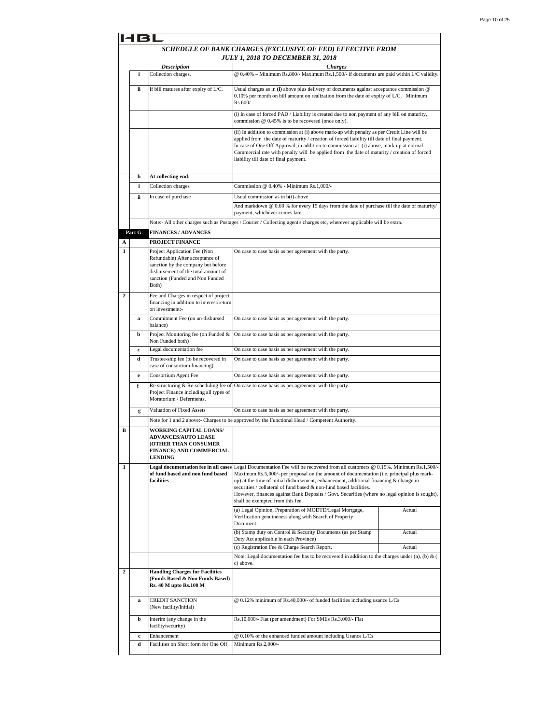|                  | 131         |                                                                                                                                                                                          |                                                                                                                                                                                                                                                                                                                                                                                                                               |        |  |
|------------------|-------------|------------------------------------------------------------------------------------------------------------------------------------------------------------------------------------------|-------------------------------------------------------------------------------------------------------------------------------------------------------------------------------------------------------------------------------------------------------------------------------------------------------------------------------------------------------------------------------------------------------------------------------|--------|--|
|                  |             |                                                                                                                                                                                          | SCHEDULE OF BANK CHARGES (EXCLUSIVE OF FED) EFFECTIVE FROM<br><b>JULY 1, 2018 TO DECEMBER 31, 2018</b>                                                                                                                                                                                                                                                                                                                        |        |  |
|                  |             | <b>Description</b>                                                                                                                                                                       | <b>Charges</b>                                                                                                                                                                                                                                                                                                                                                                                                                |        |  |
|                  | i           | Collection charges.                                                                                                                                                                      | @ 0.40% - Minimum Rs.800/- Maximum Rs.1,500/- if documents are paid within L/C validity.                                                                                                                                                                                                                                                                                                                                      |        |  |
|                  | ii          | If bill matures after expiry of L/C.                                                                                                                                                     | Usual charges as in (i) above plus delivery of documents against acceptance commission @<br>0.10% per month on bill amount on realization from the date of expiry of L/C. Minimum<br>Rs.600/-.                                                                                                                                                                                                                                |        |  |
|                  |             |                                                                                                                                                                                          | (i) In case of forced PAD / Liability is created due to non payment of any bill on maturity,<br>commission @ 0.45% is to be recovered (once only).                                                                                                                                                                                                                                                                            |        |  |
|                  |             |                                                                                                                                                                                          | (ii) In addition to commission at (i) above mark-up with penalty as per Credit Line will be<br>applied from the date of maturity / creation of forced liability till date of final payment.<br>In case of One Off Approval, in addition to commission at (i) above, mark-up at normal<br>Commercial rate with penalty will be applied from the date of maturity / creation of forced<br>liability till date of final payment. |        |  |
|                  | b           | At collecting end:                                                                                                                                                                       |                                                                                                                                                                                                                                                                                                                                                                                                                               |        |  |
|                  | i           | Collection charges                                                                                                                                                                       | Commission @ 0.40% - Minimum Rs.1,000/-                                                                                                                                                                                                                                                                                                                                                                                       |        |  |
|                  | ii          | In case of purchase                                                                                                                                                                      | Usual commission as in b(i) above<br>And markdown $@0.60$ % for every 15 days from the date of purchase till the date of maturity/<br>payment, whichever comes later.                                                                                                                                                                                                                                                         |        |  |
|                  |             |                                                                                                                                                                                          | Note:- All other charges such as Postages / Courier / Collecting agent's charges etc, wherever applicable will be extra.                                                                                                                                                                                                                                                                                                      |        |  |
|                  | Part G      | <b>FINANCES / ADVANCES</b>                                                                                                                                                               |                                                                                                                                                                                                                                                                                                                                                                                                                               |        |  |
| A                |             | <b>PROJECT FINANCE</b>                                                                                                                                                                   |                                                                                                                                                                                                                                                                                                                                                                                                                               |        |  |
| 1                |             | Project Application Fee (Non<br>Refundable) After acceptance of<br>sanction by the company but before<br>disbursement of the total amount of<br>sanction (Funded and Non Funded<br>Both) | On case to case basis as per agreement with the party.                                                                                                                                                                                                                                                                                                                                                                        |        |  |
| 2                |             | Fee and Charges in respect of project<br>financing in addition to interest/return<br>on investment:-                                                                                     |                                                                                                                                                                                                                                                                                                                                                                                                                               |        |  |
|                  | я           | Commitment Fee (on un-disbursed<br>balance)                                                                                                                                              | On case to case basis as per agreement with the party.                                                                                                                                                                                                                                                                                                                                                                        |        |  |
|                  | b           | Project Monitoring fee (on Funded &<br>Non Funded both)                                                                                                                                  | On case to case basis as per agreement with the party.                                                                                                                                                                                                                                                                                                                                                                        |        |  |
|                  | c           | Legal documentation fee                                                                                                                                                                  | On case to case basis as per agreement with the party.                                                                                                                                                                                                                                                                                                                                                                        |        |  |
|                  | d           | Trustee-ship fee (to be recovered in<br>case of consortium financing).                                                                                                                   | On case to case basis as per agreement with the party.                                                                                                                                                                                                                                                                                                                                                                        |        |  |
|                  | e           | Consortium Agent Fee                                                                                                                                                                     | On case to case basis as per agreement with the party.                                                                                                                                                                                                                                                                                                                                                                        |        |  |
|                  | f           | Re-structuring & Re-scheduling fee of<br>Project Finance including all types of<br>Moratorium / Deferments.                                                                              | On case to case basis as per agreement with the party.                                                                                                                                                                                                                                                                                                                                                                        |        |  |
|                  | g           | Valuation of Fixed Assets                                                                                                                                                                | On case to case basis as per agreement with the party.                                                                                                                                                                                                                                                                                                                                                                        |        |  |
|                  |             |                                                                                                                                                                                          | Note for 1 and 2 above:- Charges to be approved by the Functional Head / Competent Authority.                                                                                                                                                                                                                                                                                                                                 |        |  |
| в                |             | <b>WORKING CAPITAL LOANS/</b><br><b>ADVANCES/AUTO LEASE</b><br>OTHER THAN CONSUMER<br><b>FINANCE) AND COMMERCIAL</b><br><b>LENDING</b>                                                   |                                                                                                                                                                                                                                                                                                                                                                                                                               |        |  |
| 1                |             | of fund based and non fund based                                                                                                                                                         | <b>Legal documentation fee in all cases</b> Legal Documentation Fee will be recovered from all customers $@0.15\%$ . Minimum Rs.1,500/-<br>Maximum Rs.5,000/- per proposal on the amount of documentation (i.e. principal plus mark-                                                                                                                                                                                          |        |  |
|                  |             | facilities                                                                                                                                                                               | up) at the time of initial disbursement, enhancement, additional financing $\&$ change in<br>securities / collateral of fund based & non-fund based facilities.                                                                                                                                                                                                                                                               |        |  |
|                  |             |                                                                                                                                                                                          | However, finances against Bank Deposits / Govt. Securities (where no legal opinion is sought),<br>shall be exempted from this fee.                                                                                                                                                                                                                                                                                            |        |  |
|                  |             |                                                                                                                                                                                          | (a) Legal Opinion, Preparation of MODTD/Legal Mortgage,<br>Verification genuineness along with Search of Property<br>Document.                                                                                                                                                                                                                                                                                                | Actual |  |
|                  |             |                                                                                                                                                                                          | (b) Stamp duty on Control & Security Documents (as per Stamp<br>Duty Act applicable in each Province)                                                                                                                                                                                                                                                                                                                         | Actual |  |
|                  |             |                                                                                                                                                                                          | (c) Registration Fee & Charge Search Report.                                                                                                                                                                                                                                                                                                                                                                                  | Actual |  |
|                  |             |                                                                                                                                                                                          | Note: Legal documentation fee has to be recovered in addition to the charges under (a), (b) & (<br>c) above.                                                                                                                                                                                                                                                                                                                  |        |  |
| $\boldsymbol{2}$ |             | <b>Handling Charges for Facilities</b><br>(Funds Based & Non Funds Based)<br>Rs. 40 M upto Rs. 100 M                                                                                     |                                                                                                                                                                                                                                                                                                                                                                                                                               |        |  |
|                  | a           | CREDIT SANCTION<br>(New facility/Initial)                                                                                                                                                | @ 0.12% minimum of Rs.40,000/- of funded facilities including usance L/Cs                                                                                                                                                                                                                                                                                                                                                     |        |  |
|                  | b           | Interim (any change in the<br>facility/security)                                                                                                                                         | Rs.10,000/- Flat (per amendment) For SMEs Rs.3,000/- Flat                                                                                                                                                                                                                                                                                                                                                                     |        |  |
|                  | $\mathbf c$ | Enhancement                                                                                                                                                                              | @ 0.10% of the enhanced funded amount including Usance L/Cs.                                                                                                                                                                                                                                                                                                                                                                  |        |  |
|                  | d           | Facilities on Short form for One Off                                                                                                                                                     | Minimum Rs.2,000/-                                                                                                                                                                                                                                                                                                                                                                                                            |        |  |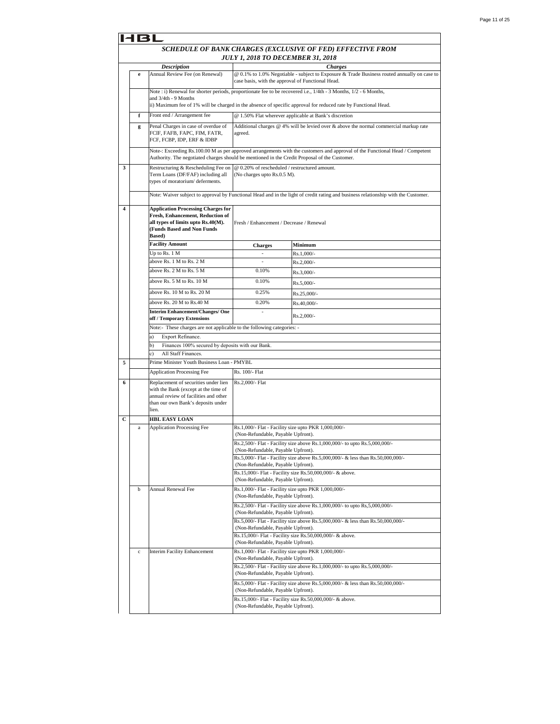|                         | 18L                                                                                             |                                                                                                                                                                            |                                                                                            |                                                                                                                                                                                                                                    |  |
|-------------------------|-------------------------------------------------------------------------------------------------|----------------------------------------------------------------------------------------------------------------------------------------------------------------------------|--------------------------------------------------------------------------------------------|------------------------------------------------------------------------------------------------------------------------------------------------------------------------------------------------------------------------------------|--|
|                         | SCHEDULE OF BANK CHARGES (EXCLUSIVE OF FED) EFFECTIVE FROM<br>JULY 1, 2018 TO DECEMBER 31, 2018 |                                                                                                                                                                            |                                                                                            |                                                                                                                                                                                                                                    |  |
|                         |                                                                                                 | <b>Description</b>                                                                                                                                                         |                                                                                            | <b>Charges</b>                                                                                                                                                                                                                     |  |
|                         | e                                                                                               | Annual Review Fee (on Renewal)                                                                                                                                             | case basis, with the approval of Functional Head.                                          | @ 0.1% to 1.0% Negotiable - subject to Exposure & Trade Business routed annually on case to                                                                                                                                        |  |
|                         |                                                                                                 | and 3/4th - 9 Months                                                                                                                                                       |                                                                                            | Note : i) Renewal for shorter periods, proportionate fee to be recovered i.e., 1/4th - 3 Months, 1/2 - 6 Months,<br>ii) Maximum fee of 1% will be charged in the absence of specific approval for reduced rate by Functional Head. |  |
|                         | f                                                                                               | Front end / Arrangement fee                                                                                                                                                |                                                                                            | @ 1.50% Flat wherever applicable at Bank's discretion                                                                                                                                                                              |  |
|                         | g                                                                                               | Penal Charges in case of overdue of                                                                                                                                        |                                                                                            | Additional charges $@$ 4% will be levied over $&$ above the normal commercial markup rate                                                                                                                                          |  |
|                         |                                                                                                 | FCIF, FAFB, FAPC, FIM, FATR,<br>FCF, FCBP, IDP, ERF & IDBP                                                                                                                 | agreed.                                                                                    |                                                                                                                                                                                                                                    |  |
|                         |                                                                                                 | Authority. The negotiated charges should be mentioned in the Credit Proposal of the Customer.                                                                              |                                                                                            | Note-: Exceeding Rs.100.00 M as per approved arrangements with the customers and approval of the Functional Head / Competent                                                                                                       |  |
| 3                       |                                                                                                 | Restructuring & Rescheduling Fee on<br>Term Loans (DF/FAF) including all<br>types of moratorium/deferments.                                                                | @ 0.20% of rescheduled / restructured amount.<br>(No charges upto Rs.0.5 M).               |                                                                                                                                                                                                                                    |  |
|                         |                                                                                                 |                                                                                                                                                                            |                                                                                            | Note: Waiver subject to approval by Functional Head and in the light of credit rating and business relationship with the Customer.                                                                                                 |  |
| $\overline{\mathbf{4}}$ |                                                                                                 | <b>Application Processing Charges for</b><br><b>Fresh, Enhancement, Reduction of</b><br>all types of limits upto Rs.40(M).<br>(Funds Based and Non Funds<br><b>Based</b> ) | Fresh / Enhancement / Decrease / Renewal                                                   |                                                                                                                                                                                                                                    |  |
|                         |                                                                                                 | <b>Facility Amount</b>                                                                                                                                                     | <b>Charges</b>                                                                             | Minimum                                                                                                                                                                                                                            |  |
|                         |                                                                                                 | Up to Rs. 1 M                                                                                                                                                              | ÷,                                                                                         | Rs.1,000/-                                                                                                                                                                                                                         |  |
|                         |                                                                                                 | above Rs. 1 M to Rs. 2 M                                                                                                                                                   | $\overline{\phantom{a}}$                                                                   | $Rs.2,000/-$                                                                                                                                                                                                                       |  |
|                         |                                                                                                 | above Rs. 2 M to Rs. 5 M                                                                                                                                                   | 0.10%                                                                                      | $Rs.3,000/-$                                                                                                                                                                                                                       |  |
|                         |                                                                                                 | above Rs. 5 M to Rs. 10 M                                                                                                                                                  | 0.10%                                                                                      | Rs.5,000/-                                                                                                                                                                                                                         |  |
|                         |                                                                                                 | above Rs. 10 M to Rs. 20 M                                                                                                                                                 | 0.25%                                                                                      | Rs.25,000/-                                                                                                                                                                                                                        |  |
|                         |                                                                                                 | above Rs. 20 M to Rs.40 M                                                                                                                                                  | 0.20%                                                                                      | Rs.40,000/-                                                                                                                                                                                                                        |  |
|                         |                                                                                                 | <b>Interim Enhancement/Changes/ One</b><br>off / Temporary Extensions                                                                                                      |                                                                                            | $Rs.2,000/-$                                                                                                                                                                                                                       |  |
|                         |                                                                                                 | Note:- These charges are not applicable to the following categories: -                                                                                                     |                                                                                            |                                                                                                                                                                                                                                    |  |
|                         |                                                                                                 | Export Refinance.<br>a)                                                                                                                                                    |                                                                                            |                                                                                                                                                                                                                                    |  |
|                         |                                                                                                 | Finances 100% secured by deposits with our Bank.<br>b)<br>All Staff Finances.                                                                                              |                                                                                            |                                                                                                                                                                                                                                    |  |
| 5                       |                                                                                                 | Prime Minister Youth Business Loan - PMYBL                                                                                                                                 |                                                                                            |                                                                                                                                                                                                                                    |  |
|                         |                                                                                                 | <b>Application Processing Fee</b>                                                                                                                                          | Rs. 100/- Flat                                                                             |                                                                                                                                                                                                                                    |  |
| 6                       |                                                                                                 | Replacement of securities under lien<br>with the Bank (except at the time of<br>annual review of facilities and other<br>than our own Bank's deposits under<br>lien.       | Rs.2,000/- Flat                                                                            |                                                                                                                                                                                                                                    |  |
| С                       |                                                                                                 | <b>HBL EASY LOAN</b>                                                                                                                                                       |                                                                                            |                                                                                                                                                                                                                                    |  |
|                         | a                                                                                               | <b>Application Processing Fee</b>                                                                                                                                          | Rs.1,000/- Flat - Facility size upto PKR 1,000,000/-<br>(Non-Refundable, Payable Upfront). |                                                                                                                                                                                                                                    |  |
|                         |                                                                                                 |                                                                                                                                                                            | (Non-Refundable, Payable Upfront).                                                         | Rs.2,500/- Flat - Facility size above Rs.1,000,000/- to upto Rs.5,000,000/                                                                                                                                                         |  |
|                         |                                                                                                 |                                                                                                                                                                            | (Non-Refundable, Payable Upfront).                                                         | Rs.5,000/- Flat - Facility size above Rs.5,000,000/- & less than Rs.50,000,000/-<br>Rs.15,000/- Flat - Facility size Rs.50,000,000/- & above.                                                                                      |  |
|                         |                                                                                                 |                                                                                                                                                                            | (Non-Refundable, Payable Upfront).                                                         |                                                                                                                                                                                                                                    |  |
|                         | b                                                                                               | <b>Annual Renewal Fee</b>                                                                                                                                                  | Rs.1,000/- Flat - Facility size upto PKR 1,000,000/-<br>(Non-Refundable, Payable Upfront). |                                                                                                                                                                                                                                    |  |
|                         |                                                                                                 |                                                                                                                                                                            | (Non-Refundable, Payable Upfront).                                                         | Rs.2,500/- Flat - Facility size above Rs.1,000,000/- to upto Rs,5,000,000/-                                                                                                                                                        |  |
|                         |                                                                                                 |                                                                                                                                                                            | (Non-Refundable, Payable Upfront).                                                         | Rs.5,000/- Flat - Facility size above Rs.5,000,000/- & less than Rs.50,000,000/-                                                                                                                                                   |  |
|                         |                                                                                                 |                                                                                                                                                                            | (Non-Refundable, Payable Upfront).                                                         | Rs.15,000/- Flat - Facility size Rs.50,000,000/- & above.                                                                                                                                                                          |  |
|                         | $\mathbf c$                                                                                     | Interim Facility Enhancement                                                                                                                                               | Rs.1,000/- Flat - Facility size upto PKR 1,000,000/-<br>(Non-Refundable, Payable Upfront). |                                                                                                                                                                                                                                    |  |
|                         |                                                                                                 |                                                                                                                                                                            | (Non-Refundable, Payable Upfront).                                                         | Rs.2,500/- Flat - Facility size above Rs.1,000,000/- to upto Rs.5,000,000/-                                                                                                                                                        |  |
|                         |                                                                                                 |                                                                                                                                                                            | (Non-Refundable, Payable Upfront).                                                         | Rs.5,000/- Flat - Facility size above Rs.5,000,000/- & less than Rs.50,000,000/-                                                                                                                                                   |  |
|                         |                                                                                                 |                                                                                                                                                                            | (Non-Refundable, Payable Upfront).                                                         | Rs.15,000/- Flat - Facility size Rs.50,000,000/- & above.                                                                                                                                                                          |  |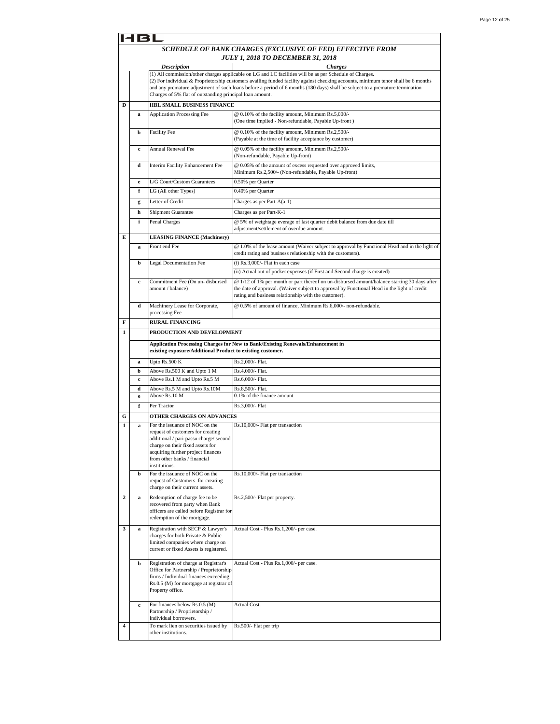|                | SCHEDULE OF BANK CHARGES (EXCLUSIVE OF FED) EFFECTIVE FROM<br><b>JULY 1, 2018 TO DECEMBER 31, 2018</b> |                                                                                                                                                                                                                                          |                                                                                                                                                                                                                                                                                                                                                                               |  |  |  |
|----------------|--------------------------------------------------------------------------------------------------------|------------------------------------------------------------------------------------------------------------------------------------------------------------------------------------------------------------------------------------------|-------------------------------------------------------------------------------------------------------------------------------------------------------------------------------------------------------------------------------------------------------------------------------------------------------------------------------------------------------------------------------|--|--|--|
|                |                                                                                                        | <b>Description</b>                                                                                                                                                                                                                       | <b>Charges</b>                                                                                                                                                                                                                                                                                                                                                                |  |  |  |
|                |                                                                                                        | Charges of 5% flat of outstanding principal loan amount.                                                                                                                                                                                 | (1) All commission/other charges applicable on LG and LC facilities will be as per Schedule of Charges.<br>(2) For individual & Proprietorship customers availing funded facility against checking accounts, minimum tenor shall be 6 months<br>and any premature adjustment of such loans before a period of 6 months (180 days) shall be subject to a premature termination |  |  |  |
| D              |                                                                                                        | HBL SMALL BUSINESS FINANCE                                                                                                                                                                                                               |                                                                                                                                                                                                                                                                                                                                                                               |  |  |  |
|                | a                                                                                                      | <b>Application Processing Fee</b>                                                                                                                                                                                                        | @ 0.10% of the facility amount, Minimum Rs.5,000/-<br>(One time implied - Non-refundable, Payable Up-front)                                                                                                                                                                                                                                                                   |  |  |  |
|                | b                                                                                                      | <b>Facility Fee</b>                                                                                                                                                                                                                      | @ 0.10% of the facility amount, Minimum Rs.2,500/-<br>(Payable at the time of facility acceptance by customer)                                                                                                                                                                                                                                                                |  |  |  |
|                | $\mathbf c$                                                                                            | <b>Annual Renewal Fee</b>                                                                                                                                                                                                                | @ 0.05% of the facility amount, Minimum Rs.2,500/-<br>(Non-refundable, Payable Up-front)                                                                                                                                                                                                                                                                                      |  |  |  |
|                | d                                                                                                      | Interim Facility Enhancement Fee                                                                                                                                                                                                         | @ 0.05% of the amount of excess requested over approved limits,<br>Minimum Rs.2,500/- (Non-refundable, Payable Up-front)                                                                                                                                                                                                                                                      |  |  |  |
|                | e                                                                                                      | L/G Court/Custom Guarantees                                                                                                                                                                                                              | 0.50% per Quarter                                                                                                                                                                                                                                                                                                                                                             |  |  |  |
|                | f                                                                                                      | LG (All other Types)                                                                                                                                                                                                                     | 0.40% per Quarter                                                                                                                                                                                                                                                                                                                                                             |  |  |  |
|                | g                                                                                                      | Letter of Credit                                                                                                                                                                                                                         | Charges as per Part-A(a-1)                                                                                                                                                                                                                                                                                                                                                    |  |  |  |
|                | h                                                                                                      | Shipment Guarantee                                                                                                                                                                                                                       | Charges as per Part-K-1                                                                                                                                                                                                                                                                                                                                                       |  |  |  |
|                | i                                                                                                      | Penal Charges                                                                                                                                                                                                                            | @ 5% of weightage everage of last quarter debit balance from due date till<br>adjustment/settlement of overdue amount.                                                                                                                                                                                                                                                        |  |  |  |
| E              |                                                                                                        | <b>LEASING FINANCE (Machinery)</b>                                                                                                                                                                                                       |                                                                                                                                                                                                                                                                                                                                                                               |  |  |  |
|                | a                                                                                                      | Front end Fee                                                                                                                                                                                                                            | @ 1.0% of the lease amount (Waiver subject to approval by Functional Head and in the light of<br>credit rating and business relationship with the customers).                                                                                                                                                                                                                 |  |  |  |
|                | b                                                                                                      | Legal Documentation Fee                                                                                                                                                                                                                  | $(i)$ Rs.3,000/- Flat in each case                                                                                                                                                                                                                                                                                                                                            |  |  |  |
|                |                                                                                                        |                                                                                                                                                                                                                                          |                                                                                                                                                                                                                                                                                                                                                                               |  |  |  |
|                |                                                                                                        |                                                                                                                                                                                                                                          | (ii) Actual out of pocket expenses (if First and Second charge is created)                                                                                                                                                                                                                                                                                                    |  |  |  |
|                | c                                                                                                      | Commitment Fee (On un- disbursed<br>amount / balance)                                                                                                                                                                                    | @ 1/12 of 1% per month or part thereof on un-disbursed amount/balance starting 30 days after<br>the date of approval. (Waiver subject to approval by Functional Head in the light of credit<br>rating and business relationship with the customer).                                                                                                                           |  |  |  |
|                | d                                                                                                      | Machinery Lease for Corporate,<br>processing Fee                                                                                                                                                                                         | @ 0.5% of amount of finance, Minimum Rs.6,000/- non-refundable.                                                                                                                                                                                                                                                                                                               |  |  |  |
| F              |                                                                                                        | <b>RURAL FINANCING</b>                                                                                                                                                                                                                   |                                                                                                                                                                                                                                                                                                                                                                               |  |  |  |
| 1              |                                                                                                        | PRODUCTION AND DEVELOPMENT                                                                                                                                                                                                               |                                                                                                                                                                                                                                                                                                                                                                               |  |  |  |
|                |                                                                                                        | existing exposure/Additional Product to existing customer.                                                                                                                                                                               | Application Processing Charges for New to Bank/Existing Renewals/Enhancement in                                                                                                                                                                                                                                                                                               |  |  |  |
|                |                                                                                                        | Upto Rs.500 K                                                                                                                                                                                                                            | Rs.2,000/- Flat.                                                                                                                                                                                                                                                                                                                                                              |  |  |  |
|                | a<br>b                                                                                                 |                                                                                                                                                                                                                                          | Rs.4,000/- Flat.                                                                                                                                                                                                                                                                                                                                                              |  |  |  |
|                | $\mathbf c$                                                                                            | Above Rs.500 K and Upto 1 M<br>Above Rs.1 M and Upto Rs.5 M                                                                                                                                                                              | Rs.6,000/- Flat.                                                                                                                                                                                                                                                                                                                                                              |  |  |  |
|                |                                                                                                        |                                                                                                                                                                                                                                          |                                                                                                                                                                                                                                                                                                                                                                               |  |  |  |
|                | d<br>e                                                                                                 | Above Rs.5 M and Upto Rs.10M<br>Above Rs.10 M                                                                                                                                                                                            | Rs.8,500/- Flat.<br>0.1% of the finance amount                                                                                                                                                                                                                                                                                                                                |  |  |  |
|                |                                                                                                        |                                                                                                                                                                                                                                          |                                                                                                                                                                                                                                                                                                                                                                               |  |  |  |
|                | f                                                                                                      | Per Tractor                                                                                                                                                                                                                              | Rs.3,000/- Flat                                                                                                                                                                                                                                                                                                                                                               |  |  |  |
| G              |                                                                                                        | OTHER CHARGES ON ADVANCES                                                                                                                                                                                                                |                                                                                                                                                                                                                                                                                                                                                                               |  |  |  |
| 1              | a                                                                                                      | For the issuance of NOC on the<br>request of customers for creating<br>additional / pari-passu charge/ second<br>charge on their fixed assets for<br>acquiring further project finances<br>from other banks / financial<br>institutions. | Rs.10,000/- Flat per transaction                                                                                                                                                                                                                                                                                                                                              |  |  |  |
|                | b                                                                                                      | For the issuance of NOC on the<br>request of Customers for creating<br>charge on their current assets.                                                                                                                                   | Rs.10,000/- Flat per transaction                                                                                                                                                                                                                                                                                                                                              |  |  |  |
| $\overline{2}$ | a                                                                                                      | Redemption of charge fee to be<br>recovered from party when Bank<br>officers are called before Registrar for<br>redemption of the mortgage.                                                                                              | Rs.2,500/- Flat per property.                                                                                                                                                                                                                                                                                                                                                 |  |  |  |
| 3              | a                                                                                                      | Registration with SECP & Lawyer's<br>charges for both Private & Public<br>limited companies where charge on<br>current or fixed Assets is registered.                                                                                    | Actual Cost - Plus Rs.1,200/- per case.                                                                                                                                                                                                                                                                                                                                       |  |  |  |
|                | b                                                                                                      | Registration of charge at Registrar's<br>Office for Partnership / Proprietorship<br>firms / Individual finances exceeding<br>Rs.0.5 (M) for mortgage at registrar of<br>Property office.                                                 | Actual Cost - Plus Rs.1,000/- per case.                                                                                                                                                                                                                                                                                                                                       |  |  |  |
|                | $\mathbf{c}$                                                                                           | For finances below $Rs.0.5(M)$<br>Partnership / Proprietorship /<br>Individual borrowers.                                                                                                                                                | Actual Cost.                                                                                                                                                                                                                                                                                                                                                                  |  |  |  |
| 4              |                                                                                                        | To mark lien on securities issued by<br>other institutions.                                                                                                                                                                              | Rs.500/- Flat per trip                                                                                                                                                                                                                                                                                                                                                        |  |  |  |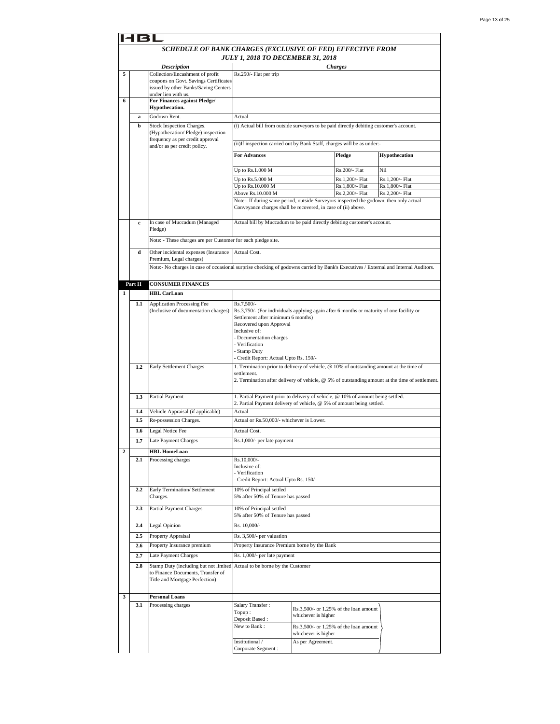|                | 6 L         |                                                                                                                                     |                                                                                                        |                     |                                        |                                                                                                 |
|----------------|-------------|-------------------------------------------------------------------------------------------------------------------------------------|--------------------------------------------------------------------------------------------------------|---------------------|----------------------------------------|-------------------------------------------------------------------------------------------------|
|                |             | SCHEDULE OF BANK CHARGES (EXCLUSIVE OF FED) EFFECTIVE FROM                                                                          |                                                                                                        |                     |                                        |                                                                                                 |
|                |             |                                                                                                                                     | <b>JULY 1, 2018 TO DECEMBER 31, 2018</b>                                                               |                     |                                        |                                                                                                 |
|                |             | <b>Description</b>                                                                                                                  |                                                                                                        |                     | Charges                                |                                                                                                 |
| 5              |             | Collection/Encashment of profit                                                                                                     | Rs.250/- Flat per trip                                                                                 |                     |                                        |                                                                                                 |
|                |             | coupons on Govt. Savings Certificates<br>issued by other Banks/Saving Centers                                                       |                                                                                                        |                     |                                        |                                                                                                 |
|                |             | under lien with us.                                                                                                                 |                                                                                                        |                     |                                        |                                                                                                 |
| 6              |             | For Finances against Pledge/                                                                                                        |                                                                                                        |                     |                                        |                                                                                                 |
|                |             | Hypothecation.                                                                                                                      |                                                                                                        |                     |                                        |                                                                                                 |
|                | a           | Godown Rent.                                                                                                                        | Actual                                                                                                 |                     |                                        |                                                                                                 |
|                | b           | Stock Inspection Charges.<br>(Hypothecation/Pledge) inspection                                                                      | (i) Actual bill from outside surveyors to be paid directly debiting customer's account.                |                     |                                        |                                                                                                 |
|                |             | frequency as per credit approval                                                                                                    |                                                                                                        |                     |                                        |                                                                                                 |
|                |             | and/or as per credit policy.                                                                                                        | (ii) If inspection carried out by Bank Staff, charges will be as under:-                               |                     |                                        |                                                                                                 |
|                |             |                                                                                                                                     | <b>For Advances</b>                                                                                    |                     | Pledge                                 | Hypothecation                                                                                   |
|                |             |                                                                                                                                     |                                                                                                        |                     |                                        |                                                                                                 |
|                |             |                                                                                                                                     | Up to Rs.1.000 M                                                                                       |                     | Rs.200/- Flat                          | Nil                                                                                             |
|                |             |                                                                                                                                     | Up to Rs.5.000 M<br>Up to Rs.10.000 M                                                                  |                     | Rs.1,200/- Flat<br>Rs.1,800/- Flat     | Rs.1,200/- Flat<br>Rs.1,800/- Flat                                                              |
|                |             |                                                                                                                                     | Above Rs.10.000 M                                                                                      |                     | Rs.2,200/- Flat                        | Rs.2,200/- Flat                                                                                 |
|                |             |                                                                                                                                     | Note:- If during same period, outside Surveyors inspected the godown, then only actual                 |                     |                                        |                                                                                                 |
|                |             |                                                                                                                                     | Conveyance charges shall be recovered, in case of (ii) above.                                          |                     |                                        |                                                                                                 |
|                |             |                                                                                                                                     |                                                                                                        |                     |                                        |                                                                                                 |
|                | $\mathbf c$ | In case of Muccadum (Managed<br>Pledge)                                                                                             | Actual bill by Muccadum to be paid directly debiting customer's account.                               |                     |                                        |                                                                                                 |
|                |             |                                                                                                                                     |                                                                                                        |                     |                                        |                                                                                                 |
|                |             | Note: - These charges are per Customer for each pledge site.                                                                        |                                                                                                        |                     |                                        |                                                                                                 |
|                | d           | Other incidental expenses (Insurance                                                                                                | Actual Cost.                                                                                           |                     |                                        |                                                                                                 |
|                |             | Premium, Legal charges)                                                                                                             |                                                                                                        |                     |                                        |                                                                                                 |
|                |             | Note:- No charges in case of occasional surprise checking of godowns carried by Bank's Executives / External and Internal Auditors. |                                                                                                        |                     |                                        |                                                                                                 |
|                | Part H      | <b>CONSUMER FINANCES</b>                                                                                                            |                                                                                                        |                     |                                        |                                                                                                 |
| 1              |             | <b>HBL CarLoan</b>                                                                                                                  |                                                                                                        |                     |                                        |                                                                                                 |
|                |             |                                                                                                                                     |                                                                                                        |                     |                                        |                                                                                                 |
|                | 1.1         | <b>Application Processing Fee</b><br>(Inclusive of documentation charges)                                                           | Rs.7,500/-<br>Rs.3,750/- (For individuals applying again after 6 months or maturity of one facility or |                     |                                        |                                                                                                 |
|                |             |                                                                                                                                     | Settlement after minimum 6 months)                                                                     |                     |                                        |                                                                                                 |
|                |             |                                                                                                                                     | Recovered upon Approval                                                                                |                     |                                        |                                                                                                 |
|                |             |                                                                                                                                     | Inclusive of:                                                                                          |                     |                                        |                                                                                                 |
|                |             |                                                                                                                                     | Documentation charges<br>Verification                                                                  |                     |                                        |                                                                                                 |
|                |             |                                                                                                                                     | <b>Stamp Duty</b>                                                                                      |                     |                                        |                                                                                                 |
|                |             |                                                                                                                                     | Credit Report: Actual Upto Rs. 150/-                                                                   |                     |                                        |                                                                                                 |
|                | 1.2         | Early Settlement Charges                                                                                                            | 1. Termination prior to delivery of vehicle, @ 10% of outstanding amount at the time of<br>settlement. |                     |                                        |                                                                                                 |
|                |             |                                                                                                                                     |                                                                                                        |                     |                                        | 2. Termination after delivery of vehicle, @ 5% of outstanding amount at the time of settlement. |
|                |             |                                                                                                                                     |                                                                                                        |                     |                                        |                                                                                                 |
|                | 1.3         | Partial Payment                                                                                                                     | 1. Partial Payment prior to delivery of vehicle, @ 10% of amount being settled.                        |                     |                                        |                                                                                                 |
|                |             |                                                                                                                                     | 2. Partial Payment delivery of vehicle, @ 5% of amount being settled.                                  |                     |                                        |                                                                                                 |
|                | 1.4<br>1.5  | Vehicle Appraisal (if applicable)<br>Re-possession Charges.                                                                         | Actual<br>Actual or Rs.50,000/- whichever is Lower.                                                    |                     |                                        |                                                                                                 |
|                |             |                                                                                                                                     |                                                                                                        |                     |                                        |                                                                                                 |
|                | 1.6         | Legal Notice Fee                                                                                                                    | Actual Cost.                                                                                           |                     |                                        |                                                                                                 |
|                | 1.7         | Late Payment Charges                                                                                                                | Rs.1,000/- per late payment                                                                            |                     |                                        |                                                                                                 |
| $\overline{a}$ |             | <b>HBL HomeLoan</b>                                                                                                                 |                                                                                                        |                     |                                        |                                                                                                 |
|                | 2.1         | Processing charges                                                                                                                  | Rs.10,000/-<br>Inclusive of:                                                                           |                     |                                        |                                                                                                 |
|                |             |                                                                                                                                     | Verification                                                                                           |                     |                                        |                                                                                                 |
|                |             |                                                                                                                                     | Credit Report: Actual Upto Rs. 150/-                                                                   |                     |                                        |                                                                                                 |
|                | 2.2         | Early Termination/ Settlement                                                                                                       | 10% of Principal settled                                                                               |                     |                                        |                                                                                                 |
|                |             | Charges.                                                                                                                            | 5% after 50% of Tenure has passed                                                                      |                     |                                        |                                                                                                 |
|                | 2.3         | Partial Payment Charges                                                                                                             | 10% of Principal settled                                                                               |                     |                                        |                                                                                                 |
|                |             |                                                                                                                                     | 5% after 50% of Tenure has passed                                                                      |                     |                                        |                                                                                                 |
|                | 2.4         | Legal Opinion                                                                                                                       | Rs. 10,000/-                                                                                           |                     |                                        |                                                                                                 |
|                | 2.5         | Property Appraisal                                                                                                                  | Rs. 3,500/- per valuation                                                                              |                     |                                        |                                                                                                 |
|                | 2.6         | Property Insurance premium                                                                                                          | Property Insurance Premium borne by the Bank                                                           |                     |                                        |                                                                                                 |
|                | 2.7         | Late Payment Charges                                                                                                                | Rs. 1,000/- per late payment                                                                           |                     |                                        |                                                                                                 |
|                | 2.8         |                                                                                                                                     |                                                                                                        |                     |                                        |                                                                                                 |
|                |             | Stamp Duty (including but not limited Actual to be borne by the Customer<br>to Finance Documents, Transfer of                       |                                                                                                        |                     |                                        |                                                                                                 |
|                |             | Title and Mortgage Perfection)                                                                                                      |                                                                                                        |                     |                                        |                                                                                                 |
|                |             |                                                                                                                                     |                                                                                                        |                     |                                        |                                                                                                 |
| 3              |             | <b>Personal Loans</b>                                                                                                               |                                                                                                        |                     |                                        |                                                                                                 |
|                | 3.1         | Processing charges                                                                                                                  | Salary Transfer:                                                                                       |                     | Rs.3,500/- or 1.25% of the loan amount |                                                                                                 |
|                |             |                                                                                                                                     | Topup:<br>Deposit Based:                                                                               | whichever is higher |                                        |                                                                                                 |
|                |             |                                                                                                                                     | New to Bank:                                                                                           |                     | Rs.3,500/- or 1.25% of the loan amount |                                                                                                 |
|                |             |                                                                                                                                     |                                                                                                        | whichever is higher |                                        |                                                                                                 |
|                |             |                                                                                                                                     | Institutional /                                                                                        | As per Agreement.   |                                        |                                                                                                 |
|                |             |                                                                                                                                     | Corporate Segment :                                                                                    |                     |                                        |                                                                                                 |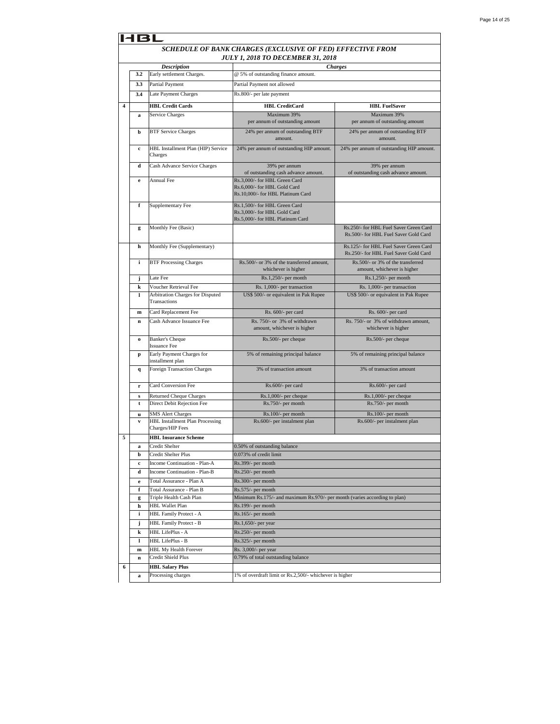|   | 1 B L        |                                                            |                                                                                                    |                                                                                 |  |
|---|--------------|------------------------------------------------------------|----------------------------------------------------------------------------------------------------|---------------------------------------------------------------------------------|--|
|   |              |                                                            | SCHEDULE OF BANK CHARGES (EXCLUSIVE OF FED) EFFECTIVE FROM                                         |                                                                                 |  |
|   |              |                                                            | <b>JULY 1, 2018 TO DECEMBER 31, 2018</b>                                                           |                                                                                 |  |
|   |              | <b>Description</b>                                         |                                                                                                    | <b>Charges</b>                                                                  |  |
|   | 3.2          | Early settlement Charges.                                  | @ 5% of outstanding finance amount.                                                                |                                                                                 |  |
|   | 3.3          | Partial Payment                                            | Partial Payment not allowed                                                                        |                                                                                 |  |
|   | 3.4          | Late Payment Charges                                       | Rs.800/- per late payment                                                                          |                                                                                 |  |
| 4 |              | <b>HBL Credit Cards</b>                                    | <b>HBL</b> CreditCard                                                                              | <b>HBL FuelSaver</b>                                                            |  |
|   | a            | Service Charges                                            | Maximum 39%                                                                                        | Maximum 39%                                                                     |  |
|   |              |                                                            | per annum of outstanding amount                                                                    | per annum of outstanding amount                                                 |  |
|   | b            | <b>BTF Service Charges</b>                                 | 24% per annum of outstanding BTF<br>amount.                                                        | 24% per annum of outstanding BTF<br>amount.                                     |  |
|   | c            | HBL Installment Plan (HIP) Service<br>Charges              | 24% per annum of outstanding HIP amount.                                                           | 24% per annum of outstanding HIP amount.                                        |  |
|   | d            | Cash Advance Service Charges                               | 39% per annum<br>of outstanding cash advance amount.                                               | 39% per annum<br>of outstanding cash advance amount.                            |  |
|   | e            | <b>Annual Fee</b>                                          | Rs.3,000/- for HBL Green Card<br>Rs.6,000/- for HBL Gold Card<br>Rs.10,000/- for HBL Platinum Card |                                                                                 |  |
|   | f            | Supplementary Fee                                          | Rs.1,500/- for HBL Green Card<br>Rs.3,000/- for HBL Gold Card<br>Rs.5,000/- for HBL Platinum Card  |                                                                                 |  |
|   | g            | Monthly Fee (Basic)                                        |                                                                                                    | Rs.250/- for HBL Fuel Saver Green Card<br>Rs.500/- for HBL Fuel Saver Gold Card |  |
|   | h            | Monthly Fee (Supplementary)                                |                                                                                                    | Rs.125/- for HBL Fuel Saver Green Card<br>Rs.250/- for HBL Fuel Saver Gold Card |  |
|   | i            | <b>BTF Processing Charges</b>                              | Rs.500/- or 3% of the transferred amount,<br>whichever is higher                                   | Rs.500/- or 3% of the transferred<br>amount, whichever is higher                |  |
|   | j            | Late Fee                                                   | Rs.1,250/- per month                                                                               | Rs.1,250/- per month                                                            |  |
|   | k            | Voucher Retrieval Fee                                      | Rs. 1,000/- per transaction                                                                        | Rs. 1,000/- per transaction                                                     |  |
|   | 1            | Arbitration Charges for Disputed<br>Transactions           | US\$ 500/- or equivalent in Pak Rupee                                                              | US\$ 500/- or equivalent in Pak Rupee                                           |  |
|   | ${\bf m}$    | Card Replacement Fee                                       | Rs. 600/- per card                                                                                 | Rs. 600/- per card                                                              |  |
|   | $\mathbf n$  | Cash Advance Issuance Fee                                  | Rs. 750/- or 3% of withdrawn<br>amount, whichever is higher                                        | Rs. 750/- or 3% of withdrawn amount,<br>whichever is higher                     |  |
|   | $\bf{o}$     | <b>Banker's Cheque</b><br><b>Issuance Fee</b>              | Rs.500/- per cheque                                                                                | Rs.500/- per cheque                                                             |  |
|   | p            | Early Payment Charges for<br>installment plan              | 5% of remaining principal balance                                                                  | 5% of remaining principal balance                                               |  |
|   | $\mathbf{q}$ | <b>Foreign Transaction Charges</b>                         | 3% of transaction amount                                                                           | 3% of transaction amount                                                        |  |
|   | r            | Card Conversion Fee                                        | Rs.600/- per card                                                                                  | Rs.600/- per card                                                               |  |
|   | s            | Returned Cheque Charges                                    | Rs.1,000/- per cheque                                                                              | Rs.1,000/- per cheque                                                           |  |
|   | t            | Direct Debit Rejection Fee                                 | Rs.750/- per month                                                                                 | Rs.750/- per month                                                              |  |
|   | u            | <b>SMS Alert Charges</b>                                   | Rs.100/- per month                                                                                 | Rs.100/- per month                                                              |  |
|   | $\mathbf{v}$ | <b>HBL Installment Plan Processing</b><br>Charges/HIP Fees | Rs.600/- per instalment plan                                                                       | Rs.600/- per instalment plan                                                    |  |
| 5 |              | <b>HBL Insurance Scheme</b>                                |                                                                                                    |                                                                                 |  |
|   | a            | Credit Shelter                                             | 0.50% of outstanding balance                                                                       |                                                                                 |  |
|   | b            | Credit Shelter Plus                                        | 0.073% of credit limit                                                                             |                                                                                 |  |
|   | c            | Income Continuation - Plan-A                               | Rs.399/- per month                                                                                 |                                                                                 |  |
|   | d            | Income Continuation - Plan-B                               | Rs.250/- per month                                                                                 |                                                                                 |  |
|   | e            | Total Assurance - Plan A                                   | Rs.300/- per month                                                                                 |                                                                                 |  |
|   | f            | Total Assurance - Plan B                                   | Rs.575/- per month                                                                                 |                                                                                 |  |
|   | g<br>h       | Triple Health Cash Plan<br><b>HBL Wallet Plan</b>          | Minimum Rs.175/- and maximum Rs.970/- per month (varies according to plan)<br>Rs.199/- per month   |                                                                                 |  |
|   | i            | HBL Family Protect - A                                     | Rs.165/- per month                                                                                 |                                                                                 |  |
|   | j            | <b>HBL Family Protect - B</b>                              | Rs.1,650/- per year                                                                                |                                                                                 |  |
|   | k            | HBL LifePlus - A                                           | Rs.250/- per month                                                                                 |                                                                                 |  |
|   | 1            | HBL LifePlus - B                                           | Rs.325/- per month                                                                                 |                                                                                 |  |
|   | ${\bf m}$    | HBL My Health Forever                                      | Rs. 3,000/- per year                                                                               |                                                                                 |  |
|   | n            | Credit Shield Plus                                         | 0.79% of total outstanding balance                                                                 |                                                                                 |  |
| 6 |              | <b>HBL Salary Plus</b>                                     |                                                                                                    |                                                                                 |  |
|   | a            | Processing charges                                         | 1% of overdraft limit or Rs.2,500/- whichever is higher                                            |                                                                                 |  |
|   |              |                                                            |                                                                                                    |                                                                                 |  |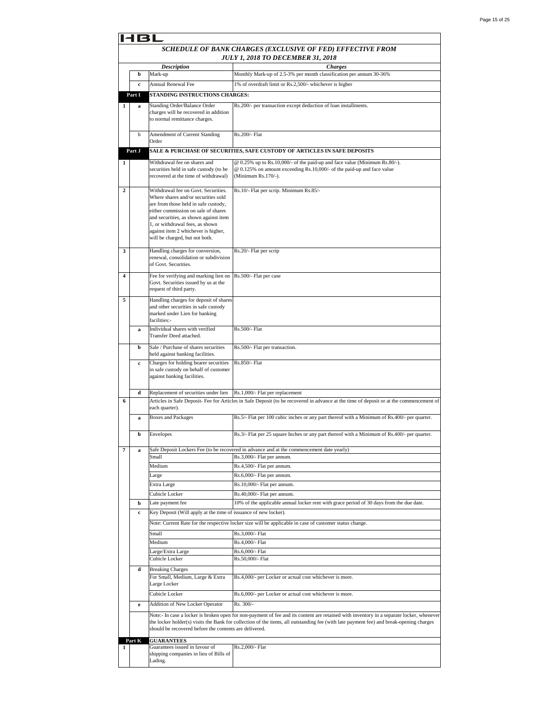|                | 18L    |                                                                                                                                                                                                                                                                                                                |                                                                                                                                                                                                                                                                                     |  |  |
|----------------|--------|----------------------------------------------------------------------------------------------------------------------------------------------------------------------------------------------------------------------------------------------------------------------------------------------------------------|-------------------------------------------------------------------------------------------------------------------------------------------------------------------------------------------------------------------------------------------------------------------------------------|--|--|
|                |        |                                                                                                                                                                                                                                                                                                                | SCHEDULE OF BANK CHARGES (EXCLUSIVE OF FED) EFFECTIVE FROM<br><b>JULY 1, 2018 TO DECEMBER 31, 2018</b>                                                                                                                                                                              |  |  |
|                |        | <b>Description</b>                                                                                                                                                                                                                                                                                             | <b>Charges</b>                                                                                                                                                                                                                                                                      |  |  |
|                | b      | Mark-up                                                                                                                                                                                                                                                                                                        | Monthly Mark-up of 2.5-3% per month classification per annum 30-36%                                                                                                                                                                                                                 |  |  |
|                | c      | Annual Renewal Fee                                                                                                                                                                                                                                                                                             | 1% of overdraft limit or Rs.2,500/- whichever is higher                                                                                                                                                                                                                             |  |  |
|                | Part I | STANDING INSTRUCTIONS CHARGES:                                                                                                                                                                                                                                                                                 |                                                                                                                                                                                                                                                                                     |  |  |
| 1              | a      | <b>Standing Order/Balance Order</b>                                                                                                                                                                                                                                                                            | Rs.200/- per transaction except deduction of loan installments.                                                                                                                                                                                                                     |  |  |
|                |        | charges will be recovered in addition<br>to normal remittance charges.                                                                                                                                                                                                                                         |                                                                                                                                                                                                                                                                                     |  |  |
|                | b      | Amendment of Current Standing<br>Order                                                                                                                                                                                                                                                                         | Rs.200/- Flat                                                                                                                                                                                                                                                                       |  |  |
|                | Part J |                                                                                                                                                                                                                                                                                                                | SALE & PURCHASE OF SECURITIES, SAFE CUSTODY OF ARTICLES IN SAFE DEPOSITS                                                                                                                                                                                                            |  |  |
| 1              |        | Withdrawal fee on shares and<br>securities held in safe custody (to be<br>recovered at the time of withdrawal)                                                                                                                                                                                                 | @ 0.25% up to Rs.10,000/- of the paid-up and face value (Minimum Rs.80/-).<br>@ 0.125% on amount exceeding Rs.10,000/- of the paid-up and face value<br>(Minimum Rs.170/-).                                                                                                         |  |  |
| $\overline{2}$ |        | Withdrawal fee on Govt. Securities.<br>Where shares and/or securities sold<br>are from those held in safe custody,<br>either commission on sale of shares<br>and securities, as shown against item<br>1, or withdrawal fees, as shown<br>against item 2 whichever is higher,<br>will be charged, but not both. | Rs.10/- Flat per scrip. Minimum Rs.85/-                                                                                                                                                                                                                                             |  |  |
| 3              |        | Handling charges for conversion,<br>renewal, consolidation or subdivision<br>of Govt. Securities.                                                                                                                                                                                                              | Rs.20/- Flat per scrip                                                                                                                                                                                                                                                              |  |  |
|                |        |                                                                                                                                                                                                                                                                                                                |                                                                                                                                                                                                                                                                                     |  |  |
| 4              |        | Fee for verifying and marking lien on<br>Govt. Securities issued by us at the<br>request of third party.                                                                                                                                                                                                       | Rs.500/- Flat per case                                                                                                                                                                                                                                                              |  |  |
| 5              |        | Handling charges for deposit of shares<br>and other securities in safe custody<br>marked under Lien for banking<br>facilities:-                                                                                                                                                                                |                                                                                                                                                                                                                                                                                     |  |  |
|                | a      | Individual shares with verified<br>Transfer Deed attached.                                                                                                                                                                                                                                                     | Rs.500/- Flat                                                                                                                                                                                                                                                                       |  |  |
|                | b      | Sale / Purchase of shares securities<br>held against banking facilities.                                                                                                                                                                                                                                       | Rs.500/- Flat per transaction.                                                                                                                                                                                                                                                      |  |  |
|                | c      | Charges for holding bearer securities<br>in safe custody on behalf of customer<br>against banking facilities.                                                                                                                                                                                                  | Rs.850/- Flat                                                                                                                                                                                                                                                                       |  |  |
|                | d      | Replacement of securities under lien                                                                                                                                                                                                                                                                           | Rs.1,000/- Flat per replacement                                                                                                                                                                                                                                                     |  |  |
| 6              |        | each quarter).                                                                                                                                                                                                                                                                                                 | Articles in Safe Deposit- Fee for Articles in Safe Deposit (to be recovered in advance at the time of deposit or at the commencement of                                                                                                                                             |  |  |
|                | a      | <b>Boxes and Packages</b>                                                                                                                                                                                                                                                                                      | Rs.5/- Flat per 100 cubic inches or any part thereof with a Minimum of Rs.400/- per quarter.                                                                                                                                                                                        |  |  |
|                | b      | Envelopes                                                                                                                                                                                                                                                                                                      | Rs.3/- Flat per 25 square Inches or any part thereof with a Minimum of Rs.400/- per quarter.                                                                                                                                                                                        |  |  |
| 7              | a      | Small                                                                                                                                                                                                                                                                                                          | Safe Deposit Lockers Fee (to be recovered in advance and at the commencement date yearly)<br>Rs.3,000/- Flat per annum.                                                                                                                                                             |  |  |
|                |        | Medium                                                                                                                                                                                                                                                                                                         | Rs.4,500/- Flat per annum.                                                                                                                                                                                                                                                          |  |  |
|                |        | Large                                                                                                                                                                                                                                                                                                          | Rs.6,000/- Flat per annum.                                                                                                                                                                                                                                                          |  |  |
|                |        | Extra Large                                                                                                                                                                                                                                                                                                    | Rs.10,000/- Flat per annum.                                                                                                                                                                                                                                                         |  |  |
|                |        | Cubicle Locker                                                                                                                                                                                                                                                                                                 | Rs.40,000/- Flat per annum.                                                                                                                                                                                                                                                         |  |  |
|                | b      | Late payment fee                                                                                                                                                                                                                                                                                               | 10% of the applicable annual locker rent with grace period of 30 days from the due date.                                                                                                                                                                                            |  |  |
|                | c      | Key Deposit (Will apply at the time of issuance of new locker).                                                                                                                                                                                                                                                |                                                                                                                                                                                                                                                                                     |  |  |
|                |        |                                                                                                                                                                                                                                                                                                                |                                                                                                                                                                                                                                                                                     |  |  |
|                |        |                                                                                                                                                                                                                                                                                                                | Note: Current Rate for the respective locker size will be applicable in case of customer status change.                                                                                                                                                                             |  |  |
|                |        | Small<br>Medium                                                                                                                                                                                                                                                                                                | Rs.3,000/- Flat                                                                                                                                                                                                                                                                     |  |  |
|                |        | Large/Extra Large                                                                                                                                                                                                                                                                                              | Rs.4,000/- Flat<br>Rs.6,000/- Flat                                                                                                                                                                                                                                                  |  |  |
|                |        | Cubicle Locker                                                                                                                                                                                                                                                                                                 | Rs.50,000/- Flat                                                                                                                                                                                                                                                                    |  |  |
|                | d      | <b>Breaking Charges</b>                                                                                                                                                                                                                                                                                        |                                                                                                                                                                                                                                                                                     |  |  |
|                |        | For Small, Medium, Large & Extra<br>Large Locker                                                                                                                                                                                                                                                               | Rs.4,000/- per Locker or actual cost whichever is more.                                                                                                                                                                                                                             |  |  |
|                |        | Cubicle Locker                                                                                                                                                                                                                                                                                                 | Rs.6,000/- per Locker or actual cost whichever is more.                                                                                                                                                                                                                             |  |  |
|                | e      | Addition of New Locker Operator                                                                                                                                                                                                                                                                                | Rs. 300/-                                                                                                                                                                                                                                                                           |  |  |
|                |        | should be recovered before the contents are delivered.                                                                                                                                                                                                                                                         | Note:- In case a locker is broken open for non-payment of fee and its content are retained with inventory in a separate locker, whenever<br>the locker holder(s) visits the Bank for collection of the items, all outstanding fee (with late payment fee) and break-opening charges |  |  |
| 1              | Part K | <b>GUARANTEES</b><br>Guarantees issued in favour of<br>shipping companies in lieu of Bills of<br>Lading.                                                                                                                                                                                                       | Rs.2,000/- Flat                                                                                                                                                                                                                                                                     |  |  |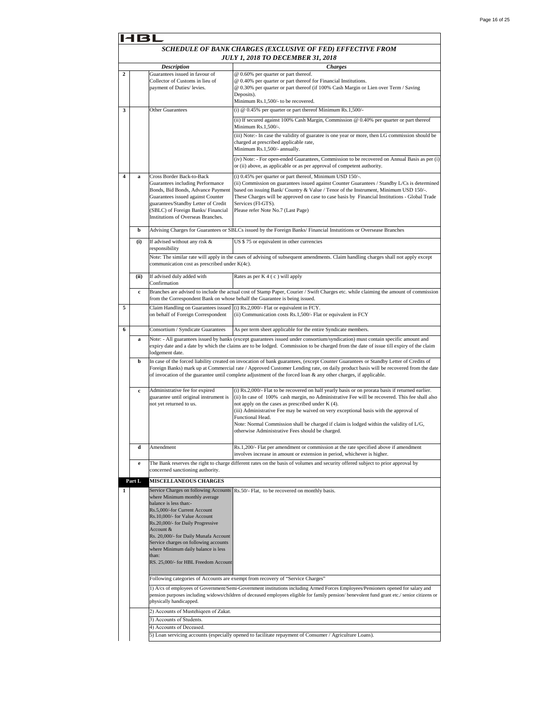|   | 14 B I |                                                                                                                                                                                                                                                                                                                                                                                                |                                                                                                                                                                                                                                                                                                                                                                                                                                                                                                                      |  |
|---|--------|------------------------------------------------------------------------------------------------------------------------------------------------------------------------------------------------------------------------------------------------------------------------------------------------------------------------------------------------------------------------------------------------|----------------------------------------------------------------------------------------------------------------------------------------------------------------------------------------------------------------------------------------------------------------------------------------------------------------------------------------------------------------------------------------------------------------------------------------------------------------------------------------------------------------------|--|
|   |        |                                                                                                                                                                                                                                                                                                                                                                                                | SCHEDULE OF BANK CHARGES (EXCLUSIVE OF FED) EFFECTIVE FROM<br>JULY 1, 2018 TO DECEMBER 31, 2018                                                                                                                                                                                                                                                                                                                                                                                                                      |  |
|   |        | <b>Description</b>                                                                                                                                                                                                                                                                                                                                                                             | <b>Charges</b>                                                                                                                                                                                                                                                                                                                                                                                                                                                                                                       |  |
| 2 |        | Guarantees issued in favour of<br>Collector of Customs in lieu of<br>payment of Duties/ levies.                                                                                                                                                                                                                                                                                                | @ 0.60% per quarter or part thereof.<br>@ 0.40% per quarter or part thereof for Financial Institutions.<br>@ 0.30% per quarter or part thereof (if 100% Cash Margin or Lien over Term / Saving<br>Deposits).<br>Minimum Rs.1,500/- to be recovered.                                                                                                                                                                                                                                                                  |  |
| 3 |        | <b>Other Guarantees</b>                                                                                                                                                                                                                                                                                                                                                                        | (i) $@$ 0.45% per quarter or part thereof Minimum Rs.1,500/-                                                                                                                                                                                                                                                                                                                                                                                                                                                         |  |
|   |        |                                                                                                                                                                                                                                                                                                                                                                                                | (ii) If secured against 100% Cash Margin, Commission @ 0.40% per quarter or part thereof<br>Minimum Rs.1,500/-.                                                                                                                                                                                                                                                                                                                                                                                                      |  |
|   |        |                                                                                                                                                                                                                                                                                                                                                                                                | (iii) Note:- In case the validity of guaratee is one year or more, then LG commission should be<br>charged at prescribed applicable rate,<br>Minimum Rs.1,500/- annually.                                                                                                                                                                                                                                                                                                                                            |  |
|   |        |                                                                                                                                                                                                                                                                                                                                                                                                | (iv) Note: - For open-ended Guarantees, Commission to be recovered on Annual Basis as per (i)<br>or (ii) above, as applicable or as per approval of competent authority.                                                                                                                                                                                                                                                                                                                                             |  |
| 4 | a      | Cross Border Back-to-Back<br>Guarantees including Performance<br>Bonds, Bid Bonds, Advance Payment<br>Guarantees issued against Counter<br>guarantees/Standby Letter of Credit<br>(SBLC) of Foreign Banks/ Financial<br>Institutions of Overseas Branches.                                                                                                                                     | (i) 0.45% per quarter or part thereof, Minimum USD 150/-.<br>(ii) Commission on guarantees issued against Counter Guarantees / Standby L/Cs is determined<br>based on issuing Bank/Country & Value / Tenor of the Instrument, Minimum USD 150/-.<br>These Charges will be approved on case to case basis by Financial Institutions - Global Trade<br>Services (FI-GTS).<br>Please refer Note No.7 (Last Page)                                                                                                        |  |
|   | b      |                                                                                                                                                                                                                                                                                                                                                                                                | Advising Charges for Guarantees or SBLCs issued by the Foreign Banks/Financial Instutitions or Oversease Branches                                                                                                                                                                                                                                                                                                                                                                                                    |  |
|   | (i)    | If advised without any risk &<br>responsibility                                                                                                                                                                                                                                                                                                                                                | US \$75 or equivalent in other currencies                                                                                                                                                                                                                                                                                                                                                                                                                                                                            |  |
|   |        | communication cost as prescribed under K(4c).                                                                                                                                                                                                                                                                                                                                                  | Note: The similar rate will apply in the cases of advising of subsequent amendments. Claim handling charges shall not apply except                                                                                                                                                                                                                                                                                                                                                                                   |  |
|   | (ii)   | If advised duly added with<br>Confirmation                                                                                                                                                                                                                                                                                                                                                     | Rates as per K 4 (c) will apply                                                                                                                                                                                                                                                                                                                                                                                                                                                                                      |  |
|   | c      | from the Correspondent Bank on whose behalf the Guarantee is being issued.                                                                                                                                                                                                                                                                                                                     | Branches are advised to include the actual cost of Stamp Paper, Courier / Swift Charges etc. while claiming the amount of commission                                                                                                                                                                                                                                                                                                                                                                                 |  |
| 5 |        | Claim Handling on Guarantees issued<br>on behalf of Foreign Correspondent                                                                                                                                                                                                                                                                                                                      | (i) Rs.2,000/- Flat or equivalent in FCY.<br>(ii) Communication costs Rs.1,500/- Flat or equivalent in FCY                                                                                                                                                                                                                                                                                                                                                                                                           |  |
| 6 |        | Consortium / Syndicate Guarantees                                                                                                                                                                                                                                                                                                                                                              | As per term sheet applicable for the entire Syndicate members.                                                                                                                                                                                                                                                                                                                                                                                                                                                       |  |
|   | a      | lodgement date.                                                                                                                                                                                                                                                                                                                                                                                | Note: - All guarantees issued by banks (except guarantees issued under consortium/syndication) must contain specific amount and<br>expiry date and a date by which the claims are to be lodged. Commission to be charged from the date of issue till expiry of the claim                                                                                                                                                                                                                                             |  |
|   | b      |                                                                                                                                                                                                                                                                                                                                                                                                | In case of the forced liability created on invocation of bank guarantees, (except Counter Guarantees or Standby Letter of Credits of<br>Foreign Banks) mark up at Commercial rate / Approved Customer Lending rate, on daily product basis will be recovered from the date<br>of invocation of the guarantee until complete adjustment of the forced loan & any other charges, if applicable.                                                                                                                        |  |
|   | c      | Administrative fee for expired<br>guarantee until original instrument is<br>not yet returned to us.                                                                                                                                                                                                                                                                                            | (i) Rs.2,000/- Flat to be recovered on half yearly basis or on prorata basis if returned earlier.<br>(ii) In case of 100% cash margin, no Administrative Fee will be recovered. This fee shall also<br>not apply on the cases as prescribed under K (4).<br>(iii) Administrative Fee may be waived on very exceptional basis with the approval of<br>Functional Head.<br>Note: Normal Commission shall be charged if claim is lodged within the validity of L/G,<br>otherwise Administrative Fees should be charged. |  |
|   | d      | Amendment                                                                                                                                                                                                                                                                                                                                                                                      | Rs.1,200/- Flat per amendment or commission at the rate specified above if amendment<br>involves increase in amount or extension in period, whichever is higher.                                                                                                                                                                                                                                                                                                                                                     |  |
|   | e      | concerned sanctioning authority.                                                                                                                                                                                                                                                                                                                                                               | The Bank reserves the right to charge different rates on the basis of volumes and security offered subject to prior approval by                                                                                                                                                                                                                                                                                                                                                                                      |  |
|   | Part L | <b>MISCELLANEOUS CHARGES</b>                                                                                                                                                                                                                                                                                                                                                                   |                                                                                                                                                                                                                                                                                                                                                                                                                                                                                                                      |  |
| 1 |        | Service Charges on following Accounts<br>where Minimum monthly average<br>balance is less than:-<br>Rs.5,000/-for Current Account<br>Rs.10,000/- for Value Account<br>Rs.20,000/- for Daily Progressive<br>Account &<br>Rs. 20,000/- for Daily Munafa Account<br>Service charges on following accounts<br>where Minimum daily balance is less<br>than:<br>RS. 25,000/- for HBL Freedom Account | Rs.50/- Flat, to be recovered on monthly basis.                                                                                                                                                                                                                                                                                                                                                                                                                                                                      |  |
|   |        |                                                                                                                                                                                                                                                                                                                                                                                                |                                                                                                                                                                                                                                                                                                                                                                                                                                                                                                                      |  |
|   |        |                                                                                                                                                                                                                                                                                                                                                                                                | Following categories of Accounts are exempt from recovery of "Service Charges"                                                                                                                                                                                                                                                                                                                                                                                                                                       |  |
|   |        | physically handicapped.                                                                                                                                                                                                                                                                                                                                                                        | 1) A/cs of employees of Government/Semi-Government institutions including Armed Forces Employees/Pensioners opened for salary and<br>pension purposes including widows/children of deceased employees eligible for family pension/ benevolent fund grant etc./ senior citizens or                                                                                                                                                                                                                                    |  |
|   |        | 2) Accounts of Mustehiqeen of Zakat.                                                                                                                                                                                                                                                                                                                                                           |                                                                                                                                                                                                                                                                                                                                                                                                                                                                                                                      |  |
|   |        | 3) Accounts of Students.                                                                                                                                                                                                                                                                                                                                                                       |                                                                                                                                                                                                                                                                                                                                                                                                                                                                                                                      |  |
|   |        | 4) Accounts of Deceased.                                                                                                                                                                                                                                                                                                                                                                       |                                                                                                                                                                                                                                                                                                                                                                                                                                                                                                                      |  |
|   |        |                                                                                                                                                                                                                                                                                                                                                                                                | 5) Loan servicing accounts (especially opened to facilitate repayment of Consumer / Agriculture Loans).                                                                                                                                                                                                                                                                                                                                                                                                              |  |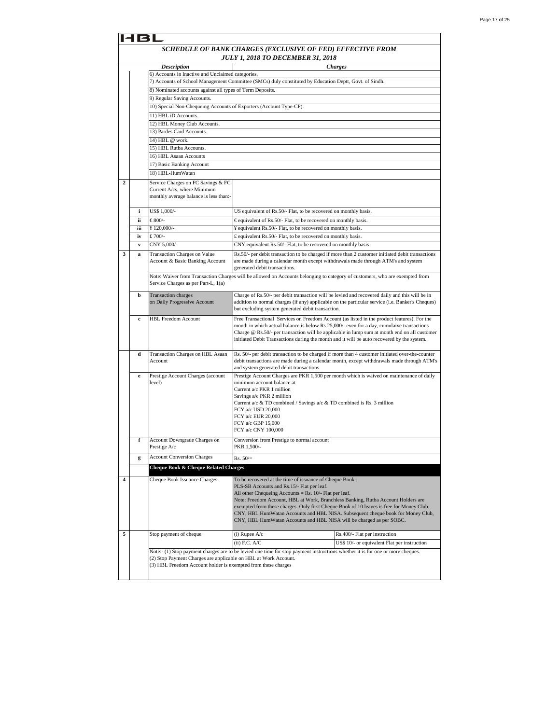|                                                           | B                                                                                                      |                                                                    |                                                                                                                                                                                          |                                                                                                  |  |
|-----------------------------------------------------------|--------------------------------------------------------------------------------------------------------|--------------------------------------------------------------------|------------------------------------------------------------------------------------------------------------------------------------------------------------------------------------------|--------------------------------------------------------------------------------------------------|--|
|                                                           | SCHEDULE OF BANK CHARGES (EXCLUSIVE OF FED) EFFECTIVE FROM<br><b>JULY 1, 2018 TO DECEMBER 31, 2018</b> |                                                                    |                                                                                                                                                                                          |                                                                                                  |  |
|                                                           |                                                                                                        | <b>Description</b>                                                 |                                                                                                                                                                                          | <b>Charges</b>                                                                                   |  |
|                                                           |                                                                                                        | 6) Accounts in Inactive and Unclaimed categories.                  |                                                                                                                                                                                          |                                                                                                  |  |
|                                                           | 7) Accounts of School Management Committee (SMCs) duly constituted by Education Deptt, Govt. of Sindh. |                                                                    |                                                                                                                                                                                          |                                                                                                  |  |
| 8) Nominated accounts against all types of Term Deposits. |                                                                                                        |                                                                    |                                                                                                                                                                                          |                                                                                                  |  |
| 9) Regular Saving Accounts.                               |                                                                                                        |                                                                    |                                                                                                                                                                                          |                                                                                                  |  |
|                                                           |                                                                                                        | 10) Special Non-Chequeing Accounts of Exporters (Account Type-CP). |                                                                                                                                                                                          |                                                                                                  |  |
|                                                           |                                                                                                        | 11) HBL iD Accounts.                                               |                                                                                                                                                                                          |                                                                                                  |  |
|                                                           |                                                                                                        | 12) HBL Money Club Accounts.                                       |                                                                                                                                                                                          |                                                                                                  |  |
|                                                           |                                                                                                        | 13) Pardes Card Accounts.                                          |                                                                                                                                                                                          |                                                                                                  |  |
|                                                           |                                                                                                        | 14) HBL @ work.                                                    |                                                                                                                                                                                          |                                                                                                  |  |
|                                                           |                                                                                                        | 15) HBL Rutba Accounts.                                            |                                                                                                                                                                                          |                                                                                                  |  |
|                                                           |                                                                                                        | 16) HBL Asaan Accounts                                             |                                                                                                                                                                                          |                                                                                                  |  |
|                                                           |                                                                                                        | 17) Basic Banking Account                                          |                                                                                                                                                                                          |                                                                                                  |  |
|                                                           |                                                                                                        | 18) HBL-HumWatan                                                   |                                                                                                                                                                                          |                                                                                                  |  |
| $\overline{c}$                                            |                                                                                                        | Service Charges on FC Savings & FC                                 |                                                                                                                                                                                          |                                                                                                  |  |
|                                                           |                                                                                                        | Current A/cs, where Minimum                                        |                                                                                                                                                                                          |                                                                                                  |  |
|                                                           |                                                                                                        | monthly average balance is less than:-                             |                                                                                                                                                                                          |                                                                                                  |  |
|                                                           |                                                                                                        | US\$ 1,000/-                                                       |                                                                                                                                                                                          |                                                                                                  |  |
|                                                           | i                                                                                                      |                                                                    | US equivalent of Rs.50/- Flat, to be recovered on monthly basis.                                                                                                                         |                                                                                                  |  |
|                                                           | ii                                                                                                     | €800/-                                                             | €equivalent of Rs.50/- Flat, to be recovered on monthly basis.                                                                                                                           |                                                                                                  |  |
|                                                           | iii                                                                                                    | ¥120,000/-                                                         | ¥ equivalent Rs.50/- Flat, to be recovered on monthly basis.                                                                                                                             |                                                                                                  |  |
|                                                           | iv                                                                                                     | £700/-                                                             | £ equivalent Rs.50/- Flat, to be recovered on monthly basis.                                                                                                                             |                                                                                                  |  |
|                                                           | v                                                                                                      | CNY 5,000/-                                                        | CNY equivalent Rs.50/- Flat, to be recovered on monthly basis                                                                                                                            |                                                                                                  |  |
| 3                                                         | a                                                                                                      | Transaction Charges on Value                                       |                                                                                                                                                                                          | Rs.50/- per debit transaction to be charged if more than 2 customer initiated debit transactions |  |
|                                                           |                                                                                                        | Account & Basic Banking Account                                    | are made during a calendar month except withdrawals made through ATM's and system<br>generated debit transactions.                                                                       |                                                                                                  |  |
|                                                           |                                                                                                        |                                                                    |                                                                                                                                                                                          |                                                                                                  |  |
|                                                           |                                                                                                        | Service Charges as per Part-L, 1(a)                                | Note: Waiver from Transaction Charges will be allowed on Accounts belonging to category of customers, who are exempted from                                                              |                                                                                                  |  |
|                                                           |                                                                                                        |                                                                    |                                                                                                                                                                                          |                                                                                                  |  |
|                                                           | b                                                                                                      | <b>Transaction</b> charges                                         | Charge of Rs.50/- per debit transaction will be levied and recovered daily and this will be in                                                                                           |                                                                                                  |  |
|                                                           |                                                                                                        | on Daily Progressive Account                                       |                                                                                                                                                                                          | addition to normal charges (if any) applicable on the particular service (i.e. Banker's Cheques) |  |
|                                                           |                                                                                                        |                                                                    | but excluding system generated debit transaction.                                                                                                                                        |                                                                                                  |  |
|                                                           | c                                                                                                      | <b>HBL Freedom Account</b>                                         | Free Transactional Services on Freedom Account (as listed in the product features). For the<br>month in which actual balance is below Rs.25,000/- even for a day, cumulaive transactions |                                                                                                  |  |
|                                                           |                                                                                                        |                                                                    |                                                                                                                                                                                          | Charge $@$ Rs.50/- per transaction will be applicable in lump sum at month end on all customer   |  |
|                                                           |                                                                                                        |                                                                    | initiated Debit Transactions during the month and it will be auto recovered by the system.                                                                                               |                                                                                                  |  |
|                                                           |                                                                                                        |                                                                    |                                                                                                                                                                                          |                                                                                                  |  |
|                                                           | d                                                                                                      | Transaction Charges on HBL Asaan                                   |                                                                                                                                                                                          | Rs. 50/- per debit transaction to be charged if more than 4 customer initiated over-the-counter  |  |
|                                                           |                                                                                                        | Account                                                            |                                                                                                                                                                                          | debit transactions are made during a calendar month, except withdrawals made through ATM's       |  |
|                                                           |                                                                                                        |                                                                    | and system generated debit transactions.                                                                                                                                                 |                                                                                                  |  |
|                                                           | e                                                                                                      | Prestige Account Charges (account<br>level)                        | minimum account balance at                                                                                                                                                               | Prestige Account Charges are PKR 1,500 per month which is waived on maintenance of daily         |  |
|                                                           |                                                                                                        |                                                                    | Current a/c PKR 1 million                                                                                                                                                                |                                                                                                  |  |
|                                                           |                                                                                                        |                                                                    | Savings a/c PKR 2 million                                                                                                                                                                |                                                                                                  |  |
|                                                           |                                                                                                        |                                                                    | Current a/c & TD combined / Savings a/c & TD combined is Rs. 3 million                                                                                                                   |                                                                                                  |  |
|                                                           |                                                                                                        |                                                                    | FCY a/c USD 20,000                                                                                                                                                                       |                                                                                                  |  |
|                                                           |                                                                                                        |                                                                    | FCY a/c EUR 20,000<br>FCY a/c GBP 15,000                                                                                                                                                 |                                                                                                  |  |
|                                                           |                                                                                                        |                                                                    | FCY a/c CNY 100,000                                                                                                                                                                      |                                                                                                  |  |
|                                                           |                                                                                                        |                                                                    |                                                                                                                                                                                          |                                                                                                  |  |
|                                                           | f                                                                                                      | Account Downgrade Charges on<br>Prestige A/c                       | Conversion from Prestige to normal account<br>PKR 1,500/-                                                                                                                                |                                                                                                  |  |
|                                                           |                                                                                                        |                                                                    |                                                                                                                                                                                          |                                                                                                  |  |
|                                                           | g                                                                                                      | <b>Account Conversion Charges</b>                                  | $Rs. 50/=$                                                                                                                                                                               |                                                                                                  |  |
|                                                           |                                                                                                        | Cheque Book & Cheque Related Charges                               |                                                                                                                                                                                          |                                                                                                  |  |
| 4                                                         |                                                                                                        | Cheque Book Issuance Charges                                       | To be recovered at the time of issuance of Cheque Book :-                                                                                                                                |                                                                                                  |  |
|                                                           |                                                                                                        |                                                                    | PLS-SB Accounts and Rs.15/- Flat per leaf.                                                                                                                                               |                                                                                                  |  |
|                                                           |                                                                                                        |                                                                    | All other Chequeing Accounts = Rs. $10/-$ Flat per leaf.                                                                                                                                 |                                                                                                  |  |
|                                                           |                                                                                                        |                                                                    | Note: Freedom Account, HBL at Work, Branchless Banking, Rutba Account Holders are                                                                                                        |                                                                                                  |  |
|                                                           |                                                                                                        |                                                                    | exempted from these charges. Only first Cheque Book of 10 leaves is free for Money Club,                                                                                                 | CNY, HBL HumWatan Accounts and HBL NISA. Subsequent cheque book for Money Club,                  |  |
|                                                           |                                                                                                        |                                                                    | CNY, HBL HumWatan Accounts and HBL NISA will be charged as per SOBC.                                                                                                                     |                                                                                                  |  |
|                                                           |                                                                                                        |                                                                    |                                                                                                                                                                                          |                                                                                                  |  |
| 5                                                         |                                                                                                        | Stop payment of cheque                                             | $(i)$ Rupee $A/c$                                                                                                                                                                        | Rs.400/- Flat per instruction                                                                    |  |
|                                                           |                                                                                                        |                                                                    | $(ii)$ F.C. A/C                                                                                                                                                                          | US\$ 10/- or equivalent Flat per instruction                                                     |  |
|                                                           |                                                                                                        |                                                                    | Note:- (1) Stop payment charges are to be levied one time for stop payment instructions whether it is for one or more cheques.                                                           |                                                                                                  |  |
|                                                           |                                                                                                        | (2) Stop Payment Charges are applicable on HBL at Work Account.    |                                                                                                                                                                                          |                                                                                                  |  |
|                                                           |                                                                                                        | (3) HBL Freedom Account holder is exempted from these charges      |                                                                                                                                                                                          |                                                                                                  |  |
|                                                           |                                                                                                        |                                                                    |                                                                                                                                                                                          |                                                                                                  |  |
|                                                           |                                                                                                        |                                                                    |                                                                                                                                                                                          |                                                                                                  |  |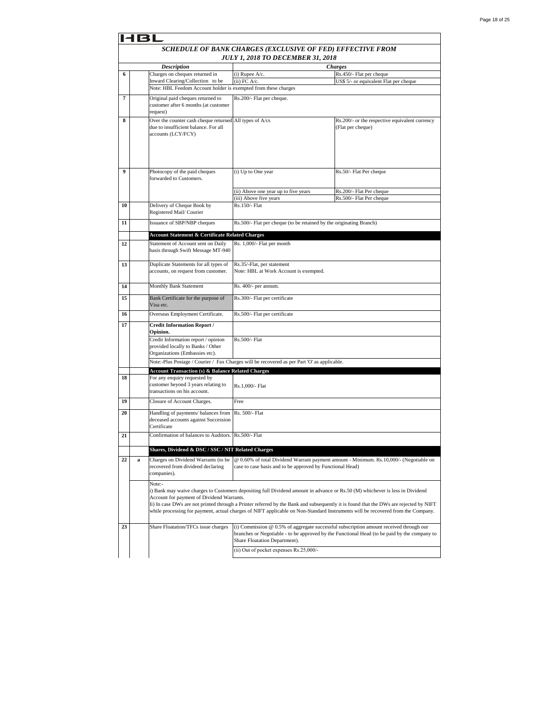|    | SCHEDULE OF BANK CHARGES (EXCLUSIVE OF FED) EFFECTIVE FROM<br>JULY 1, 2018 TO DECEMBER 31, 2018 |                                                                                                                       |                                                                                             |                                                                                                                                                                                                                                                                                                                                                                                                          |  |  |
|----|-------------------------------------------------------------------------------------------------|-----------------------------------------------------------------------------------------------------------------------|---------------------------------------------------------------------------------------------|----------------------------------------------------------------------------------------------------------------------------------------------------------------------------------------------------------------------------------------------------------------------------------------------------------------------------------------------------------------------------------------------------------|--|--|
|    |                                                                                                 | <b>Description</b>                                                                                                    |                                                                                             | <b>Charges</b>                                                                                                                                                                                                                                                                                                                                                                                           |  |  |
| 6  |                                                                                                 | Charges on cheques returned in                                                                                        | $(i)$ Rupee A/c.                                                                            | Rs.450/- Flat per cheque                                                                                                                                                                                                                                                                                                                                                                                 |  |  |
|    |                                                                                                 | Inward Clearing/Collection to be                                                                                      | $(ii)$ FC $A/c$ .                                                                           | US\$ 5/- or equivalent Flat per cheque                                                                                                                                                                                                                                                                                                                                                                   |  |  |
|    |                                                                                                 | Note: HBL Feedom Account holder is exempted from these charges                                                        |                                                                                             |                                                                                                                                                                                                                                                                                                                                                                                                          |  |  |
| 7  |                                                                                                 | Original paid cheques returned to<br>customer after 6 months (at customer<br>request)                                 | Rs.200/- Flat per cheque.                                                                   |                                                                                                                                                                                                                                                                                                                                                                                                          |  |  |
| 8  |                                                                                                 | Over the counter cash cheque returned All types of A/cs<br>due to insufficient balance. For all<br>accounts (LCY/FCY) |                                                                                             | Rs.200/- or the respective equivalent currency<br>(Flat per cheque)                                                                                                                                                                                                                                                                                                                                      |  |  |
| 9  |                                                                                                 | Photocopy of the paid cheques                                                                                         | (i) Up to One year                                                                          | Rs.50/- Flat Per cheque                                                                                                                                                                                                                                                                                                                                                                                  |  |  |
|    |                                                                                                 | forwarded to Customers.                                                                                               |                                                                                             |                                                                                                                                                                                                                                                                                                                                                                                                          |  |  |
|    |                                                                                                 |                                                                                                                       | (ii) Above one year up to five years<br>(iii) Above five years                              | Rs.200/- Flat Per cheque<br>Rs.500/- Flat Per cheque                                                                                                                                                                                                                                                                                                                                                     |  |  |
| 10 |                                                                                                 | Delivery of Cheque Book by                                                                                            | Rs.150/- Flat                                                                               |                                                                                                                                                                                                                                                                                                                                                                                                          |  |  |
|    |                                                                                                 | Registered Mail/Courier                                                                                               |                                                                                             |                                                                                                                                                                                                                                                                                                                                                                                                          |  |  |
| 11 |                                                                                                 | Issuance of SBP/NBP cheques                                                                                           | Rs.500/- Flat per cheque (to be retained by the originating Branch)                         |                                                                                                                                                                                                                                                                                                                                                                                                          |  |  |
|    |                                                                                                 | <b>Account Statement &amp; Certificate Related Charges</b>                                                            |                                                                                             |                                                                                                                                                                                                                                                                                                                                                                                                          |  |  |
| 12 |                                                                                                 | Statement of Account sent on Daily<br>basis through Swift Message MT-940                                              | Rs. 1,000/- Flat per month                                                                  |                                                                                                                                                                                                                                                                                                                                                                                                          |  |  |
| 13 |                                                                                                 | Duplicate Statements for all types of<br>accounts, on request from customer.                                          | Rs.35/-Flat, per statement<br>Note: HBL at Work Account is exempted.                        |                                                                                                                                                                                                                                                                                                                                                                                                          |  |  |
| 14 |                                                                                                 | Monthly Bank Statement                                                                                                | Rs. 400/- per annum.                                                                        |                                                                                                                                                                                                                                                                                                                                                                                                          |  |  |
| 15 |                                                                                                 | Bank Certificate for the purpose of<br>Visa etc.                                                                      | Rs.300/- Flat per certificate                                                               |                                                                                                                                                                                                                                                                                                                                                                                                          |  |  |
| 16 |                                                                                                 | Overseas Employment Certificate.                                                                                      | Rs.500/- Flat per certificate                                                               |                                                                                                                                                                                                                                                                                                                                                                                                          |  |  |
| 17 |                                                                                                 | <b>Credit Information Report /</b><br>Opinion.                                                                        |                                                                                             |                                                                                                                                                                                                                                                                                                                                                                                                          |  |  |
|    |                                                                                                 | Credit Information report / opinion<br>provided locally to Banks / Other<br>Organizations (Embassies etc).            | Rs.500/- Flat                                                                               |                                                                                                                                                                                                                                                                                                                                                                                                          |  |  |
|    |                                                                                                 |                                                                                                                       | Note:-Plus Postage / Courier / Fax Charges will be recovered as per Part 'O' as applicable. |                                                                                                                                                                                                                                                                                                                                                                                                          |  |  |
|    |                                                                                                 | <b>Account Transaction (s) &amp; Balance Related Charges</b>                                                          |                                                                                             |                                                                                                                                                                                                                                                                                                                                                                                                          |  |  |
| 18 |                                                                                                 | For any enquiry requested by<br>customer beyond 3 years relating to<br>transactions on his account.                   | Rs.1,000/- Flat                                                                             |                                                                                                                                                                                                                                                                                                                                                                                                          |  |  |
| 19 |                                                                                                 | Closure of Account Charges.                                                                                           | Free                                                                                        |                                                                                                                                                                                                                                                                                                                                                                                                          |  |  |
| 20 |                                                                                                 | Handling of payments/ balances from<br>deceased accounts against Succession<br>Certificate                            | Rs. 500/- Flat                                                                              |                                                                                                                                                                                                                                                                                                                                                                                                          |  |  |
| 21 |                                                                                                 | Confirmation of balances to Auditors. Rs.500/- Flat                                                                   |                                                                                             |                                                                                                                                                                                                                                                                                                                                                                                                          |  |  |
|    |                                                                                                 | Shares, Dividend & DSC / SSC / NIT Related Charges                                                                    |                                                                                             |                                                                                                                                                                                                                                                                                                                                                                                                          |  |  |
| 22 | a                                                                                               | Charges on Dividend Warrants (to be<br>recovered from dividend declaring<br>companies).                               | case to case basis and to be approved by Functional Head)                                   | @ 0.60% of total Dividend Warrant payment amount - Minimum. Rs.10,000/- (Negotiable on                                                                                                                                                                                                                                                                                                                   |  |  |
|    |                                                                                                 | Note:-<br>Account for payment of Dividend Warrants.                                                                   |                                                                                             | i) Bank may waive charges to Customers depositing full Dividend amount in advance or Rs.50 (M) whichever is less in Dividend<br>Ii) In case DWs are not printed through a Printer referred by the Bank and subsequently it is found that the DWs are rejected by NIFT<br>while processing for payment, actual charges of NIFT applicable on Non-Standard Instruments will be recovered from the Company. |  |  |
| 23 |                                                                                                 | Share Floatation/TFCs issue charges                                                                                   | Share Floatation Department).                                                               | (i) Commission $@$ 0.5% of aggregate successful subscription amount received through our<br>branches or Negotiable - to be approved by the Functional Head (to be paid by the company to                                                                                                                                                                                                                 |  |  |
|    |                                                                                                 |                                                                                                                       | (ii) Out of pocket expenses Rs.25,000/-                                                     |                                                                                                                                                                                                                                                                                                                                                                                                          |  |  |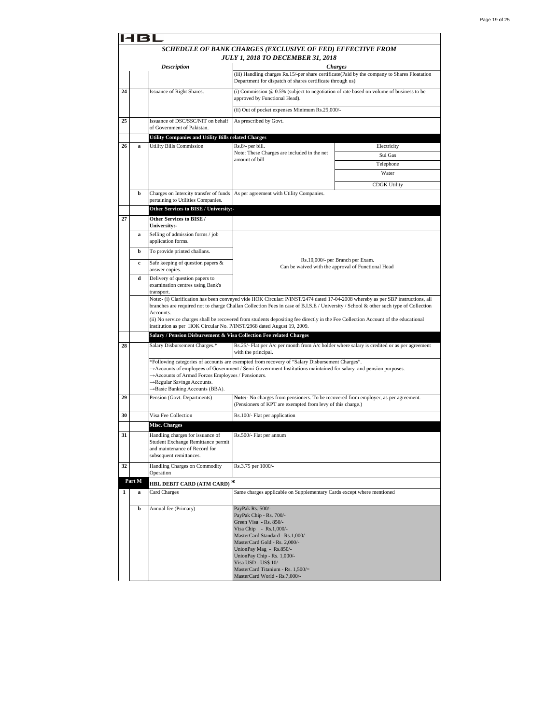|    |        |                                                                                        | SCHEDULE OF BANK CHARGES (EXCLUSIVE OF FED) EFFECTIVE FROM                                                                                                                            |                                  |  |  |  |
|----|--------|----------------------------------------------------------------------------------------|---------------------------------------------------------------------------------------------------------------------------------------------------------------------------------------|----------------------------------|--|--|--|
|    |        |                                                                                        | JULY 1, 2018 TO DECEMBER 31, 2018                                                                                                                                                     |                                  |  |  |  |
|    |        | <b>Description</b>                                                                     |                                                                                                                                                                                       | <b>Charges</b>                   |  |  |  |
|    |        |                                                                                        | (iii) Handling charges Rs.15/-per share certificate(Paid by the company to Shares Floatation<br>Department for dispatch of shares certificate through us)                             |                                  |  |  |  |
| 24 |        | Issuance of Right Shares.                                                              | (i) Commission $@0.5\%$ (subject to negotiation of rate based on volume of business to be<br>approved by Functional Head).                                                            |                                  |  |  |  |
|    |        |                                                                                        | (ii) Out of pocket expenses Minimum Rs.25,000/-                                                                                                                                       |                                  |  |  |  |
| 25 |        | Issuance of DSC/SSC/NIT on behalf                                                      | As prescribed by Govt.                                                                                                                                                                |                                  |  |  |  |
|    |        | of Government of Pakistan.                                                             |                                                                                                                                                                                       |                                  |  |  |  |
| 26 | a      | Utility Companies and Utility Bills related Charges<br><b>Utility Bills Commission</b> |                                                                                                                                                                                       | Electricity                      |  |  |  |
|    |        |                                                                                        | Rs.8/- per bill.<br>Note: These Charges are included in the net                                                                                                                       | Sui Gas                          |  |  |  |
|    |        |                                                                                        | amount of bill                                                                                                                                                                        | Telephone                        |  |  |  |
|    |        |                                                                                        |                                                                                                                                                                                       | Water                            |  |  |  |
|    |        |                                                                                        |                                                                                                                                                                                       |                                  |  |  |  |
|    | b      | Charges on Intercity transfer of funds                                                 | As per agreement with Utility Companies.                                                                                                                                              | <b>CDGK Utility</b>              |  |  |  |
|    |        | pertaining to Utilities Companies.                                                     |                                                                                                                                                                                       |                                  |  |  |  |
|    |        | Other Services to BISE / University:-                                                  |                                                                                                                                                                                       |                                  |  |  |  |
| 27 |        | Other Services to BISE /                                                               |                                                                                                                                                                                       |                                  |  |  |  |
|    |        | University:-                                                                           |                                                                                                                                                                                       |                                  |  |  |  |
|    | a      | Selling of admission forms / job<br>application forms.                                 |                                                                                                                                                                                       |                                  |  |  |  |
|    | b      | To provide printed challans.                                                           |                                                                                                                                                                                       | Rs.10,000/- per Branch per Exam. |  |  |  |
|    | c      | Safe keeping of question papers &<br>answer copies.                                    | Can be waived with the approval of Functional Head                                                                                                                                    |                                  |  |  |  |
|    | d      | Delivery of question papers to<br>examination centres using Bank's                     |                                                                                                                                                                                       |                                  |  |  |  |
|    |        | transport.                                                                             | Note:- (i) Clarification has been conveyed vide HOK Circular: P/INST/2474 dated 17-04-2008 whereby as per SBP instructions, all                                                       |                                  |  |  |  |
|    |        |                                                                                        | branches are required not to charge Challan Collection Fees in case of B.I.S.E / University / School & other such type of Collection                                                  |                                  |  |  |  |
|    |        | Accounts.<br>institution as per HOK Circular No. P/INST/2968 dated August 19, 2009.    | (ii) No service charges shall be recovered from students depositing fee directly in the Fee Collection Account of the educational                                                     |                                  |  |  |  |
|    |        | Salary / Pension Disbursement & Visa Collection Fee related Charges                    |                                                                                                                                                                                       |                                  |  |  |  |
| 28 |        | Salary Disbursement Charges.*                                                          | Rs.25/- Flat per A/c per month from A/c holder where salary is credited or as per agreement<br>with the principal.                                                                    |                                  |  |  |  |
|    |        |                                                                                        | *Following categories of accounts are exempted from recovery of "Salary Disbursement Charges".                                                                                        |                                  |  |  |  |
|    |        | Accounts of Armed Forces Employees / Pensioners.                                       | $\rightarrow$ Accounts of employees of Government / Semi-Government Institutions maintained for salary and pension purposes.                                                          |                                  |  |  |  |
|    |        | →Regular Savings Accounts.                                                             |                                                                                                                                                                                       |                                  |  |  |  |
|    |        | →Basic Banking Accounts (BBA).                                                         |                                                                                                                                                                                       |                                  |  |  |  |
| 29 |        | Pension (Govt. Departments)                                                            | Note:- No charges from pensioners. To be recovered from employer, as per agreement.<br>(Pensioners of KPT are exempted from levy of this charge.)                                     |                                  |  |  |  |
| 30 |        | Visa Fee Collection<br>Misc. Charges                                                   | Rs.100/- Flat per application                                                                                                                                                         |                                  |  |  |  |
| 31 |        | Handling charges for issuance of                                                       | Rs.500/- Flat per annum                                                                                                                                                               |                                  |  |  |  |
|    |        | Student Exchange Remittance permit<br>and maintenance of Record for                    |                                                                                                                                                                                       |                                  |  |  |  |
|    |        | subsequent remittances.                                                                |                                                                                                                                                                                       |                                  |  |  |  |
| 32 |        | Handling Charges on Commodity<br>Operation                                             | Rs.3.75 per 1000/-                                                                                                                                                                    |                                  |  |  |  |
|    | Part M | HBL DEBIT CARD (ATM CARD) *                                                            |                                                                                                                                                                                       |                                  |  |  |  |
| 1  | a      | Card Charges                                                                           | Same charges applicable on Supplementary Cards except where mentioned                                                                                                                 |                                  |  |  |  |
|    | b      | Annual fee (Primary)                                                                   | PayPak Rs. 500/-<br>PayPak Chip - Rs. 700/-<br>Green Visa - Rs. 850/-<br>Visa Chip - Rs.1,000/-<br>MasterCard Standard - Rs.1,000/-                                                   |                                  |  |  |  |
|    |        |                                                                                        | MasterCard Gold - Rs. 2,000/-<br>UnionPay Mag - Rs.850/-<br>UnionPay Chip - Rs. 1,000/-<br>Visa USD - US\$ 10/-<br>MasterCard Titanium - Rs. 1,500/=<br>MasterCard World - Rs.7,000/- |                                  |  |  |  |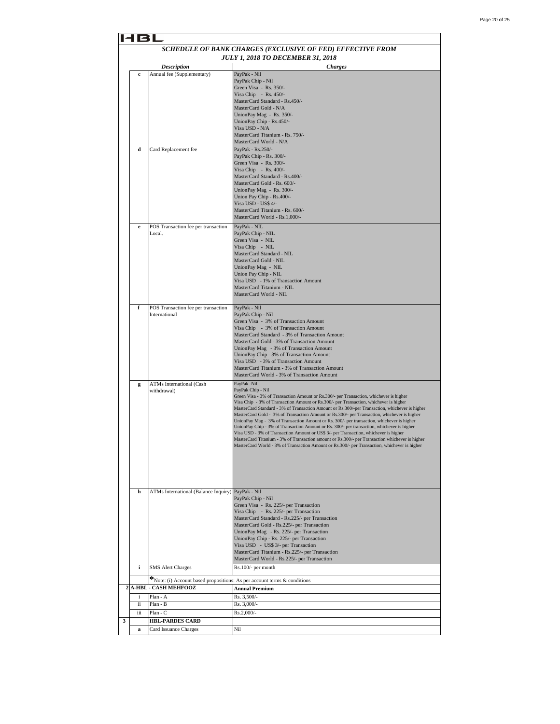|   | 14 B I      |                                                                          |                                                                                                                                                                                         |  |
|---|-------------|--------------------------------------------------------------------------|-----------------------------------------------------------------------------------------------------------------------------------------------------------------------------------------|--|
|   |             |                                                                          | SCHEDULE OF BANK CHARGES (EXCLUSIVE OF FED) EFFECTIVE FROM                                                                                                                              |  |
|   |             |                                                                          | JULY 1, 2018 TO DECEMBER 31, 2018                                                                                                                                                       |  |
|   |             | <b>Description</b>                                                       | <b>Charges</b>                                                                                                                                                                          |  |
|   | $\mathbf c$ | Annual fee (Supplementary)                                               | PayPak - Nil                                                                                                                                                                            |  |
|   |             |                                                                          | PayPak Chip - Nil                                                                                                                                                                       |  |
|   |             |                                                                          | Green Visa - Rs. 350/-<br>Visa Chip - Rs. 450/-                                                                                                                                         |  |
|   |             |                                                                          | MasterCard Standard - Rs.450/-                                                                                                                                                          |  |
|   |             |                                                                          | MasterCard Gold - N/A                                                                                                                                                                   |  |
|   |             |                                                                          | UnionPay Mag - Rs. 350/-                                                                                                                                                                |  |
|   |             |                                                                          | UnionPay Chip - Rs.450/-<br>Visa USD - N/A                                                                                                                                              |  |
|   |             |                                                                          | MasterCard Titanium - Rs. 750/-                                                                                                                                                         |  |
|   |             |                                                                          | MasterCard World - N/A                                                                                                                                                                  |  |
|   | d           | Card Replacement fee                                                     | PayPak - Rs.250/-                                                                                                                                                                       |  |
|   |             |                                                                          | PayPak Chip - Rs. 300/-                                                                                                                                                                 |  |
|   |             |                                                                          | Green Visa - Rs. 300/-<br>Visa Chip - Rs. $400/-$                                                                                                                                       |  |
|   |             |                                                                          | MasterCard Standard - Rs.400/-                                                                                                                                                          |  |
|   |             |                                                                          | MasterCard Gold - Rs. 600/-                                                                                                                                                             |  |
|   |             |                                                                          | UnionPay Mag - Rs. 300/-                                                                                                                                                                |  |
|   |             |                                                                          | Union Pay Chip - Rs.400/-<br>Visa USD - US\$ 4/-                                                                                                                                        |  |
|   |             |                                                                          | MasterCard Titanium - Rs. 600/-                                                                                                                                                         |  |
|   |             |                                                                          | MasterCard World - Rs.1,000/-                                                                                                                                                           |  |
|   | e           | POS Transaction fee per transaction                                      | PayPak - NIL                                                                                                                                                                            |  |
|   |             | Local.                                                                   | PayPak Chip - NIL                                                                                                                                                                       |  |
|   |             |                                                                          | Green Visa - NIL                                                                                                                                                                        |  |
|   |             |                                                                          | Visa Chip - NIL<br>MasterCard Standard - NIL                                                                                                                                            |  |
|   |             |                                                                          | MasterCard Gold - NIL                                                                                                                                                                   |  |
|   |             |                                                                          | UnionPay Mag - NIL                                                                                                                                                                      |  |
|   |             |                                                                          | Union Pay Chip - NIL                                                                                                                                                                    |  |
|   |             |                                                                          | Visa USD - 1% of Transaction Amount                                                                                                                                                     |  |
|   |             |                                                                          | MasterCard Titanium - NIL<br>MasterCard World - NIL                                                                                                                                     |  |
|   |             |                                                                          |                                                                                                                                                                                         |  |
|   | f           | POS Transaction fee per transaction                                      | PayPak - Nil                                                                                                                                                                            |  |
|   |             | International                                                            | PayPak Chip - Nil                                                                                                                                                                       |  |
|   |             |                                                                          | Green Visa - 3% of Transaction Amount<br>Visa Chip - 3% of Transaction Amount                                                                                                           |  |
|   |             |                                                                          | MasterCard Standard - 3% of Transaction Amount                                                                                                                                          |  |
|   |             |                                                                          | MasterCard Gold - 3% of Transaction Amount                                                                                                                                              |  |
|   |             |                                                                          | UnionPay Mag - 3% of Transaction Amount                                                                                                                                                 |  |
|   |             |                                                                          | UnionPay Chip - 3% of Transaction Amount                                                                                                                                                |  |
|   |             |                                                                          | Visa USD - 3% of Transaction Amount<br>MasterCard Titanium - 3% of Transaction Amount                                                                                                   |  |
|   |             |                                                                          | MasterCard World - 3% of Transaction Amount                                                                                                                                             |  |
|   | g           | ATMs International (Cash                                                 | PayPak -Nil                                                                                                                                                                             |  |
|   |             | withdrawal)                                                              | PayPak Chip - Nil                                                                                                                                                                       |  |
|   |             |                                                                          | Green Visa - 3% of Transaction Amount or Rs.300/- per Transaction, whichever is higher                                                                                                  |  |
|   |             |                                                                          | Visa Chip - 3% of Transaction Amount or Rs.300/- per Transaction, whichever is higher<br>MasterCard Standard - 3% of Transaction Amount or Rs.300/-per Transaction, whichever is higher |  |
|   |             |                                                                          | MasterCard Gold - 3% of Transaction Amount or Rs.300/- per Transaction, whichever is higher                                                                                             |  |
|   |             |                                                                          | UnionPay Mag - 3% of Transaction Amount or Rs. 300/- per transaction, whichever is higher                                                                                               |  |
|   |             |                                                                          | UnionPay Chip - 3% of Transaction Amount or Rs. 300/- per transaction, whichever is higher<br>Visa USD - 3% of Transaction Amount or US\$ 3/- per Transaction, whichever is higher      |  |
|   |             |                                                                          | MasterCard Titanium - 3% of Transaction amount or Rs.300/- per Transaction whichever is higher                                                                                          |  |
|   |             |                                                                          | MasterCard World - 3% of Transaction Amount or Rs.300/- per Transaction, whichever is higher                                                                                            |  |
|   |             |                                                                          |                                                                                                                                                                                         |  |
|   |             |                                                                          |                                                                                                                                                                                         |  |
|   |             |                                                                          |                                                                                                                                                                                         |  |
|   |             |                                                                          |                                                                                                                                                                                         |  |
|   | h           |                                                                          |                                                                                                                                                                                         |  |
|   |             | ATMs International (Balance Inquiry) PayPak - Nil                        | PavPak Chip - Nil                                                                                                                                                                       |  |
|   |             |                                                                          | Green Visa - Rs. 225/- per Transaction                                                                                                                                                  |  |
|   |             |                                                                          | Visa Chip - Rs. 225/- per Transaction                                                                                                                                                   |  |
|   |             |                                                                          | MasterCard Standard - Rs.225/- per Transaction                                                                                                                                          |  |
|   |             |                                                                          | MasterCard Gold - Rs.225/- per Transaction<br>UnionPay Mag - Rs. 225/- per Transaction                                                                                                  |  |
|   |             |                                                                          | UnionPay Chip - Rs. 225/- per Transaction                                                                                                                                               |  |
|   |             |                                                                          | Visa USD - US\$ 3/- per Transaction                                                                                                                                                     |  |
|   |             |                                                                          | MasterCard Titanium - Rs.225/- per Transaction                                                                                                                                          |  |
|   |             |                                                                          | MasterCard World - Rs.225/- per Transaction                                                                                                                                             |  |
|   | i           | <b>SMS Alert Charges</b>                                                 | Rs.100/- per month                                                                                                                                                                      |  |
|   |             | *Note: (i) Account based propositions: As per account terms & conditions |                                                                                                                                                                                         |  |
|   |             | 2 A-HBL - CASH MEHFOOZ                                                   | <b>Annual Premium</b>                                                                                                                                                                   |  |
|   | i.          | Plan - A                                                                 | Rs. 3,500/-                                                                                                                                                                             |  |
|   | ii          | Plan - B                                                                 | Rs. 3,000/-                                                                                                                                                                             |  |
|   | iii         | $Plan - \overline{C}$                                                    | Rs.2,000/-                                                                                                                                                                              |  |
| 3 |             | <b>HBL-PARDES CARD</b>                                                   |                                                                                                                                                                                         |  |
|   | a           | Card Issuance Charges                                                    | Nil                                                                                                                                                                                     |  |
|   |             |                                                                          |                                                                                                                                                                                         |  |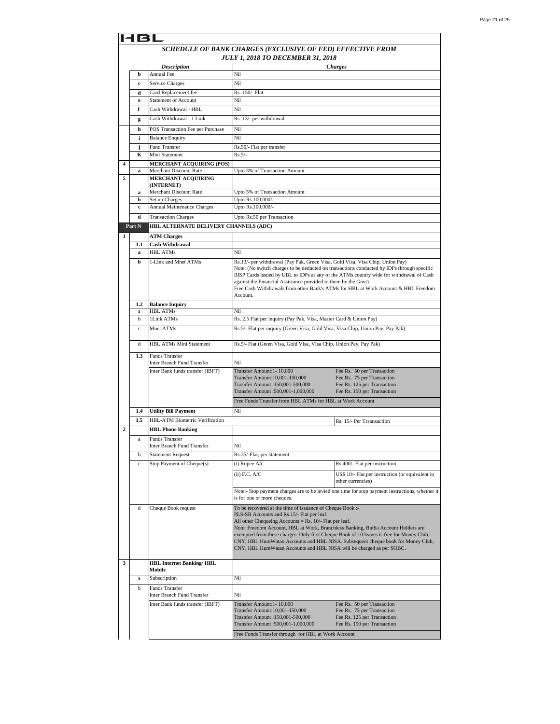|                | 4BI                                             |                                                     |                                                                                                                                               |                                                                                                 |  |
|----------------|-------------------------------------------------|-----------------------------------------------------|-----------------------------------------------------------------------------------------------------------------------------------------------|-------------------------------------------------------------------------------------------------|--|
|                |                                                 |                                                     | SCHEDULE OF BANK CHARGES (EXCLUSIVE OF FED) EFFECTIVE FROM                                                                                    |                                                                                                 |  |
|                |                                                 |                                                     | JULY 1, 2018 TO DECEMBER 31, 2018                                                                                                             |                                                                                                 |  |
|                |                                                 | <b>Description</b>                                  |                                                                                                                                               | <b>Charges</b>                                                                                  |  |
|                | b                                               | Annual Fee                                          | Nil                                                                                                                                           |                                                                                                 |  |
|                | c                                               | Service Charges                                     | Nil                                                                                                                                           |                                                                                                 |  |
|                | d                                               | Card Replacement fee                                | Rs. 150/- Flat                                                                                                                                |                                                                                                 |  |
|                | $\mathbf e$                                     | <b>Statement of Account</b>                         | Nil                                                                                                                                           |                                                                                                 |  |
|                | f                                               | Cash Withdrawal - HBL                               | Nil                                                                                                                                           |                                                                                                 |  |
|                | g                                               | Cash Withdrawal - 1 Link                            | Rs. 13/- per withdrawal                                                                                                                       |                                                                                                 |  |
|                | h                                               | POS Transaction Fee per Purchase                    | Nil                                                                                                                                           |                                                                                                 |  |
|                | i                                               | <b>Balance Enquiry</b>                              | Nil                                                                                                                                           |                                                                                                 |  |
|                | j                                               | <b>Fund Transfer</b>                                | Rs.50/- Flat per transfer                                                                                                                     |                                                                                                 |  |
|                | K                                               | Mini Statement                                      | $Rs.5/-$                                                                                                                                      |                                                                                                 |  |
| 4              |                                                 | <b>MERCHANT ACQUIRING (POS)</b>                     |                                                                                                                                               |                                                                                                 |  |
| 5              | a                                               | Merchant Discount Rate<br><b>MERCHANT ACQUIRING</b> | Upto 3% of Transaction Amount                                                                                                                 |                                                                                                 |  |
|                |                                                 | (INTERNET)                                          |                                                                                                                                               |                                                                                                 |  |
|                | a                                               | Merchant Discount Rate                              | Upto 5% of Transaction Amount                                                                                                                 |                                                                                                 |  |
|                | b                                               | Set up Charges                                      | Upto Rs.100,000/-                                                                                                                             |                                                                                                 |  |
|                | $\mathbf c$                                     | Annual Maintenance Charges                          | Upto Rs.100,000/-                                                                                                                             |                                                                                                 |  |
|                | d                                               | <b>Transaction Charges</b>                          | Upto Rs.50 per Transaction                                                                                                                    |                                                                                                 |  |
|                | HBL ALTERNATE DELIVERY CHANNELS (ADC)<br>Part N |                                                     |                                                                                                                                               |                                                                                                 |  |
| $\mathbf{1}$   |                                                 | <b>ATM Charges</b>                                  |                                                                                                                                               |                                                                                                 |  |
|                | 1.1                                             | <b>Cash Withdrawal</b>                              |                                                                                                                                               |                                                                                                 |  |
|                | $\bf{a}$                                        | <b>HBL ATMs</b>                                     | Nil                                                                                                                                           |                                                                                                 |  |
|                | b                                               | 1-Link and Mnet ATMs                                | Rs.13/- per withdrawal (Pay Pak, Green Visa, Gold Visa, Visa Chip, Union Pay)                                                                 |                                                                                                 |  |
|                |                                                 |                                                     |                                                                                                                                               | Note: (No switch charges to be deducted on transactions conducted by IDPs through specific      |  |
|                |                                                 |                                                     | against the Financial Assistance provided to them by the Govt)                                                                                | BISP Cards issued by UBL to IDPs at any of the ATMs country wide for withdrawal of Cash         |  |
|                |                                                 |                                                     |                                                                                                                                               | Free Cash Withdrawals from other Bank's ATMs for HBL at Work Account & HBL Freedom              |  |
|                |                                                 |                                                     | Account.                                                                                                                                      |                                                                                                 |  |
|                | 1.2                                             | <b>Balance Inquiry</b>                              |                                                                                                                                               |                                                                                                 |  |
|                | a                                               | <b>HBL ATMs</b>                                     | Nil                                                                                                                                           |                                                                                                 |  |
|                | b                                               | 1Link ATMs                                          | Rs. 2.5 Flat per inquiry (Pay Pak, Visa, Master Card & Union Pay)                                                                             |                                                                                                 |  |
|                | $\mathbf c$                                     | Mnet ATMs                                           | Rs.5/- Flat per inquiry (Green Visa, Gold Visa, Visa Chip, Union Pay, Pay Pak)                                                                |                                                                                                 |  |
|                |                                                 | <b>HBL ATMs Mini Statement</b>                      |                                                                                                                                               |                                                                                                 |  |
|                | d                                               |                                                     | Rs.5/- Flat (Green Visa, Gold Visa, Visa Chip, Union Pay, Pay Pak)                                                                            |                                                                                                 |  |
|                | 1.3                                             | Funds Transfer<br>Inter Branch Fund Transfer        | Nil                                                                                                                                           |                                                                                                 |  |
|                |                                                 | Inter Bank funds transfer (IBFT)                    | Transfer Amount: 1-10,000                                                                                                                     | Fee Rs. 50 per Transaction                                                                      |  |
|                |                                                 |                                                     | Transfer Amount: 10,001-150,000                                                                                                               | Fee Rs. 75 per Transaction                                                                      |  |
|                |                                                 |                                                     | Trasnfer Amount :150,001-500,000                                                                                                              | Fee Rs. 125 per Transaction                                                                     |  |
|                |                                                 |                                                     | Transfer Amount :500,001-1,000,000                                                                                                            | Fee Rs. 150 per Transaction                                                                     |  |
|                |                                                 |                                                     | Free Funds Transfer from HBL ATMs for HBL at Work Account                                                                                     |                                                                                                 |  |
|                | 1.4                                             | <b>Utility Bill Payment</b>                         | Nil                                                                                                                                           |                                                                                                 |  |
|                | 1.5                                             | HBL-ATM Biometric Verification                      |                                                                                                                                               | Rs. 15/- Per Trsansaction                                                                       |  |
| $\overline{2}$ |                                                 | <b>HBL Phone Banking</b>                            |                                                                                                                                               |                                                                                                 |  |
|                | a                                               | <b>Funds Transfer</b>                               |                                                                                                                                               |                                                                                                 |  |
|                |                                                 | Inter Branch Fund Transfer                          | Nil                                                                                                                                           |                                                                                                 |  |
|                | b                                               | <b>Statement Request</b>                            | Rs.35/-Flat, per statement                                                                                                                    |                                                                                                 |  |
|                | $\mathbf c$                                     | Stop Payment of Cheque(s)                           | (i) Rupee $A/c$                                                                                                                               | Rs.400/- Flat per instruction                                                                   |  |
|                |                                                 |                                                     | $(ii)$ F.C. $A/C$                                                                                                                             | US\$ 10/- Flat per instruction (or equivalent in                                                |  |
|                |                                                 |                                                     |                                                                                                                                               | other currencies)                                                                               |  |
|                |                                                 |                                                     |                                                                                                                                               | Note:- Stop payment charges are to be levied one time for stop payment instructions, whether it |  |
|                |                                                 |                                                     | is for one or more cheques.                                                                                                                   |                                                                                                 |  |
|                | d                                               | Cheque Book request                                 | To be recovered at the time of issuance of Cheque Book :-                                                                                     |                                                                                                 |  |
|                |                                                 |                                                     | PLS-SB Accounts and Rs.15/- Flat per leaf.                                                                                                    |                                                                                                 |  |
|                |                                                 |                                                     | All other Chequeing Accounts = Rs. $10/-$ Flat per leaf.<br>Note: Freedom Account, HBL at Work, Branchless Banking, Rutba Account Holders are |                                                                                                 |  |
|                |                                                 |                                                     | exempted from these charges. Only first Cheque Book of 10 leaves is free for Money Club,                                                      |                                                                                                 |  |
|                |                                                 |                                                     |                                                                                                                                               | CNY, HBL HumWatan Accounts and HBL NISA. Subsequent cheque book for Money Club,                 |  |
|                |                                                 |                                                     | CNY, HBL HumWatan Accounts and HBL NISA will be charged as per SOBC.                                                                          |                                                                                                 |  |
| 3              |                                                 | <b>HBL Internet Banking/HBL</b>                     |                                                                                                                                               |                                                                                                 |  |
|                |                                                 | Mobile                                              |                                                                                                                                               |                                                                                                 |  |
|                | a                                               | Subscription                                        | Nil                                                                                                                                           |                                                                                                 |  |
|                | b                                               | <b>Funds Transfer</b>                               |                                                                                                                                               |                                                                                                 |  |
|                |                                                 | Inter Branch Fund Transfer                          | Nil                                                                                                                                           |                                                                                                 |  |
|                |                                                 | Inter Bank funds transfer (IBFT)                    | Transfer Amount: 1-10,000                                                                                                                     | Fee Rs. 50 per Transaction                                                                      |  |
|                |                                                 |                                                     | Transfer Amount: 10,001-150,000                                                                                                               | Fee Rs. 75 per Transaction                                                                      |  |
|                |                                                 |                                                     | Trasnfer Amount :150,001-500,000<br>Transfer Amount :500,001-1,000,000                                                                        | Fee Rs. 125 per Transaction<br>Fee Rs. 150 per Transaction                                      |  |
|                |                                                 |                                                     |                                                                                                                                               |                                                                                                 |  |
|                |                                                 |                                                     | Free Funds Transfer through for HBL at Work Account                                                                                           |                                                                                                 |  |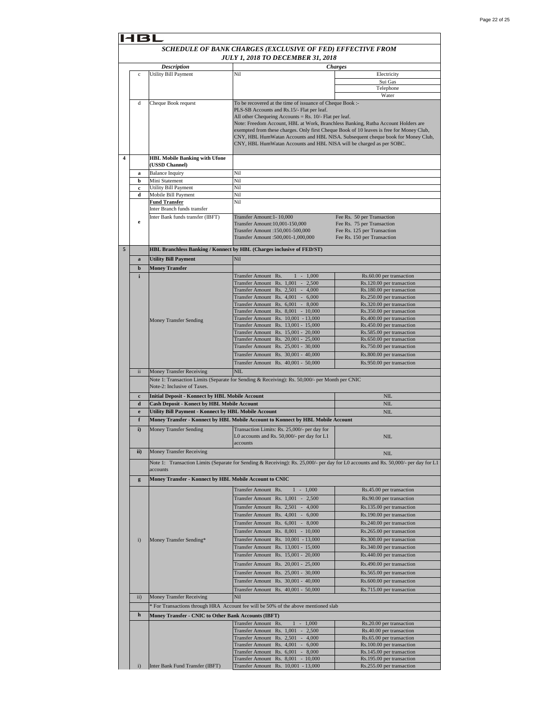|              | SCHEDULE OF BANK CHARGES (EXCLUSIVE OF FED) EFFECTIVE FROM |                                                                                                                                               |                                                                                          |
|--------------|------------------------------------------------------------|-----------------------------------------------------------------------------------------------------------------------------------------------|------------------------------------------------------------------------------------------|
|              |                                                            |                                                                                                                                               |                                                                                          |
|              |                                                            | <b>JULY 1, 2018 TO DECEMBER 31, 2018</b>                                                                                                      |                                                                                          |
|              | <b>Description</b>                                         |                                                                                                                                               | Charges                                                                                  |
| $\mathbf c$  | Utility Bill Payment                                       | Nil                                                                                                                                           | Electricity<br>Sui Gas                                                                   |
|              |                                                            |                                                                                                                                               | Telephone                                                                                |
|              |                                                            |                                                                                                                                               | Water                                                                                    |
| d            | Cheque Book request                                        | To be recovered at the time of issuance of Cheque Book :-                                                                                     |                                                                                          |
|              |                                                            | PLS-SB Accounts and Rs.15/- Flat per leaf.                                                                                                    |                                                                                          |
|              |                                                            | All other Chequeing Accounts = $Rs. 10/-$ Flat per leaf.<br>Note: Freedom Account, HBL at Work, Branchless Banking, Rutba Account Holders are |                                                                                          |
|              |                                                            |                                                                                                                                               | exempted from these charges. Only first Cheque Book of 10 leaves is free for Money Club, |
|              |                                                            |                                                                                                                                               | CNY, HBL HumWatan Accounts and HBL NISA. Subsequent cheque book for Money Club,          |
|              |                                                            | CNY, HBL HumWatan Accounts and HBL NISA will be charged as per SOBC.                                                                          |                                                                                          |
|              | <b>HBL Mobile Banking with Ufone</b>                       |                                                                                                                                               |                                                                                          |
|              | (USSD Channel)                                             |                                                                                                                                               |                                                                                          |
| a            | <b>Balance Inquiry</b>                                     | Nil                                                                                                                                           |                                                                                          |
| b            | Mini Statement                                             | Nil                                                                                                                                           |                                                                                          |
| c            | <b>Utility Bill Payment</b>                                | Nil                                                                                                                                           |                                                                                          |
| d            | Mobile Bill Payment<br><b>Fund Transfer</b>                | Nil<br>Nil                                                                                                                                    |                                                                                          |
|              | Inter Branch funds transfer                                |                                                                                                                                               |                                                                                          |
|              | Inter Bank funds transfer (IBFT)                           | Transfer Amount: 1-10,000                                                                                                                     | Fee Rs. 50 per Transaction                                                               |
| e            |                                                            | Transfer Amount: 10,001-150,000                                                                                                               | Fee Rs. 75 per Transaction                                                               |
|              |                                                            | Trasnfer Amount :150,001-500,000<br>Transfer Amount :500,001-1,000,000                                                                        | Fee Rs. 125 per Transaction                                                              |
|              |                                                            |                                                                                                                                               | Fee Rs. 150 per Transaction                                                              |
|              |                                                            | HBL Branchless Banking / Konnect by HBL (Charges inclusive of FED/ST)                                                                         |                                                                                          |
| $\bf{a}$     | <b>Utility Bill Payment</b>                                | Nil                                                                                                                                           |                                                                                          |
| b            | <b>Money Transfer</b>                                      |                                                                                                                                               |                                                                                          |
| i            |                                                            | <b>Transfer Amount</b><br>Rs.<br>1,000<br>$\overline{\phantom{a}}$                                                                            | Rs.60.00 per transaction                                                                 |
|              |                                                            | <b>Transfer Amount</b><br>Rs. 1,001<br>$\sim$<br>2.500                                                                                        | Rs.120.00 per transaction                                                                |
|              |                                                            | <b>Transfer Amount</b><br>$Rs. 2,501 -$<br>4,000<br><b>Transfer Amount</b><br>Rs. 4,001<br>$-6,000$                                           | Rs.180.00 per transaction<br>Rs.250.00 per transaction                                   |
|              |                                                            | <b>Transfer Amount</b><br>Rs. 6,001<br>$-8,000$                                                                                               | Rs.320.00 per transaction                                                                |
|              |                                                            | <b>Transfer Amount</b><br>Rs. 8,001<br>$-10,000$                                                                                              | Rs.350.00 per transaction                                                                |
|              | <b>Money Transfer Sending</b>                              | <b>Transfer Amount</b><br>Rs. 10,001 - 13,000                                                                                                 | Rs.400.00 per transaction                                                                |
|              |                                                            | <b>Transfer Amount</b><br>Rs. 13,001 - 15,000                                                                                                 | Rs.450.00 per transaction                                                                |
|              |                                                            | Rs. 15,001 - 20,000<br><b>Transfer Amount</b>                                                                                                 | Rs.585.00 per transaction                                                                |
|              |                                                            | <b>Transfer Amount</b><br>Rs. 20,001 - 25,000<br><b>Transfer Amount</b><br>Rs. 25,001 - 30,000                                                | Rs.650.00 per transaction<br>Rs.750.00 per transaction                                   |
|              |                                                            | <b>Transfer Amount</b><br>Rs. 30,001 - 40,000                                                                                                 | Rs.800.00 per transaction                                                                |
|              |                                                            | Transfer Amount Rs. 40,001 - 50,000                                                                                                           | Rs.950.00 per transaction                                                                |
| ii           |                                                            | NIL                                                                                                                                           |                                                                                          |
|              | Money Transfer Receiving                                   | Note 1: Transaction Limits (Separate for Sending & Receiving): Rs. 50,000/- per Month per CNIC                                                |                                                                                          |
|              | Note-2: Inclusive of Taxes.                                |                                                                                                                                               |                                                                                          |
| $\mathbf c$  | <b>Initial Deposit - Konnect by HBL Mobile Account</b>     |                                                                                                                                               | <b>NIL</b>                                                                               |
| d            | Cash Deposit - Konect by HBL Mobile Account                |                                                                                                                                               | NIL                                                                                      |
| $\mathbf e$  | Utility Bill Payment - Konnect by HBL Mobile Account       |                                                                                                                                               | NIL                                                                                      |
| f            |                                                            | Money Transfer - Konnect by HBL Mobile Account to Konnect by HBL Mobile Account                                                               |                                                                                          |
| i)           | <b>Money Transfer Sending</b>                              | Transaction Limits: Rs. 25,000/- per day for                                                                                                  |                                                                                          |
|              |                                                            | L0 accounts and Rs. 50,000/- per day for L1                                                                                                   | NIL                                                                                      |
|              | <b>Money Transfer Receiving</b>                            | <b>accounts</b>                                                                                                                               |                                                                                          |
| ii)          |                                                            |                                                                                                                                               | <b>NIL</b>                                                                               |
|              |                                                            | Note 1: Transaction Limits (Separate for Sending & Receiving): Rs. 25,000/- per day for L0 accounts and Rs. 50,000/- per day for L1           |                                                                                          |
|              | accounts                                                   |                                                                                                                                               |                                                                                          |
| g            |                                                            |                                                                                                                                               |                                                                                          |
|              | Money Transfer - Konnect by HBL Mobile Account to CNIC     |                                                                                                                                               |                                                                                          |
|              |                                                            | Transfer Amount Rs.<br>$1 - 1,000$                                                                                                            | Rs.45.00 per transaction                                                                 |
|              |                                                            | Transfer Amount Rs. 1,001<br>$-2,500$                                                                                                         | Rs.90.00 per transaction                                                                 |
|              |                                                            | Rs. 2,501<br>4,000<br><b>Transfer Amount</b><br>$\sim$                                                                                        | Rs.135.00 per transaction                                                                |
|              |                                                            | Transfer Amount Rs. 4,001 -<br>6,000                                                                                                          | Rs.190.00 per transaction                                                                |
|              |                                                            | Transfer Amount Rs. 6,001 - 8,000                                                                                                             | Rs.240.00 per transaction                                                                |
|              |                                                            | Transfer Amount Rs. 8,001 - 10,000                                                                                                            | Rs.265.00 per transaction                                                                |
| $\mathbf{i}$ | Money Transfer Sending*                                    | Transfer Amount Rs. 10,001 - 13,000                                                                                                           | Rs.300.00 per transaction                                                                |
|              |                                                            | <b>Transfer Amount</b><br>Rs. 13,001 - 15,000                                                                                                 | Rs.340.00 per transaction                                                                |
|              |                                                            | <b>Transfer Amount</b><br>Rs. 15,001 - 20,000                                                                                                 | Rs.440.00 per transaction                                                                |
|              |                                                            | <b>Transfer Amount</b><br>Rs. 20,001 - 25,000                                                                                                 | Rs.490.00 per transaction                                                                |
|              |                                                            | Rs. 25,001 - 30,000<br><b>Transfer Amount</b>                                                                                                 | Rs.565.00 per transaction                                                                |
|              |                                                            | Transfer Amount Rs. 30,001 - 40,000                                                                                                           | Rs.600.00 per transaction                                                                |
|              |                                                            | Rs. 40,001 - 50,000<br><b>Transfer Amount</b>                                                                                                 | Rs.715.00 per transaction                                                                |
| ii)          | Money Transfer Receiving                                   | Nil                                                                                                                                           |                                                                                          |
|              |                                                            | * For Transactions through HRA Account fee will be 50% of the above mentioned slab                                                            |                                                                                          |
| $\mathbf h$  | Money Transfer - CNIC to Other Bank Accounts (IBFT)        |                                                                                                                                               |                                                                                          |
|              |                                                            | 1,000<br><b>Transfer Amount</b><br>Rs.<br>$\mathbf{1}$<br>$\sim$                                                                              | Rs.20.00 per transaction                                                                 |
|              |                                                            | $-2,500$<br><b>Transfer Amount</b><br>Rs. 1,001                                                                                               | Rs.40.00 per transaction                                                                 |
|              |                                                            | Rs. 2,501<br>Transfer Amount<br>4,000                                                                                                         | Rs.65.00 per transaction                                                                 |
|              |                                                            | <b>Transfer Amount</b><br>Rs. 4,001<br>6,000<br>$\sim$<br><b>Transfer Amount</b><br>Rs.<br>8,000<br>$\sim$                                    | Rs.100.00 per transaction                                                                |
|              |                                                            | 6,001<br><b>Transfer Amount</b><br>Rs.<br>$8,001 - 10,000$                                                                                    | Rs.145.00 per transaction<br>Rs.195.00 per transaction                                   |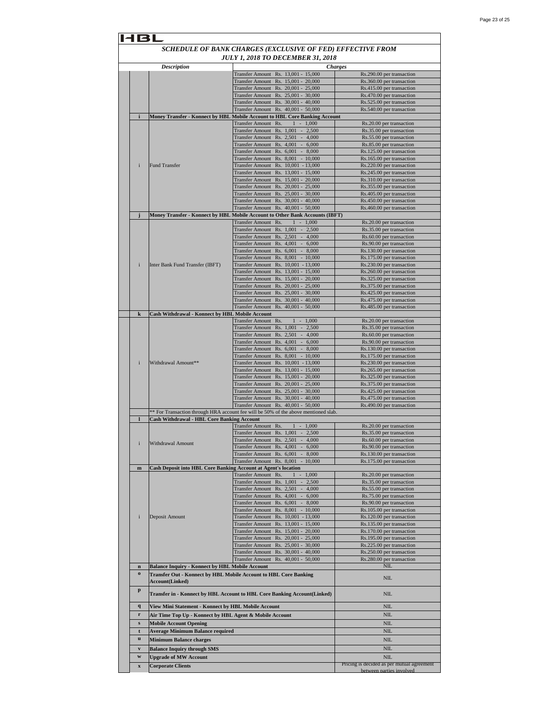|                                                 |                                                                | <b>JULY 1, 2018 TO DECEMBER 31, 2018</b>                                                       |                                                        |
|-------------------------------------------------|----------------------------------------------------------------|------------------------------------------------------------------------------------------------|--------------------------------------------------------|
|                                                 | <b>Description</b>                                             | Transfer Amount Rs. 13,001 - 15,000                                                            | <b>Charges</b><br>Rs.290.00 per transaction            |
|                                                 |                                                                | Rs. 15,001 - 20,000<br>Transfer Amount                                                         | Rs.360.00 per transaction                              |
|                                                 |                                                                | Fransfer Amount Rs. 20,001 - 25,000                                                            | Rs.415.00 per transaction                              |
|                                                 |                                                                | Rs. 25,001 - 30,000<br>Transfer Amount                                                         | Rs.470.00 per transaction                              |
|                                                 |                                                                | Transfer Amount Rs. 30,001 - 40,000                                                            | Rs.525.00 per transaction                              |
|                                                 |                                                                | Transfer Amount Rs. 40,001 - 50,000                                                            | Rs.540.00 per transaction                              |
| $\mathbf{i}$                                    |                                                                | Money Transfer - Konnect by HBL Mobile Account to HBL Core Banking Account                     |                                                        |
|                                                 |                                                                | Transfer Amount Rs.<br>$1 - 1,000$<br><b>Transfer Amount</b><br>Rs. 1,001 - 2,500              | Rs.20.00 per transaction<br>Rs.35.00 per transaction   |
|                                                 |                                                                | Transfer Amount Rs. 2,501 - 4,000                                                              | Rs.55.00 per transaction                               |
|                                                 |                                                                | Rs. 4,001 - 6,000<br><b>Transfer Amount</b>                                                    | Rs.85.00 per transaction                               |
|                                                 |                                                                | Transfer Amount Rs. 6,001 - 8,000                                                              | Rs.125.00 per transaction                              |
|                                                 |                                                                | Transfer Amount Rs. 8,001 - 10,000                                                             | Rs.165.00 per transaction                              |
| i                                               | <b>Fund Transfer</b>                                           | Transfer Amount Rs. 10,001 - 13,000                                                            | Rs.220.00 per transaction                              |
|                                                 |                                                                | Transfer Amount Rs. 13,001 - 15,000                                                            | Rs.245.00 per transaction                              |
|                                                 |                                                                | Transfer Amount Rs. 15,001 - 20,000<br>Rs. 20,001 - 25,000<br>Transfer Amount                  | Rs.310.00 per transaction<br>Rs.355.00 per transaction |
|                                                 |                                                                | Rs. 25,001 - 30,000<br>Transfer Amount                                                         | Rs.405.00 per transaction                              |
|                                                 |                                                                | Rs. 30,001 - 40,000<br>Transfer Amount                                                         | Rs.450.00 per transaction                              |
|                                                 |                                                                | Rs. 40,001 - 50,000<br><b>Transfer Amount</b>                                                  | Rs.460.00 per transaction                              |
| j                                               |                                                                | <b>Money Transfer - Konnect by HBL Mobile Account to Other Bank Accounts (IBFT)</b>            |                                                        |
|                                                 |                                                                | <b>Transfer Amount</b><br>Rs.<br>$-1,000$<br>$\mathbf{1}$                                      | Rs.20.00 per transaction                               |
|                                                 |                                                                | Rs. 1,001 - 2,500<br><b>Transfer Amount</b>                                                    | Rs.35.00 per transaction                               |
|                                                 |                                                                | Transfer Amount<br>Rs. 2,501 - 4,000                                                           | Rs.60.00 per transaction                               |
|                                                 |                                                                | Transfer Amount<br>Rs. 4,001 - 6,000                                                           | Rs.90.00 per transaction                               |
|                                                 |                                                                | Transfer Amount Rs. 6,001 - 8,000<br>Transfer Amount Rs. 8,001 - 10,000                        | Rs.130.00 per transaction<br>Rs.175.00 per transaction |
| i                                               | Inter Bank Fund Transfer (IBFT)                                | Rs. 10,001 - 13,000<br>Transfer Amount                                                         | Rs.230.00 per transaction                              |
|                                                 |                                                                | Transfer Amount<br>Rs. 13,001 - 15,000                                                         | Rs.260.00 per transaction                              |
|                                                 |                                                                | Rs. 15,001 - 20,000<br><b>Transfer Amount</b>                                                  | Rs.325.00 per transaction                              |
|                                                 |                                                                | Fransfer Amount Rs. 20,001 - 25,000                                                            | Rs.375.00 per transaction                              |
|                                                 |                                                                | <b>Transfer Amount</b><br>Rs. 25,001 - 30,000                                                  | Rs.425.00 per transaction                              |
|                                                 |                                                                | <b>Transfer Amount</b><br>Rs. 30,001 - 40,000                                                  | Rs.475.00 per transaction                              |
|                                                 |                                                                | Rs. 40,001 - 50,000<br><b>Transfer Amount</b>                                                  | Rs.485.00 per transaction                              |
| $\bf k$                                         | Cash Withdrawal - Konnect by HBL Mobile Account                | $1 - 1,000$<br>Transfer Amount Rs.                                                             | Rs.20.00 per transaction                               |
|                                                 |                                                                | Transfer Amount Rs. 1,001 - 2,500                                                              | Rs.35.00 per transaction                               |
|                                                 |                                                                | Rs. 2,501 - 4,000<br>Transfer Amount                                                           | Rs.60.00 per transaction                               |
|                                                 |                                                                | Rs. 4,001<br>Transfer Amount<br>$-6,000$                                                       | Rs.90.00 per transaction                               |
|                                                 |                                                                | Transfer Amount Rs. 6,001 - 8,000                                                              | Rs.130.00 per transaction                              |
|                                                 |                                                                | <b>Transfer Amount</b><br>Rs. 8,001 - 10,000                                                   | Rs.175.00 per transaction                              |
| i                                               | Withdrawal Amount**                                            | Transfer Amount<br>Rs. 10,001 - 13,000                                                         | Rs.230.00 per transaction                              |
|                                                 |                                                                | Rs. 13,001 - 15,000<br>Transfer Amount<br>Transfer Amount Rs. 15,001 - 20,000                  | Rs.265.00 per transaction<br>Rs.325.00 per transaction |
|                                                 |                                                                | Transfer Amount Rs. 20,001 - 25,000                                                            | Rs.375.00 per transaction                              |
|                                                 |                                                                | Rs. 25,001 - 30,000<br>Transfer Amount                                                         | Rs.425.00 per transaction                              |
|                                                 |                                                                | Rs. 30,001 - 40,000<br><b>Transfer Amount</b>                                                  | Rs.475.00 per transaction                              |
|                                                 |                                                                | Rs. 40,001 - 50,000<br><b>Transfer Amount</b>                                                  | Rs.490.00 per transaction                              |
|                                                 | <b>Cash Withdrawal - HBL Core Banking Account</b>              | ** For Transaction through HRA account fee will be 50% of the above mentioned slab.            |                                                        |
|                                                 |                                                                | Transfer Amount Rs.<br>$-1,000$                                                                | Rs.20.00 per transaction                               |
|                                                 |                                                                | Transfer Amount Rs. 1,001 -<br>2,500                                                           | Rs.35.00 per transaction                               |
|                                                 |                                                                | Transfer Amount Rs. 2,501 - 4,000                                                              | Rs.60.00 per transaction                               |
| $\mathbf{i}$                                    | Withdrawal Amount                                              | Transfer Amount Rs. 4,001 - 6,000                                                              | Rs.90.00 per transaction                               |
|                                                 |                                                                | Transfer Amount Rs. 6,001 - 8,000                                                              | Rs.130.00 per transaction                              |
|                                                 |                                                                | Transfer Amount Rs. 8,001 - 10,000                                                             | Rs.175.00 per transaction                              |
| $\mathbf{m}$                                    | Cash Deposit into HBL Core Banking Account at Agent's location | Transfer Amount Rs.<br>$1 - 1,000$                                                             | Rs.20.00 per transaction                               |
|                                                 |                                                                | Transfer Amount Rs. 1,001<br>$\sim$<br>2,500                                                   | Rs.35.00 per transaction                               |
|                                                 |                                                                | Transfer Amount Rs. 2,501 - 4,000                                                              | Rs.55.00 per transaction                               |
|                                                 |                                                                | Transfer Amount Rs. 4,001 - 6,000                                                              | Rs.75.00 per transaction                               |
|                                                 |                                                                | <b>Transfer Amount</b><br>Rs. 6,001<br>$\sim$<br>8,000                                         | Rs.90.00 per transaction                               |
|                                                 |                                                                | Rs. 8,001 - 10,000<br><b>Transfer Amount</b>                                                   | Rs.105.00 per transaction                              |
| i                                               | Deposit Amount                                                 | Rs. 10,001 - 13,000<br><b>Transfer Amount</b>                                                  | Rs.120.00 per transaction                              |
|                                                 |                                                                | <b>Transfer Amount</b><br>Rs. 13,001 - 15,000                                                  | Rs.135.00 per transaction                              |
|                                                 |                                                                | <b>Transfer Amount</b><br>Rs. 15,001 - 20,000<br><b>Transfer Amount</b><br>Rs. 20,001 - 25,000 | Rs.170.00 per transaction<br>Rs.195.00 per transaction |
|                                                 |                                                                | <b>Transfer Amount</b><br>Rs. 25,001 - 30,000                                                  | Rs.225.00 per transaction                              |
|                                                 |                                                                | <b>Transfer Amount</b><br>Rs. 30,001 - 40,000                                                  | Rs.250.00 per transaction                              |
|                                                 |                                                                | <b>Transfer Amount</b><br>Rs. 40,001 - 50,000                                                  | Rs.280.00 per transaction                              |
|                                                 | <b>Balance Inquiry - Konnect by HBL Mobile Account</b>         |                                                                                                | NIL                                                    |
|                                                 | Account(Linked)                                                | Transfer Out - Konnect by HBL Mobile Account to HBL Core Banking                               | NIL                                                    |
|                                                 |                                                                | Transfer in - Konnect by HBL Account to HBL Core Banking Account(Linked)                       | NIL                                                    |
|                                                 |                                                                |                                                                                                |                                                        |
| $\mathbf n$<br>$\mathbf 0$<br>p<br>$\mathbf{q}$ | View Mini Statement - Konnect by HBL Mobile Account            |                                                                                                | NIL                                                    |
| r                                               | Air Time Top Up - Konnect by HBL Agent & Mobile Account        |                                                                                                | NIL                                                    |
| s                                               | <b>Mobile Account Opening</b>                                  |                                                                                                | NIL                                                    |
| t                                               | <b>Average Minimum Balance required</b>                        |                                                                                                | NIL                                                    |
|                                                 | <b>Minimum Balance charges</b>                                 |                                                                                                | NIL                                                    |
| $\mathbf u$<br>$\mathbf{v}$                     | <b>Balance Inquiry through SMS</b>                             |                                                                                                | NIL                                                    |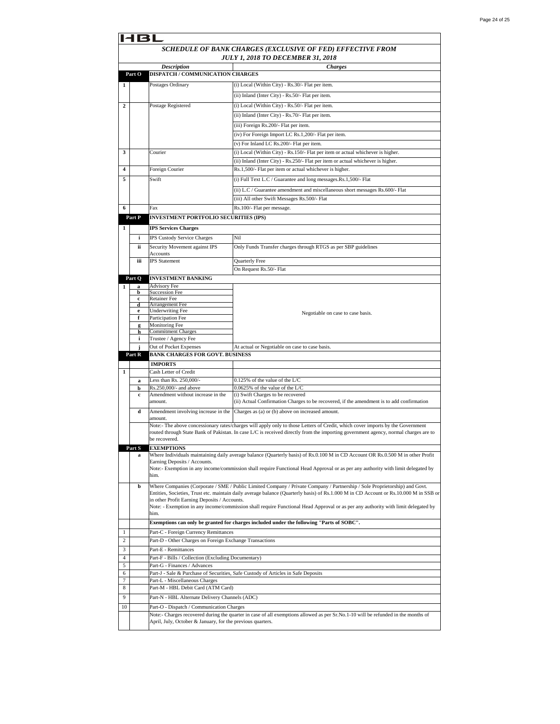|                         | 4 B L                                                                                                  |                                                                  |                                                                                                                                                                                                                                                                     |  |  |
|-------------------------|--------------------------------------------------------------------------------------------------------|------------------------------------------------------------------|---------------------------------------------------------------------------------------------------------------------------------------------------------------------------------------------------------------------------------------------------------------------|--|--|
|                         | SCHEDULE OF BANK CHARGES (EXCLUSIVE OF FED) EFFECTIVE FROM<br><b>JULY 1, 2018 TO DECEMBER 31, 2018</b> |                                                                  |                                                                                                                                                                                                                                                                     |  |  |
|                         | Part O                                                                                                 | <b>Description</b><br>DISPATCH / COMMUNICATION CHARGES           | <b>Charges</b>                                                                                                                                                                                                                                                      |  |  |
| $\mathbf{1}$            |                                                                                                        | Postages Ordinary                                                | (i) Local (Within City) - Rs.30/- Flat per item.                                                                                                                                                                                                                    |  |  |
|                         |                                                                                                        |                                                                  | (ii) Inland (Inter City) - Rs.50/- Flat per item.                                                                                                                                                                                                                   |  |  |
| $\overline{2}$          |                                                                                                        | Postage Registered                                               | (i) Local (Within City) - Rs.50/- Flat per item.                                                                                                                                                                                                                    |  |  |
|                         |                                                                                                        |                                                                  | (ii) Inland (Inter City) - Rs.70/- Flat per item.                                                                                                                                                                                                                   |  |  |
|                         |                                                                                                        |                                                                  | (iii) Foreign Rs.200/- Flat per item.                                                                                                                                                                                                                               |  |  |
|                         |                                                                                                        |                                                                  | (iv) For Foreign Import LC Rs.1,200/- Flat per item.                                                                                                                                                                                                                |  |  |
|                         |                                                                                                        |                                                                  | (v) For Inland LC Rs.200/- Flat per item.                                                                                                                                                                                                                           |  |  |
| 3                       |                                                                                                        | Courier                                                          | (i) Local (Within City) - Rs.150/- Flat per item or actual whichever is higher.<br>(ii) Inland (Inter City) - Rs.250/- Flat per item or actual whichever is higher.                                                                                                 |  |  |
| 4                       |                                                                                                        | Foreign Courier                                                  | Rs.1,500/- Flat per item or actual whichever is higher.                                                                                                                                                                                                             |  |  |
| 5                       | Swift                                                                                                  |                                                                  | (i) Full Text L.C / Guarantee and long messages.Rs.1,500/- Flat                                                                                                                                                                                                     |  |  |
|                         | (ii) L.C / Guarantee amendment and miscellaneous short messages Rs.600/- Flat                          |                                                                  |                                                                                                                                                                                                                                                                     |  |  |
|                         | (iii) All other Swift Messages Rs.500/- Flat                                                           |                                                                  |                                                                                                                                                                                                                                                                     |  |  |
| 6                       |                                                                                                        | Fax                                                              | Rs.100/- Flat per message.                                                                                                                                                                                                                                          |  |  |
|                         | Part P                                                                                                 | <b>INVESTMENT PORTFOLIO SECURITIES (IPS)</b>                     |                                                                                                                                                                                                                                                                     |  |  |
| 1                       |                                                                                                        | <b>IPS Services Charges</b>                                      |                                                                                                                                                                                                                                                                     |  |  |
|                         | i                                                                                                      | IPS Custody Service Charges                                      | Nil                                                                                                                                                                                                                                                                 |  |  |
|                         | ii                                                                                                     | Security Movement against IPS                                    | Only Funds Transfer charges through RTGS as per SBP guidelines                                                                                                                                                                                                      |  |  |
|                         | iii                                                                                                    | <b>Accounts</b><br><b>IPS</b> Statement                          | Quarterly Free                                                                                                                                                                                                                                                      |  |  |
|                         |                                                                                                        |                                                                  | On Request Rs.50/- Flat                                                                                                                                                                                                                                             |  |  |
|                         | Part Q                                                                                                 | <b>INVESTMENT BANKING</b>                                        |                                                                                                                                                                                                                                                                     |  |  |
| 1                       | я<br>b                                                                                                 | <b>Advisory Fee</b><br><b>Succession Fee</b>                     |                                                                                                                                                                                                                                                                     |  |  |
|                         | c                                                                                                      | <b>Retainer Fee</b>                                              |                                                                                                                                                                                                                                                                     |  |  |
|                         | d<br>e                                                                                                 | Arrangement Fee<br><b>Underwriting Fee</b>                       |                                                                                                                                                                                                                                                                     |  |  |
|                         | f                                                                                                      | Participation Fee                                                | Negotiable on case to case basis.                                                                                                                                                                                                                                   |  |  |
|                         | g                                                                                                      | Monitoring Fee                                                   |                                                                                                                                                                                                                                                                     |  |  |
|                         | h                                                                                                      | <b>Commitment Charges</b>                                        |                                                                                                                                                                                                                                                                     |  |  |
|                         | i                                                                                                      | Trustee / Agency Fee                                             | At actual or Negotiable on case to case basis.                                                                                                                                                                                                                      |  |  |
|                         | j<br>Part R                                                                                            | Out of Pocket Expenses<br><b>BANK CHARGES FOR GOVT. BUSINESS</b> |                                                                                                                                                                                                                                                                     |  |  |
|                         |                                                                                                        | <b>IMPORTS</b>                                                   |                                                                                                                                                                                                                                                                     |  |  |
| 1                       |                                                                                                        | Cash Letter of Credit                                            |                                                                                                                                                                                                                                                                     |  |  |
|                         | a                                                                                                      | Less than Rs. 250,000/-                                          | $0.125\%$ of the value of the L/C                                                                                                                                                                                                                                   |  |  |
|                         | b                                                                                                      | Rs.250,000/- and above                                           | 0.0625% of the value of the L/C                                                                                                                                                                                                                                     |  |  |
|                         | c.                                                                                                     | Amendment without increase in the<br>amount.                     | (i) Swift Charges to be recovered<br>(ii) Actual Confirmation Charges to be recovered, if the amendment is to add confirmation                                                                                                                                      |  |  |
|                         | d                                                                                                      | Amendment involving increase in the<br>amount.                   | Charges as (a) or (b) above on increased amount.<br>Note:- The above concessionary rates/charges will apply only to those Letters of Credit, which cover imports by the Government                                                                                  |  |  |
|                         |                                                                                                        | be recovered.                                                    | routed through State Bank of Pakistan. In case L/C is received directly from the importing government agency, normal charges are to                                                                                                                                 |  |  |
|                         | Part S                                                                                                 | <b>EXEMPTIONS</b>                                                |                                                                                                                                                                                                                                                                     |  |  |
|                         | a                                                                                                      | Earning Deposits / Accounts.                                     | Where Individuals maintaining daily average balance (Quarterly basis) of Rs.0.100 M in CD Account OR Rs.0.500 M in other Profit                                                                                                                                     |  |  |
|                         |                                                                                                        | him.                                                             | Note:- Exemption in any income/commission shall require Functional Head Approval or as per any authority with limit delegated by                                                                                                                                    |  |  |
|                         | b                                                                                                      |                                                                  | Where Companies (Corporate / SME / Public Limited Company / Private Company / Partnership / Sole Proprietorship) and Govt.<br>Entities, Societies, Trust etc. maintain daily average balance (Quarterly basis) of Rs.1.000 M in CD Account or Rs.10.000 M in SSB or |  |  |
|                         |                                                                                                        | in other Profit Earning Deposits / Accounts.<br>him.             | Note: - Exemption in any income/commission shall require Functional Head Approval or as per any authority with limit delegated by                                                                                                                                   |  |  |
|                         |                                                                                                        |                                                                  | Exemptions can only be granted for charges included under the following "Parts of SOBC".                                                                                                                                                                            |  |  |
| 1                       |                                                                                                        | Part-C - Foreign Currency Remittances                            |                                                                                                                                                                                                                                                                     |  |  |
| $\overline{\mathbf{c}}$ |                                                                                                        | Part-D - Other Charges on Foreign Exchange Transactions          |                                                                                                                                                                                                                                                                     |  |  |
| 3                       |                                                                                                        | Part-E - Remittances                                             |                                                                                                                                                                                                                                                                     |  |  |
| 4                       |                                                                                                        | Part-F - Bills / Collection (Excluding Documentary)              |                                                                                                                                                                                                                                                                     |  |  |
| 5<br>6                  |                                                                                                        | Part-G - Finances / Advances                                     | Part-J - Sale & Purchase of Securities, Safe Custody of Articles in Safe Deposits                                                                                                                                                                                   |  |  |
| 7                       |                                                                                                        | Part-L - Miscellaneous Charges                                   |                                                                                                                                                                                                                                                                     |  |  |
| 8                       |                                                                                                        | Part-M - HBL Debit Card (ATM Card)                               |                                                                                                                                                                                                                                                                     |  |  |
| 9                       |                                                                                                        | Part-N - HBL Alternate Delivery Channels (ADC)                   |                                                                                                                                                                                                                                                                     |  |  |
| 10                      |                                                                                                        | Part-O - Dispatch / Communication Charges                        |                                                                                                                                                                                                                                                                     |  |  |
|                         |                                                                                                        | April, July, October & January, for the previous quarters.       | Note:- Charges recovered during the quarter in case of all exemptions allowed as per Sr.No.1-10 will be refunded in the months of                                                                                                                                   |  |  |
|                         |                                                                                                        |                                                                  |                                                                                                                                                                                                                                                                     |  |  |